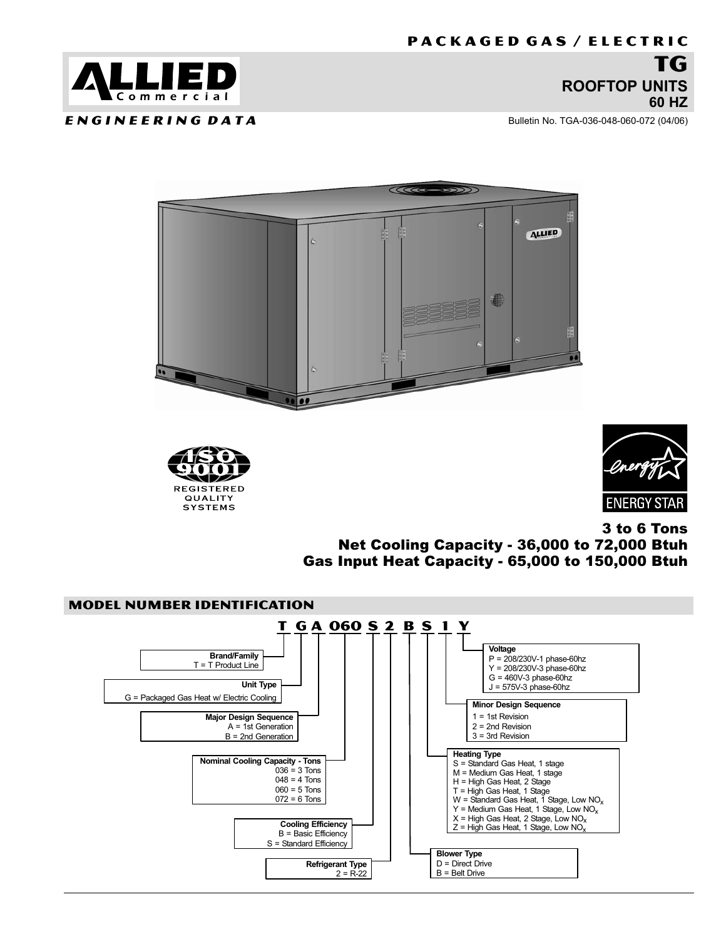<span id="page-0-0"></span>

E N G I N E E R I N G D A T A

Bulletin No. TGA−036−048−060−072 (04/06)







3 to 6 Tons Net Cooling Capacity − 36,000 to 72,000 Btuh Gas Input Heat Capacity − 65,000 to 150,000 Btuh

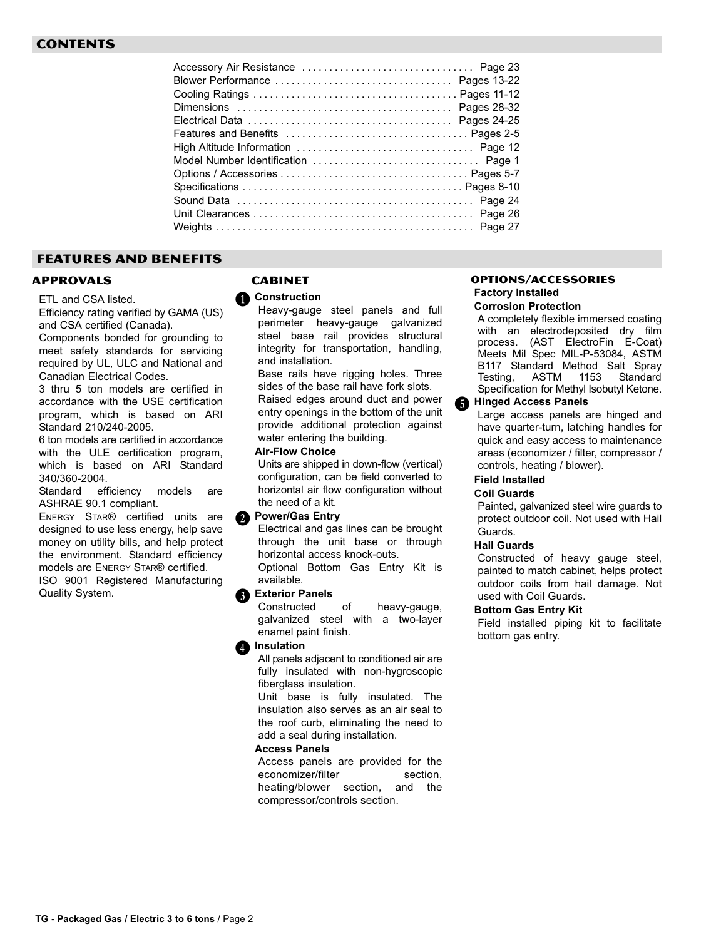# FEATURES AND BENEFITS

# APPROVALS

ETL and CSA listed.

Efficiency rating verified by GAMA (US) and CSA certified (Canada).

Components bonded for grounding to meet safety standards for servicing required by UL, ULC and National and Canadian Electrical Codes.

3 thru 5 ton models are certified in accordance with the USE certification program, which is based on ARI Standard 210/240-2005.

6 ton models are certified in accordance with the ULE certification program, which is based on ARI Standard 340/360−2004.

Standard efficiency models are ASHRAE 90.1 compliant.

ENERGY STAR® certified units are designed to use less energy, help save money on utility bills, and help protect the environment. Standard efficiency models are ENERGY STAR® certified. ISO 9001 Registered Manufacturing Quality System.

# **CABINET**

**O** Construction

Heavy−gauge steel panels and full perimeter heavy−gauge galvanized steel base rail provides structural integrity for transportation, handling, and installation.

Base rails have rigging holes. Three sides of the base rail have fork slots. Raised edges around duct and power entry openings in the bottom of the unit provide additional protection against water entering the building.

#### Air−Flow Choice

Units are shipped in down−flow (vertical) configuration, can be field converted to horizontal air flow configuration without the need of a kit.

# **2** Power/Gas Entry

Electrical and gas lines can be brought through the unit base or through horizontal access knock−outs. Optional Bottom Gas Entry Kit is available.

#### Exterior Panels  $\ddot{\bm{0}}$

Constructed of heavy−gauge, galvanized steel with a two−layer enamel paint finish.

# <sup>1</sup>Insulation

All panels adjacent to conditioned air are fully insulated with non−hygroscopic fiberglass insulation.

Unit base is fully insulated. The insulation also serves as an air seal to the roof curb, eliminating the need to add a seal during installation.

#### Access Panels

Access panels are provided for the economizer/filter section, heating/blower section, and the compressor/controls section.

# OPTIONS/ACCESSORIES Factory Installed

#### Corrosion Protection

A completely flexible immersed coating with an electrodeposited dry film process. (AST ElectroFin E−Coat) Meets Mil Spec MIL−P−53084, ASTM B117 Standard Method Salt Spray Testing, ASTM 1153 Standard Specification for Methyl Isobutyl Ketone.

#### Hinged Access Panels  $\ddot{\bm{\theta}}$

Large access panels are hinged and have quarter−turn, latching handles for quick and easy access to maintenance areas (economizer / filter, compressor / controls, heating / blower).

#### Field Installed

#### Coil Guards

Painted, galvanized steel wire guards to protect outdoor coil. Not used with Hail Guards.

#### Hail Guards

Constructed of heavy gauge steel, painted to match cabinet, helps protect outdoor coils from hail damage. Not used with Coil Guards.

#### Bottom Gas Entry Kit

Field installed piping kit to facilitate bottom gas entry.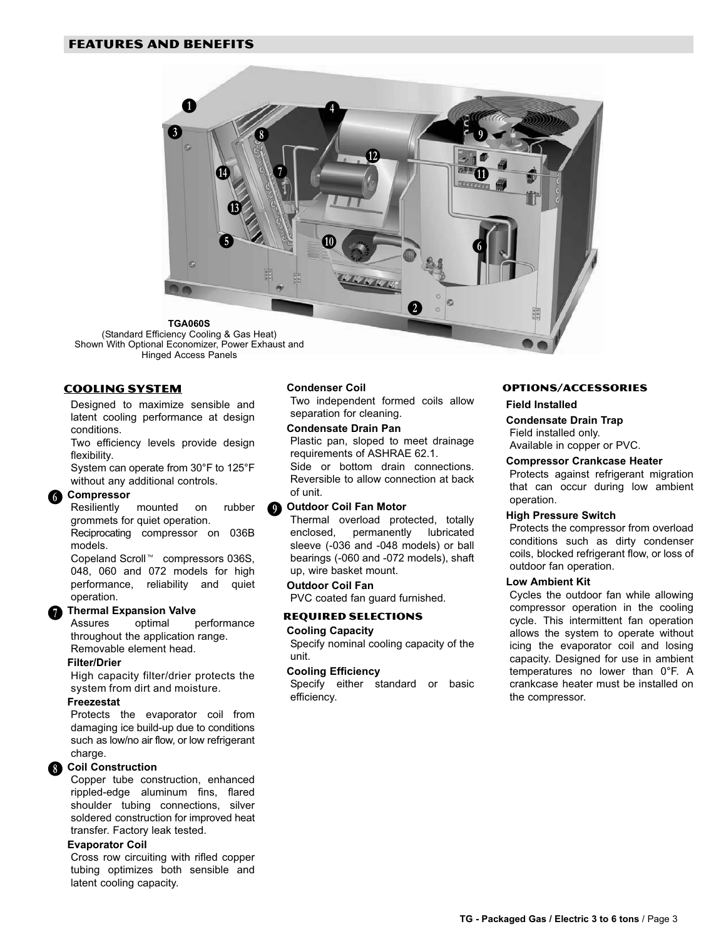

#### COOLING SYSTEM

Designed to maximize sensible and latent cooling performance at design conditions.

Two efficiency levels provide design flexibility.

System can operate from 30°F to 125°F without any additional controls.

# **G** Compressor

Resiliently mounted on rubber grommets for quiet operation.

Reciprocating compressor on 036B models.

Copeland Scroll<sup>™</sup> compressors 036S, 048, 060 and 072 models for high performance, reliability and quiet operation.

#### Thermal Expansion Valve

Assures optimal performance throughout the application range. Removable element head.

#### Filter/Drier

 $\mathbf 0$ 

High capacity filter/drier protects the system from dirt and moisture.

#### **Freezestat**

Protects the evaporator coil from damaging ice build−up due to conditions such as low/no air flow, or low refrigerant charge.

#### Coil Construction  $\ddot{\textbf{0}}$

Copper tube construction, enhanced rippled−edge aluminum fins, flared shoulder tubing connections, silver soldered construction for improved heat transfer. Factory leak tested.

#### Evaporator Coil

Cross row circuiting with rifled copper tubing optimizes both sensible and latent cooling capacity.

#### Condenser Coil

Two independent formed coils allow separation for cleaning.

#### Condensate Drain Pan

Plastic pan, sloped to meet drainage requirements of ASHRAE 62.1. Side or bottom drain connections. Reversible to allow connection at back of unit.

#### Outdoor Coil Fan Motor  $\ddot{\textbf{O}}$

Thermal overload protected, totally enclosed, permanently lubricated sleeve (−036 and −048 models) or ball bearings (−060 and −072 models), shaft up, wire basket mount.

#### Outdoor Coil Fan

PVC coated fan guard furnished.

#### REQUIRED SELECTIONS

#### Cooling Capacity

Specify nominal cooling capacity of the unit.

#### Cooling Efficiency

Specify either standard or basic efficiency.

#### OPTIONS/ACCESSORIES

#### Field Installed

Condensate Drain Trap Field installed only. Available in copper or PVC.

#### Compressor Crankcase Heater

Protects against refrigerant migration that can occur during low ambient operation.

#### High Pressure Switch

Protects the compressor from overload conditions such as dirty condenser coils, blocked refrigerant flow, or loss of outdoor fan operation.

#### Low Ambient Kit

Cycles the outdoor fan while allowing compressor operation in the cooling cycle. This intermittent fan operation allows the system to operate without icing the evaporator coil and losing capacity. Designed for use in ambient temperatures no lower than 0°F. A crankcase heater must be installed on the compressor.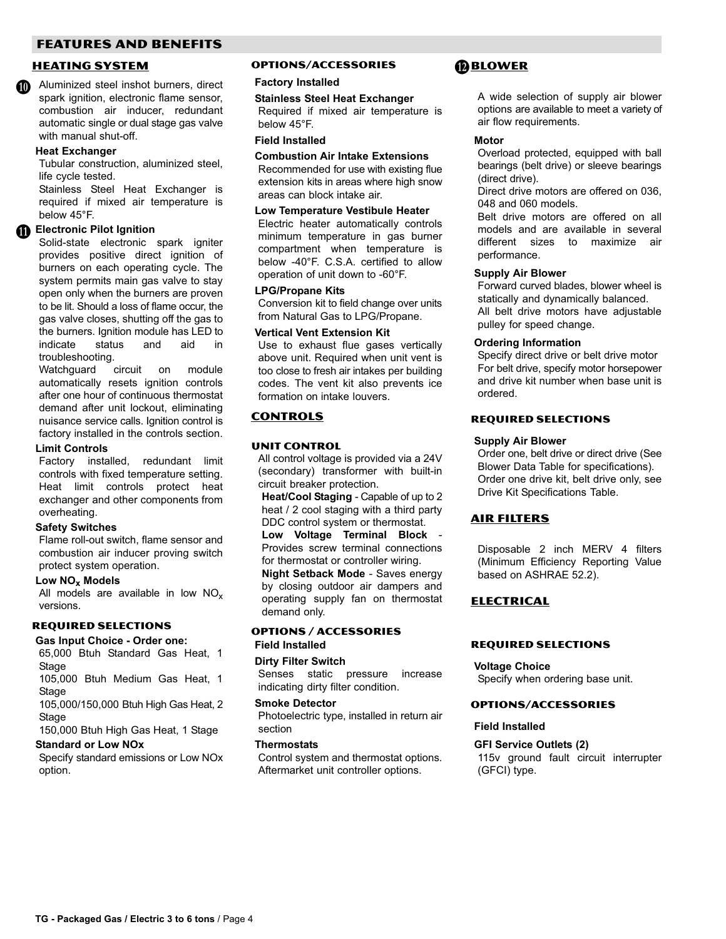# FEATURES AND BENEFITS

#### HEATING SYSTEM

Aluminized steel inshot burners, direct spark ignition, electronic flame sensor, combustion air inducer, redundant automatic single or dual stage gas valve with manual shut-off. **M** 

#### Heat Exchanger

Tubular construction, aluminized steel, life cycle tested.

Stainless Steel Heat Exchanger is required if mixed air temperature is below 45°F.

# **ID** Electronic Pilot Ignition

Solid−state electronic spark igniter provides positive direct ignition of burners on each operating cycle. The system permits main gas valve to stay open only when the burners are proven to be lit. Should a loss of flame occur, the gas valve closes, shutting off the gas to the burners. Ignition module has LED to indicate status and aid in troubleshooting.

Watchguard circuit on module automatically resets ignition controls after one hour of continuous thermostat demand after unit lockout, eliminating nuisance service calls. Ignition control is factory installed in the controls section.

#### Limit Controls

Factory installed, redundant limit controls with fixed temperature setting. Heat limit controls protect heat exchanger and other components from overheating.

#### Safety Switches

Flame roll−out switch, flame sensor and combustion air inducer proving switch protect system operation.

### Low NO<sub>x</sub> Models

All models are available in low  $NO<sub>x</sub>$ versions.

## REQUIRED SELECTIONS

Gas Input Choice − Order one: 65,000 Btuh Standard Gas Heat, 1 **Stage** 

105,000 Btuh Medium Gas Heat, 1 Stage

105,000/150,000 Btuh High Gas Heat, 2 **Stage** 

150,000 Btuh High Gas Heat, 1 Stage

#### Standard or Low NOx

Specify standard emissions or Low NOx option.

# OPTIONS/ACCESSORIES

#### Factory Installed

Stainless Steel Heat Exchanger Required if mixed air temperature is below 45°F.

#### Field Installed

Combustion Air Intake Extensions Recommended for use with existing flue extension kits in areas where high snow areas can block intake air.

#### Low Temperature Vestibule Heater

Electric heater automatically controls minimum temperature in gas burner compartment when temperature is below −40°F. C.S.A. certified to allow operation of unit down to −60°F.

#### LPG/Propane Kits

Conversion kit to field change over units from Natural Gas to LPG/Propane.

#### Vertical Vent Extension Kit

Use to exhaust flue gases vertically above unit. Required when unit vent is too close to fresh air intakes per building codes. The vent kit also prevents ice formation on intake louvers.

# CONTROLS

#### Unit Control

All control voltage is provided via a 24V (secondary) transformer with built−in circuit breaker protection.

Heat/Cool Staging - Capable of up to 2 heat / 2 cool staging with a third party DDC control system or thermostat.

Low Voltage Terminal Block − Provides screw terminal connections for thermostat or controller wiring.

Night Setback Mode − Saves energy by closing outdoor air dampers and operating supply fan on thermostat demand only.

#### OPTIONS / ACCESSORIES Field Installed

# Dirty Filter Switch

Senses static pressure increase indicating dirty filter condition.

#### Smoke Detector

Photoelectric type, installed in return air section

#### **Thermostats**

Control system and thermostat options. Aftermarket unit controller options.

# **BLOWER**

A wide selection of supply air blower options are available to meet a variety of air flow requirements.

#### **Motor**

Overload protected, equipped with ball bearings (belt drive) or sleeve bearings (direct drive).

Direct drive motors are offered on 036, 048 and 060 models.

Belt drive motors are offered on all models and are available in several different sizes to maximize air performance.

#### Supply Air Blower

Forward curved blades, blower wheel is statically and dynamically balanced. All belt drive motors have adjustable pulley for speed change.

#### Ordering Information

Specify direct drive or belt drive motor For belt drive, specify motor horsepower and drive kit number when base unit is ordered.

#### REQUIRED SELECTIONS

#### Supply Air Blower

Order one, belt drive or direct drive (See Blower Data Table for specifications). Order one drive kit, belt drive only, see Drive Kit Specifications Table.

#### AIR FILTERS

Disposable 2 inch MERV 4 filters (Minimum Efficiency Reporting Value based on ASHRAE 52.2).

#### ELECTRICAL

#### REQUIRED SELECTIONS

#### Voltage Choice

Specify when ordering base unit.

#### OPTIONS/ACCESSORIES

#### Field Installed

#### GFI Service Outlets (2)

115v ground fault circuit interrupter (GFCI) type.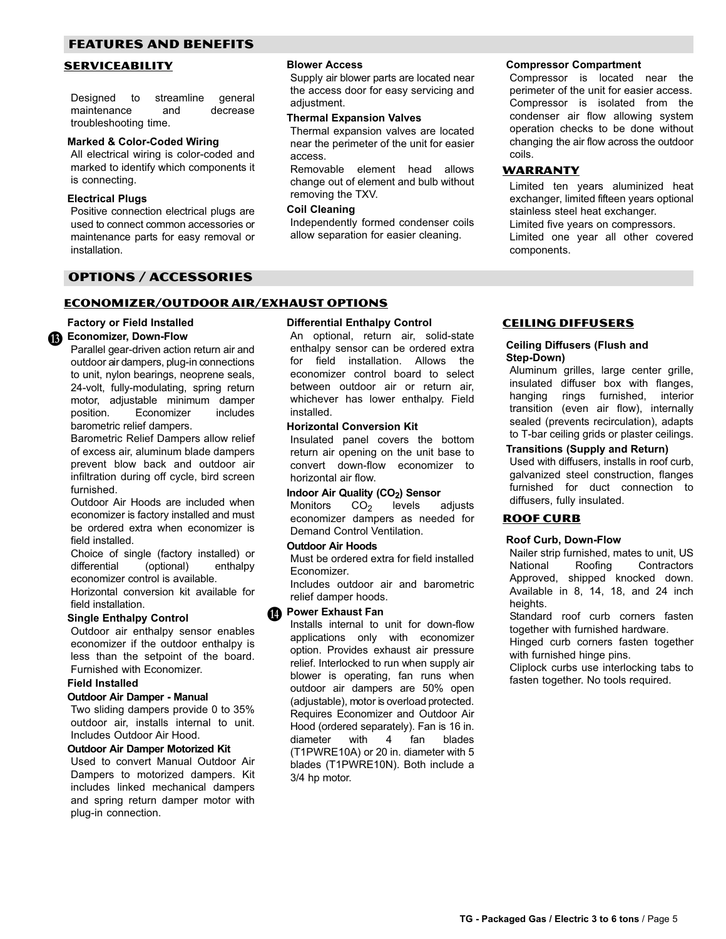# <span id="page-4-0"></span>FEATURES AND BENEFITS

### SERVICEABILITY

Designed to streamline general maintenance and decrease troubleshooting time.

#### Marked & Color−Coded Wiring

All electrical wiring is color−coded and marked to identify which components it is connecting.

#### Electrical Plugs

Positive connection electrical plugs are used to connect common accessories or maintenance parts for easy removal or installation.

## OPTIONS / ACCESSORIES

#### ECONOMIZER/OUTDOOR AIR/EXHAUST OPTIONS

#### Factory or Field Installed

# te Economizer, Down-Flow

Parallel gear−driven action return air and outdoor air dampers, plug-in connections to unit, nylon bearings, neoprene seals, 24−volt, fully−modulating, spring return motor, adjustable minimum damper position. Economizer includes barometric relief dampers.

Barometric Relief Dampers allow relief of excess air, aluminum blade dampers prevent blow back and outdoor air infiltration during off cycle, bird screen furnished.

Outdoor Air Hoods are included when economizer is factory installed and must be ordered extra when economizer is field installed.

Choice of single (factory installed) or differential (optional) enthalpy economizer control is available.

Horizontal conversion kit available for field installation.

#### Single Enthalpy Control

Outdoor air enthalpy sensor enables economizer if the outdoor enthalpy is less than the setpoint of the board. Furnished with Economizer.

#### Field Installed

#### Outdoor Air Damper − Manual

Two sliding dampers provide 0 to 35% outdoor air, installs internal to unit. Includes Outdoor Air Hood.

#### Outdoor Air Damper Motorized Kit

Used to convert Manual Outdoor Air Dampers to motorized dampers. Kit includes linked mechanical dampers and spring return damper motor with plug−in connection.

#### Blower Access

Supply air blower parts are located near the access door for easy servicing and adjustment.

#### Thermal Expansion Valves

Thermal expansion valves are located near the perimeter of the unit for easier access.

Removable element head allows change out of element and bulb without removing the TXV.

#### Coil Cleaning

Independently formed condenser coils allow separation for easier cleaning.

#### Compressor Compartment

Compressor is located near the perimeter of the unit for easier access. Compressor is isolated from the condenser air flow allowing system operation checks to be done without changing the air flow across the outdoor coils.

### **WARRANTY**

Limited ten years aluminized heat exchanger, limited fifteen years optional stainless steel heat exchanger. Limited five years on compressors. Limited one year all other covered components.

#### Differential Enthalpy Control

An optional, return air, solid-state enthalpy sensor can be ordered extra for field installation. Allows the economizer control board to select between outdoor air or return air, whichever has lower enthalpy. Field installed.

#### Horizontal Conversion Kit

Insulated panel covers the bottom return air opening on the unit base to convert down−flow economizer to horizontal air flow.

# **Indoor Air Quality (CO<sub>2</sub>) Sensor**<br>Monitors  $CO<sub>2</sub>$  levels

Monitors  $CO<sub>2</sub>$  levels adjusts economizer dampers as needed for Demand Control Ventilation.

#### Outdoor Air Hoods

Must be ordered extra for field installed Economizer.

Includes outdoor air and barometric relief damper hoods.

# **Power Exhaust Fan**

Installs internal to unit for down-flow applications only with economizer option. Provides exhaust air pressure relief. Interlocked to run when supply air blower is operating, fan runs when outdoor air dampers are 50% open (adjustable), motor is overload protected. Requires Economizer and Outdoor Air Hood (ordered separately). Fan is 16 in. diameter with 4 fan blades (T1PWRE10A) or 20 in. diameter with 5 blades (T1PWRE10N). Both include a 3/4 hp motor.

#### CEILING DIFFUSERS

#### Ceiling Diffusers (Flush and Step−Down)

Aluminum grilles, large center grille, insulated diffuser box with flanges, hanging rings furnished, interior transition (even air flow), internally sealed (prevents recirculation), adapts to T-bar ceiling grids or plaster ceilings.

#### Transitions (Supply and Return)

Used with diffusers, installs in roof curb, galvanized steel construction, flanges furnished for duct connection to diffusers, fully insulated.

#### ROOF CURB

#### Roof Curb, Down−Flow

Nailer strip furnished, mates to unit, US National Roofing Contractors Approved, shipped knocked down. Available in 8, 14, 18, and 24 inch heights.

Standard roof curb corners fasten together with furnished hardware.

Hinged curb corners fasten together with furnished hinge pins.

Cliplock curbs use interlocking tabs to fasten together. No tools required.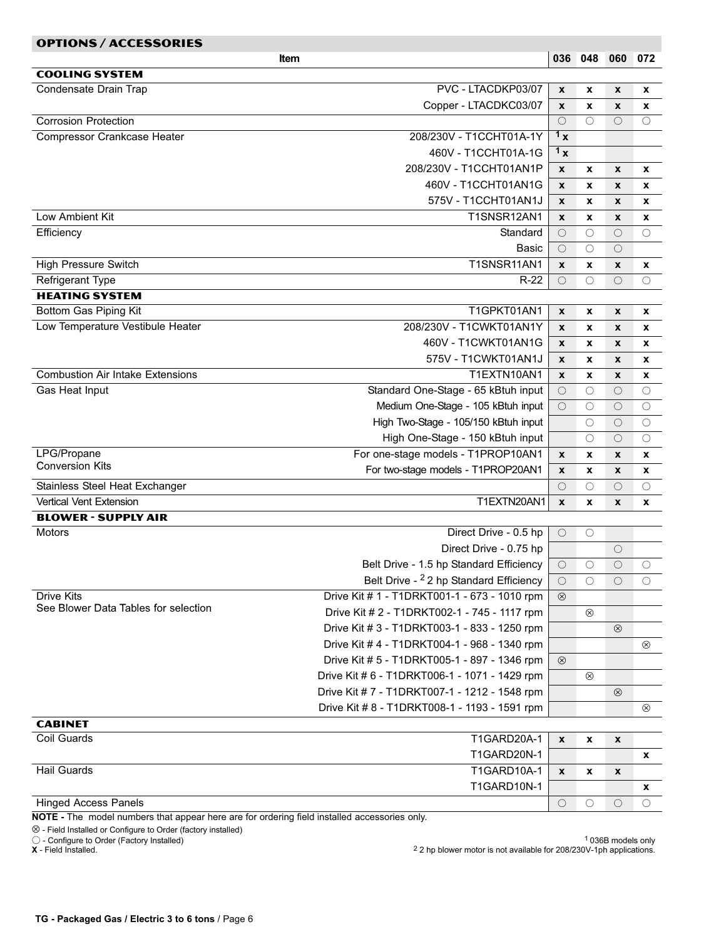| <b>COOLING SYSTEM</b><br>Condensate Drain Trap<br>PVC - LTACDKP03/07<br>X<br>x<br>X<br>x<br>Copper - LTACDKC03/07<br>$\boldsymbol{x}$<br>X<br>X<br>x<br>$\bigcirc$<br>$\bigcirc$<br>$\bigcirc$<br><b>Corrosion Protection</b><br>$\circlearrowright$<br>$\mathbf{1}_{\mathbf{X}}$<br>Compressor Crankcase Heater<br>208/230V - T1CCHT01A-1Y<br>1 <sub>x</sub><br>460V - T1CCHT01A-1G<br>208/230V - T1CCHT01AN1P<br>X<br>X<br>X<br>X<br>460V - T1CCHT01AN1G<br>$\boldsymbol{x}$<br>X<br>X<br>x<br>575V - T1CCHT01AN1J<br>$\mathbf{x}$<br>x<br>X<br>x<br>T1SNSR12AN1<br>Low Ambient Kit<br>$\boldsymbol{x}$<br>x<br>X<br>X<br>Efficiency<br>Standard<br>$\circ$<br>$\bigcirc$<br>$\circ$<br>$\circ$<br>Basic<br>$\circlearrowright$<br>$\circlearrowright$<br>O<br>T1SNSR11AN1<br><b>High Pressure Switch</b><br>$\boldsymbol{x}$<br>x<br>X<br>x<br><b>Refrigerant Type</b><br>$R-22$<br>$\bigcirc$<br>$\bigcirc$<br>О<br>$\circlearrowright$<br><b>HEATING SYSTEM</b><br>Bottom Gas Piping Kit<br>T1GPKT01AN1<br>$\pmb{\chi}$<br>X<br>X<br>x<br>Low Temperature Vestibule Heater<br>208/230V - T1CWKT01AN1Y<br>$\boldsymbol{x}$<br>X<br>X<br>x<br>460V - T1CWKT01AN1G<br>$\mathbf{x}$<br>x<br>X<br>x<br>575V - T1CWKT01AN1J<br>X<br>x<br>X<br>x<br><b>Combustion Air Intake Extensions</b><br>T1EXTN10AN1<br>X<br>x<br>X<br>x<br>Standard One-Stage - 65 kBtuh input<br>Gas Heat Input<br>$\bigcirc$<br>$\circlearrowright$<br>$\circ$<br>$\circlearrowright$<br>Medium One-Stage - 105 kBtuh input<br>$\circlearrowright$<br>$\circlearrowright$<br>$\circ$<br>О<br>High Two-Stage - 105/150 kBtuh input<br>$\circlearrowright$<br>$\circlearrowright$<br>$\circ$<br>High One-Stage - 150 kBtuh input<br>$\circ$<br>$\circlearrowright$<br>О<br>LPG/Propane<br>For one-stage models - T1PROP10AN1<br>$\pmb{\chi}$<br>x<br>X<br>x<br><b>Conversion Kits</b><br>For two-stage models - T1PROP20AN1<br>X<br>x<br>x<br>X<br>Stainless Steel Heat Exchanger<br>$\circ$<br>$\circlearrowright$<br>$\circlearrowright$<br>$\circlearrowright$<br>T1EXTN20AN1<br><b>Vertical Vent Extension</b><br>$\boldsymbol{x}$<br>x<br>X<br>X<br><b>BLOWER - SUPPLY AIR</b><br>Direct Drive - 0.5 hp<br>Motors<br>$\bigcirc$<br>$\circ$<br>Direct Drive - 0.75 hp<br>$\circlearrowright$<br>Belt Drive - 1.5 hp Standard Efficiency<br>$\circ$<br>$\circlearrowright$<br>O<br>$\circ$<br>Belt Drive - <sup>2</sup> 2 hp Standard Efficiency<br>$\circ$<br>$\circ$<br>О<br>O<br><b>Drive Kits</b><br>Drive Kit # 1 - T1DRKT001-1 - 673 - 1010 rpm<br>$\circledcirc$<br>See Blower Data Tables for selection<br>Drive Kit # 2 - T1DRKT002-1 - 745 - 1117 rpm<br>$^{\circledR}$<br>Drive Kit # 3 - T1DRKT003-1 - 833 - 1250 rpm<br>$^{\circledR}$<br>Drive Kit # 4 - T1DRKT004-1 - 968 - 1340 rpm<br>$\otimes$<br>Drive Kit # 5 - T1DRKT005-1 - 897 - 1346 rpm<br>$\circledcirc$<br>Drive Kit # 6 - T1DRKT006-1 - 1071 - 1429 rpm<br>$^{\circ}$<br>Drive Kit #7 - T1DRKT007-1 - 1212 - 1548 rpm<br>$^{\circledR}$<br>Drive Kit # 8 - T1DRKT008-1 - 1193 - 1591 rpm<br>⊗<br><b>CABINET</b><br>Coil Guards<br>T1GARD20A-1<br>$\pmb{\chi}$<br>x<br>X<br>T1GARD20N-1<br>x<br><b>Hail Guards</b><br>T1GARD10A-1<br>X<br>x<br>X<br>T1GARD10N-1<br>x<br><b>Hinged Access Panels</b><br>$\circlearrowright$<br>$\circ$<br>O<br>O<br>NOTE - The model numbers that appear here are for ordering field installed accessories only. | <b>OPTIONS / ACCESSORIES</b> |     |     |     |     |
|----------------------------------------------------------------------------------------------------------------------------------------------------------------------------------------------------------------------------------------------------------------------------------------------------------------------------------------------------------------------------------------------------------------------------------------------------------------------------------------------------------------------------------------------------------------------------------------------------------------------------------------------------------------------------------------------------------------------------------------------------------------------------------------------------------------------------------------------------------------------------------------------------------------------------------------------------------------------------------------------------------------------------------------------------------------------------------------------------------------------------------------------------------------------------------------------------------------------------------------------------------------------------------------------------------------------------------------------------------------------------------------------------------------------------------------------------------------------------------------------------------------------------------------------------------------------------------------------------------------------------------------------------------------------------------------------------------------------------------------------------------------------------------------------------------------------------------------------------------------------------------------------------------------------------------------------------------------------------------------------------------------------------------------------------------------------------------------------------------------------------------------------------------------------------------------------------------------------------------------------------------------------------------------------------------------------------------------------------------------------------------------------------------------------------------------------------------------------------------------------------------------------------------------------------------------------------------------------------------------------------------------------------------------------------------------------------------------------------------------------------------------------------------------------------------------------------------------------------------------------------------------------------------------------------------------------------------------------------------------------------------------------------------------------------------------------------------------------------------------------------------------------------------------------------------------------------------------------------------------------------------------------------------------------------------------------------------------------------------------------------------------------------|------------------------------|-----|-----|-----|-----|
|                                                                                                                                                                                                                                                                                                                                                                                                                                                                                                                                                                                                                                                                                                                                                                                                                                                                                                                                                                                                                                                                                                                                                                                                                                                                                                                                                                                                                                                                                                                                                                                                                                                                                                                                                                                                                                                                                                                                                                                                                                                                                                                                                                                                                                                                                                                                                                                                                                                                                                                                                                                                                                                                                                                                                                                                                                                                                                                                                                                                                                                                                                                                                                                                                                                                                                                                                                                                    | Item                         | 036 | 048 | 060 | 072 |
|                                                                                                                                                                                                                                                                                                                                                                                                                                                                                                                                                                                                                                                                                                                                                                                                                                                                                                                                                                                                                                                                                                                                                                                                                                                                                                                                                                                                                                                                                                                                                                                                                                                                                                                                                                                                                                                                                                                                                                                                                                                                                                                                                                                                                                                                                                                                                                                                                                                                                                                                                                                                                                                                                                                                                                                                                                                                                                                                                                                                                                                                                                                                                                                                                                                                                                                                                                                                    |                              |     |     |     |     |
|                                                                                                                                                                                                                                                                                                                                                                                                                                                                                                                                                                                                                                                                                                                                                                                                                                                                                                                                                                                                                                                                                                                                                                                                                                                                                                                                                                                                                                                                                                                                                                                                                                                                                                                                                                                                                                                                                                                                                                                                                                                                                                                                                                                                                                                                                                                                                                                                                                                                                                                                                                                                                                                                                                                                                                                                                                                                                                                                                                                                                                                                                                                                                                                                                                                                                                                                                                                                    |                              |     |     |     |     |
|                                                                                                                                                                                                                                                                                                                                                                                                                                                                                                                                                                                                                                                                                                                                                                                                                                                                                                                                                                                                                                                                                                                                                                                                                                                                                                                                                                                                                                                                                                                                                                                                                                                                                                                                                                                                                                                                                                                                                                                                                                                                                                                                                                                                                                                                                                                                                                                                                                                                                                                                                                                                                                                                                                                                                                                                                                                                                                                                                                                                                                                                                                                                                                                                                                                                                                                                                                                                    |                              |     |     |     |     |
|                                                                                                                                                                                                                                                                                                                                                                                                                                                                                                                                                                                                                                                                                                                                                                                                                                                                                                                                                                                                                                                                                                                                                                                                                                                                                                                                                                                                                                                                                                                                                                                                                                                                                                                                                                                                                                                                                                                                                                                                                                                                                                                                                                                                                                                                                                                                                                                                                                                                                                                                                                                                                                                                                                                                                                                                                                                                                                                                                                                                                                                                                                                                                                                                                                                                                                                                                                                                    |                              |     |     |     |     |
|                                                                                                                                                                                                                                                                                                                                                                                                                                                                                                                                                                                                                                                                                                                                                                                                                                                                                                                                                                                                                                                                                                                                                                                                                                                                                                                                                                                                                                                                                                                                                                                                                                                                                                                                                                                                                                                                                                                                                                                                                                                                                                                                                                                                                                                                                                                                                                                                                                                                                                                                                                                                                                                                                                                                                                                                                                                                                                                                                                                                                                                                                                                                                                                                                                                                                                                                                                                                    |                              |     |     |     |     |
|                                                                                                                                                                                                                                                                                                                                                                                                                                                                                                                                                                                                                                                                                                                                                                                                                                                                                                                                                                                                                                                                                                                                                                                                                                                                                                                                                                                                                                                                                                                                                                                                                                                                                                                                                                                                                                                                                                                                                                                                                                                                                                                                                                                                                                                                                                                                                                                                                                                                                                                                                                                                                                                                                                                                                                                                                                                                                                                                                                                                                                                                                                                                                                                                                                                                                                                                                                                                    |                              |     |     |     |     |
|                                                                                                                                                                                                                                                                                                                                                                                                                                                                                                                                                                                                                                                                                                                                                                                                                                                                                                                                                                                                                                                                                                                                                                                                                                                                                                                                                                                                                                                                                                                                                                                                                                                                                                                                                                                                                                                                                                                                                                                                                                                                                                                                                                                                                                                                                                                                                                                                                                                                                                                                                                                                                                                                                                                                                                                                                                                                                                                                                                                                                                                                                                                                                                                                                                                                                                                                                                                                    |                              |     |     |     |     |
|                                                                                                                                                                                                                                                                                                                                                                                                                                                                                                                                                                                                                                                                                                                                                                                                                                                                                                                                                                                                                                                                                                                                                                                                                                                                                                                                                                                                                                                                                                                                                                                                                                                                                                                                                                                                                                                                                                                                                                                                                                                                                                                                                                                                                                                                                                                                                                                                                                                                                                                                                                                                                                                                                                                                                                                                                                                                                                                                                                                                                                                                                                                                                                                                                                                                                                                                                                                                    |                              |     |     |     |     |
|                                                                                                                                                                                                                                                                                                                                                                                                                                                                                                                                                                                                                                                                                                                                                                                                                                                                                                                                                                                                                                                                                                                                                                                                                                                                                                                                                                                                                                                                                                                                                                                                                                                                                                                                                                                                                                                                                                                                                                                                                                                                                                                                                                                                                                                                                                                                                                                                                                                                                                                                                                                                                                                                                                                                                                                                                                                                                                                                                                                                                                                                                                                                                                                                                                                                                                                                                                                                    |                              |     |     |     |     |
|                                                                                                                                                                                                                                                                                                                                                                                                                                                                                                                                                                                                                                                                                                                                                                                                                                                                                                                                                                                                                                                                                                                                                                                                                                                                                                                                                                                                                                                                                                                                                                                                                                                                                                                                                                                                                                                                                                                                                                                                                                                                                                                                                                                                                                                                                                                                                                                                                                                                                                                                                                                                                                                                                                                                                                                                                                                                                                                                                                                                                                                                                                                                                                                                                                                                                                                                                                                                    |                              |     |     |     |     |
|                                                                                                                                                                                                                                                                                                                                                                                                                                                                                                                                                                                                                                                                                                                                                                                                                                                                                                                                                                                                                                                                                                                                                                                                                                                                                                                                                                                                                                                                                                                                                                                                                                                                                                                                                                                                                                                                                                                                                                                                                                                                                                                                                                                                                                                                                                                                                                                                                                                                                                                                                                                                                                                                                                                                                                                                                                                                                                                                                                                                                                                                                                                                                                                                                                                                                                                                                                                                    |                              |     |     |     |     |
|                                                                                                                                                                                                                                                                                                                                                                                                                                                                                                                                                                                                                                                                                                                                                                                                                                                                                                                                                                                                                                                                                                                                                                                                                                                                                                                                                                                                                                                                                                                                                                                                                                                                                                                                                                                                                                                                                                                                                                                                                                                                                                                                                                                                                                                                                                                                                                                                                                                                                                                                                                                                                                                                                                                                                                                                                                                                                                                                                                                                                                                                                                                                                                                                                                                                                                                                                                                                    |                              |     |     |     |     |
|                                                                                                                                                                                                                                                                                                                                                                                                                                                                                                                                                                                                                                                                                                                                                                                                                                                                                                                                                                                                                                                                                                                                                                                                                                                                                                                                                                                                                                                                                                                                                                                                                                                                                                                                                                                                                                                                                                                                                                                                                                                                                                                                                                                                                                                                                                                                                                                                                                                                                                                                                                                                                                                                                                                                                                                                                                                                                                                                                                                                                                                                                                                                                                                                                                                                                                                                                                                                    |                              |     |     |     |     |
|                                                                                                                                                                                                                                                                                                                                                                                                                                                                                                                                                                                                                                                                                                                                                                                                                                                                                                                                                                                                                                                                                                                                                                                                                                                                                                                                                                                                                                                                                                                                                                                                                                                                                                                                                                                                                                                                                                                                                                                                                                                                                                                                                                                                                                                                                                                                                                                                                                                                                                                                                                                                                                                                                                                                                                                                                                                                                                                                                                                                                                                                                                                                                                                                                                                                                                                                                                                                    |                              |     |     |     |     |
|                                                                                                                                                                                                                                                                                                                                                                                                                                                                                                                                                                                                                                                                                                                                                                                                                                                                                                                                                                                                                                                                                                                                                                                                                                                                                                                                                                                                                                                                                                                                                                                                                                                                                                                                                                                                                                                                                                                                                                                                                                                                                                                                                                                                                                                                                                                                                                                                                                                                                                                                                                                                                                                                                                                                                                                                                                                                                                                                                                                                                                                                                                                                                                                                                                                                                                                                                                                                    |                              |     |     |     |     |
|                                                                                                                                                                                                                                                                                                                                                                                                                                                                                                                                                                                                                                                                                                                                                                                                                                                                                                                                                                                                                                                                                                                                                                                                                                                                                                                                                                                                                                                                                                                                                                                                                                                                                                                                                                                                                                                                                                                                                                                                                                                                                                                                                                                                                                                                                                                                                                                                                                                                                                                                                                                                                                                                                                                                                                                                                                                                                                                                                                                                                                                                                                                                                                                                                                                                                                                                                                                                    |                              |     |     |     |     |
|                                                                                                                                                                                                                                                                                                                                                                                                                                                                                                                                                                                                                                                                                                                                                                                                                                                                                                                                                                                                                                                                                                                                                                                                                                                                                                                                                                                                                                                                                                                                                                                                                                                                                                                                                                                                                                                                                                                                                                                                                                                                                                                                                                                                                                                                                                                                                                                                                                                                                                                                                                                                                                                                                                                                                                                                                                                                                                                                                                                                                                                                                                                                                                                                                                                                                                                                                                                                    |                              |     |     |     |     |
|                                                                                                                                                                                                                                                                                                                                                                                                                                                                                                                                                                                                                                                                                                                                                                                                                                                                                                                                                                                                                                                                                                                                                                                                                                                                                                                                                                                                                                                                                                                                                                                                                                                                                                                                                                                                                                                                                                                                                                                                                                                                                                                                                                                                                                                                                                                                                                                                                                                                                                                                                                                                                                                                                                                                                                                                                                                                                                                                                                                                                                                                                                                                                                                                                                                                                                                                                                                                    |                              |     |     |     |     |
|                                                                                                                                                                                                                                                                                                                                                                                                                                                                                                                                                                                                                                                                                                                                                                                                                                                                                                                                                                                                                                                                                                                                                                                                                                                                                                                                                                                                                                                                                                                                                                                                                                                                                                                                                                                                                                                                                                                                                                                                                                                                                                                                                                                                                                                                                                                                                                                                                                                                                                                                                                                                                                                                                                                                                                                                                                                                                                                                                                                                                                                                                                                                                                                                                                                                                                                                                                                                    |                              |     |     |     |     |
|                                                                                                                                                                                                                                                                                                                                                                                                                                                                                                                                                                                                                                                                                                                                                                                                                                                                                                                                                                                                                                                                                                                                                                                                                                                                                                                                                                                                                                                                                                                                                                                                                                                                                                                                                                                                                                                                                                                                                                                                                                                                                                                                                                                                                                                                                                                                                                                                                                                                                                                                                                                                                                                                                                                                                                                                                                                                                                                                                                                                                                                                                                                                                                                                                                                                                                                                                                                                    |                              |     |     |     |     |
|                                                                                                                                                                                                                                                                                                                                                                                                                                                                                                                                                                                                                                                                                                                                                                                                                                                                                                                                                                                                                                                                                                                                                                                                                                                                                                                                                                                                                                                                                                                                                                                                                                                                                                                                                                                                                                                                                                                                                                                                                                                                                                                                                                                                                                                                                                                                                                                                                                                                                                                                                                                                                                                                                                                                                                                                                                                                                                                                                                                                                                                                                                                                                                                                                                                                                                                                                                                                    |                              |     |     |     |     |
|                                                                                                                                                                                                                                                                                                                                                                                                                                                                                                                                                                                                                                                                                                                                                                                                                                                                                                                                                                                                                                                                                                                                                                                                                                                                                                                                                                                                                                                                                                                                                                                                                                                                                                                                                                                                                                                                                                                                                                                                                                                                                                                                                                                                                                                                                                                                                                                                                                                                                                                                                                                                                                                                                                                                                                                                                                                                                                                                                                                                                                                                                                                                                                                                                                                                                                                                                                                                    |                              |     |     |     |     |
|                                                                                                                                                                                                                                                                                                                                                                                                                                                                                                                                                                                                                                                                                                                                                                                                                                                                                                                                                                                                                                                                                                                                                                                                                                                                                                                                                                                                                                                                                                                                                                                                                                                                                                                                                                                                                                                                                                                                                                                                                                                                                                                                                                                                                                                                                                                                                                                                                                                                                                                                                                                                                                                                                                                                                                                                                                                                                                                                                                                                                                                                                                                                                                                                                                                                                                                                                                                                    |                              |     |     |     |     |
|                                                                                                                                                                                                                                                                                                                                                                                                                                                                                                                                                                                                                                                                                                                                                                                                                                                                                                                                                                                                                                                                                                                                                                                                                                                                                                                                                                                                                                                                                                                                                                                                                                                                                                                                                                                                                                                                                                                                                                                                                                                                                                                                                                                                                                                                                                                                                                                                                                                                                                                                                                                                                                                                                                                                                                                                                                                                                                                                                                                                                                                                                                                                                                                                                                                                                                                                                                                                    |                              |     |     |     |     |
|                                                                                                                                                                                                                                                                                                                                                                                                                                                                                                                                                                                                                                                                                                                                                                                                                                                                                                                                                                                                                                                                                                                                                                                                                                                                                                                                                                                                                                                                                                                                                                                                                                                                                                                                                                                                                                                                                                                                                                                                                                                                                                                                                                                                                                                                                                                                                                                                                                                                                                                                                                                                                                                                                                                                                                                                                                                                                                                                                                                                                                                                                                                                                                                                                                                                                                                                                                                                    |                              |     |     |     |     |
|                                                                                                                                                                                                                                                                                                                                                                                                                                                                                                                                                                                                                                                                                                                                                                                                                                                                                                                                                                                                                                                                                                                                                                                                                                                                                                                                                                                                                                                                                                                                                                                                                                                                                                                                                                                                                                                                                                                                                                                                                                                                                                                                                                                                                                                                                                                                                                                                                                                                                                                                                                                                                                                                                                                                                                                                                                                                                                                                                                                                                                                                                                                                                                                                                                                                                                                                                                                                    |                              |     |     |     |     |
|                                                                                                                                                                                                                                                                                                                                                                                                                                                                                                                                                                                                                                                                                                                                                                                                                                                                                                                                                                                                                                                                                                                                                                                                                                                                                                                                                                                                                                                                                                                                                                                                                                                                                                                                                                                                                                                                                                                                                                                                                                                                                                                                                                                                                                                                                                                                                                                                                                                                                                                                                                                                                                                                                                                                                                                                                                                                                                                                                                                                                                                                                                                                                                                                                                                                                                                                                                                                    |                              |     |     |     |     |
|                                                                                                                                                                                                                                                                                                                                                                                                                                                                                                                                                                                                                                                                                                                                                                                                                                                                                                                                                                                                                                                                                                                                                                                                                                                                                                                                                                                                                                                                                                                                                                                                                                                                                                                                                                                                                                                                                                                                                                                                                                                                                                                                                                                                                                                                                                                                                                                                                                                                                                                                                                                                                                                                                                                                                                                                                                                                                                                                                                                                                                                                                                                                                                                                                                                                                                                                                                                                    |                              |     |     |     |     |
|                                                                                                                                                                                                                                                                                                                                                                                                                                                                                                                                                                                                                                                                                                                                                                                                                                                                                                                                                                                                                                                                                                                                                                                                                                                                                                                                                                                                                                                                                                                                                                                                                                                                                                                                                                                                                                                                                                                                                                                                                                                                                                                                                                                                                                                                                                                                                                                                                                                                                                                                                                                                                                                                                                                                                                                                                                                                                                                                                                                                                                                                                                                                                                                                                                                                                                                                                                                                    |                              |     |     |     |     |
|                                                                                                                                                                                                                                                                                                                                                                                                                                                                                                                                                                                                                                                                                                                                                                                                                                                                                                                                                                                                                                                                                                                                                                                                                                                                                                                                                                                                                                                                                                                                                                                                                                                                                                                                                                                                                                                                                                                                                                                                                                                                                                                                                                                                                                                                                                                                                                                                                                                                                                                                                                                                                                                                                                                                                                                                                                                                                                                                                                                                                                                                                                                                                                                                                                                                                                                                                                                                    |                              |     |     |     |     |
|                                                                                                                                                                                                                                                                                                                                                                                                                                                                                                                                                                                                                                                                                                                                                                                                                                                                                                                                                                                                                                                                                                                                                                                                                                                                                                                                                                                                                                                                                                                                                                                                                                                                                                                                                                                                                                                                                                                                                                                                                                                                                                                                                                                                                                                                                                                                                                                                                                                                                                                                                                                                                                                                                                                                                                                                                                                                                                                                                                                                                                                                                                                                                                                                                                                                                                                                                                                                    |                              |     |     |     |     |
|                                                                                                                                                                                                                                                                                                                                                                                                                                                                                                                                                                                                                                                                                                                                                                                                                                                                                                                                                                                                                                                                                                                                                                                                                                                                                                                                                                                                                                                                                                                                                                                                                                                                                                                                                                                                                                                                                                                                                                                                                                                                                                                                                                                                                                                                                                                                                                                                                                                                                                                                                                                                                                                                                                                                                                                                                                                                                                                                                                                                                                                                                                                                                                                                                                                                                                                                                                                                    |                              |     |     |     |     |
|                                                                                                                                                                                                                                                                                                                                                                                                                                                                                                                                                                                                                                                                                                                                                                                                                                                                                                                                                                                                                                                                                                                                                                                                                                                                                                                                                                                                                                                                                                                                                                                                                                                                                                                                                                                                                                                                                                                                                                                                                                                                                                                                                                                                                                                                                                                                                                                                                                                                                                                                                                                                                                                                                                                                                                                                                                                                                                                                                                                                                                                                                                                                                                                                                                                                                                                                                                                                    |                              |     |     |     |     |
|                                                                                                                                                                                                                                                                                                                                                                                                                                                                                                                                                                                                                                                                                                                                                                                                                                                                                                                                                                                                                                                                                                                                                                                                                                                                                                                                                                                                                                                                                                                                                                                                                                                                                                                                                                                                                                                                                                                                                                                                                                                                                                                                                                                                                                                                                                                                                                                                                                                                                                                                                                                                                                                                                                                                                                                                                                                                                                                                                                                                                                                                                                                                                                                                                                                                                                                                                                                                    |                              |     |     |     |     |
|                                                                                                                                                                                                                                                                                                                                                                                                                                                                                                                                                                                                                                                                                                                                                                                                                                                                                                                                                                                                                                                                                                                                                                                                                                                                                                                                                                                                                                                                                                                                                                                                                                                                                                                                                                                                                                                                                                                                                                                                                                                                                                                                                                                                                                                                                                                                                                                                                                                                                                                                                                                                                                                                                                                                                                                                                                                                                                                                                                                                                                                                                                                                                                                                                                                                                                                                                                                                    |                              |     |     |     |     |
|                                                                                                                                                                                                                                                                                                                                                                                                                                                                                                                                                                                                                                                                                                                                                                                                                                                                                                                                                                                                                                                                                                                                                                                                                                                                                                                                                                                                                                                                                                                                                                                                                                                                                                                                                                                                                                                                                                                                                                                                                                                                                                                                                                                                                                                                                                                                                                                                                                                                                                                                                                                                                                                                                                                                                                                                                                                                                                                                                                                                                                                                                                                                                                                                                                                                                                                                                                                                    |                              |     |     |     |     |
|                                                                                                                                                                                                                                                                                                                                                                                                                                                                                                                                                                                                                                                                                                                                                                                                                                                                                                                                                                                                                                                                                                                                                                                                                                                                                                                                                                                                                                                                                                                                                                                                                                                                                                                                                                                                                                                                                                                                                                                                                                                                                                                                                                                                                                                                                                                                                                                                                                                                                                                                                                                                                                                                                                                                                                                                                                                                                                                                                                                                                                                                                                                                                                                                                                                                                                                                                                                                    |                              |     |     |     |     |
|                                                                                                                                                                                                                                                                                                                                                                                                                                                                                                                                                                                                                                                                                                                                                                                                                                                                                                                                                                                                                                                                                                                                                                                                                                                                                                                                                                                                                                                                                                                                                                                                                                                                                                                                                                                                                                                                                                                                                                                                                                                                                                                                                                                                                                                                                                                                                                                                                                                                                                                                                                                                                                                                                                                                                                                                                                                                                                                                                                                                                                                                                                                                                                                                                                                                                                                                                                                                    |                              |     |     |     |     |
|                                                                                                                                                                                                                                                                                                                                                                                                                                                                                                                                                                                                                                                                                                                                                                                                                                                                                                                                                                                                                                                                                                                                                                                                                                                                                                                                                                                                                                                                                                                                                                                                                                                                                                                                                                                                                                                                                                                                                                                                                                                                                                                                                                                                                                                                                                                                                                                                                                                                                                                                                                                                                                                                                                                                                                                                                                                                                                                                                                                                                                                                                                                                                                                                                                                                                                                                                                                                    |                              |     |     |     |     |
|                                                                                                                                                                                                                                                                                                                                                                                                                                                                                                                                                                                                                                                                                                                                                                                                                                                                                                                                                                                                                                                                                                                                                                                                                                                                                                                                                                                                                                                                                                                                                                                                                                                                                                                                                                                                                                                                                                                                                                                                                                                                                                                                                                                                                                                                                                                                                                                                                                                                                                                                                                                                                                                                                                                                                                                                                                                                                                                                                                                                                                                                                                                                                                                                                                                                                                                                                                                                    |                              |     |     |     |     |
|                                                                                                                                                                                                                                                                                                                                                                                                                                                                                                                                                                                                                                                                                                                                                                                                                                                                                                                                                                                                                                                                                                                                                                                                                                                                                                                                                                                                                                                                                                                                                                                                                                                                                                                                                                                                                                                                                                                                                                                                                                                                                                                                                                                                                                                                                                                                                                                                                                                                                                                                                                                                                                                                                                                                                                                                                                                                                                                                                                                                                                                                                                                                                                                                                                                                                                                                                                                                    |                              |     |     |     |     |
|                                                                                                                                                                                                                                                                                                                                                                                                                                                                                                                                                                                                                                                                                                                                                                                                                                                                                                                                                                                                                                                                                                                                                                                                                                                                                                                                                                                                                                                                                                                                                                                                                                                                                                                                                                                                                                                                                                                                                                                                                                                                                                                                                                                                                                                                                                                                                                                                                                                                                                                                                                                                                                                                                                                                                                                                                                                                                                                                                                                                                                                                                                                                                                                                                                                                                                                                                                                                    |                              |     |     |     |     |
|                                                                                                                                                                                                                                                                                                                                                                                                                                                                                                                                                                                                                                                                                                                                                                                                                                                                                                                                                                                                                                                                                                                                                                                                                                                                                                                                                                                                                                                                                                                                                                                                                                                                                                                                                                                                                                                                                                                                                                                                                                                                                                                                                                                                                                                                                                                                                                                                                                                                                                                                                                                                                                                                                                                                                                                                                                                                                                                                                                                                                                                                                                                                                                                                                                                                                                                                                                                                    |                              |     |     |     |     |
|                                                                                                                                                                                                                                                                                                                                                                                                                                                                                                                                                                                                                                                                                                                                                                                                                                                                                                                                                                                                                                                                                                                                                                                                                                                                                                                                                                                                                                                                                                                                                                                                                                                                                                                                                                                                                                                                                                                                                                                                                                                                                                                                                                                                                                                                                                                                                                                                                                                                                                                                                                                                                                                                                                                                                                                                                                                                                                                                                                                                                                                                                                                                                                                                                                                                                                                                                                                                    |                              |     |     |     |     |
|                                                                                                                                                                                                                                                                                                                                                                                                                                                                                                                                                                                                                                                                                                                                                                                                                                                                                                                                                                                                                                                                                                                                                                                                                                                                                                                                                                                                                                                                                                                                                                                                                                                                                                                                                                                                                                                                                                                                                                                                                                                                                                                                                                                                                                                                                                                                                                                                                                                                                                                                                                                                                                                                                                                                                                                                                                                                                                                                                                                                                                                                                                                                                                                                                                                                                                                                                                                                    |                              |     |     |     |     |
|                                                                                                                                                                                                                                                                                                                                                                                                                                                                                                                                                                                                                                                                                                                                                                                                                                                                                                                                                                                                                                                                                                                                                                                                                                                                                                                                                                                                                                                                                                                                                                                                                                                                                                                                                                                                                                                                                                                                                                                                                                                                                                                                                                                                                                                                                                                                                                                                                                                                                                                                                                                                                                                                                                                                                                                                                                                                                                                                                                                                                                                                                                                                                                                                                                                                                                                                                                                                    |                              |     |     |     |     |
|                                                                                                                                                                                                                                                                                                                                                                                                                                                                                                                                                                                                                                                                                                                                                                                                                                                                                                                                                                                                                                                                                                                                                                                                                                                                                                                                                                                                                                                                                                                                                                                                                                                                                                                                                                                                                                                                                                                                                                                                                                                                                                                                                                                                                                                                                                                                                                                                                                                                                                                                                                                                                                                                                                                                                                                                                                                                                                                                                                                                                                                                                                                                                                                                                                                                                                                                                                                                    |                              |     |     |     |     |

⊗ - Field Installed or Configure to Order (factory installed)<br>○ - Configure to Order (Factory Installed)<br>X - Field Installed.

 $\bigcirc$  - Configure to Order (Factory Installed)  $1\,036\text{B}$  models only X − Field Installed. 2 2 hp blower motor is not available for 208/230V−1ph applications.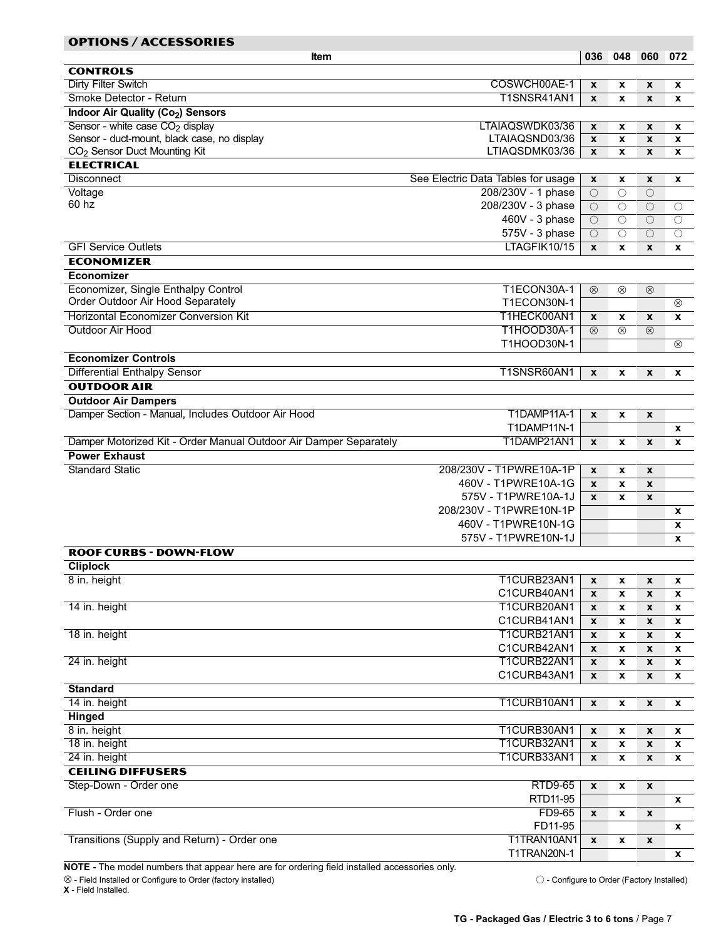<span id="page-6-0"></span>

| <b>OPTIONS / ACCESSORIES</b>                                      |                                    |                    |                    |                    |                     |
|-------------------------------------------------------------------|------------------------------------|--------------------|--------------------|--------------------|---------------------|
| <b>Item</b>                                                       |                                    |                    | 036 048 060 072    |                    |                     |
| <b>CONTROLS</b>                                                   |                                    |                    |                    |                    |                     |
| <b>Dirty Filter Switch</b>                                        | COSWCH00AE-1                       | X                  | X                  | $\mathbf{x}$       | x                   |
| Smoke Detector - Return                                           | T1SNSR41AN1                        | X                  | X                  | X                  | X                   |
| Indoor Air Quality (Co <sub>2</sub> ) Sensors                     |                                    |                    |                    |                    |                     |
| Sensor - white case CO <sub>2</sub> display                       | LTAIAQSWDK03/36                    | X                  | x                  | $\pmb{\mathsf{x}}$ | x                   |
| Sensor - duct-mount, black case, no display                       | LTAIAQSND03/36                     | X                  | X                  | $\pmb{\mathsf{x}}$ | X                   |
| CO <sub>2</sub> Sensor Duct Mounting Kit                          | LTIAQSDMK03/36                     | X                  | X                  | $\boldsymbol{x}$   | X                   |
| <b>ELECTRICAL</b>                                                 |                                    |                    |                    |                    |                     |
| <b>Disconnect</b>                                                 | See Electric Data Tables for usage | X                  | x                  | X                  | x                   |
| Voltage                                                           | 208/230V - 1 phase                 | $\bigcirc$         | $\bigcirc$         | $\bigcirc$         |                     |
| 60 hz                                                             | 208/230V - 3 phase                 | $\bigcirc$         | $\bigcirc$         | $\bigcirc$         | $\circ$             |
|                                                                   | 460V - 3 phase                     | $\bigcirc$         | $\bigcirc$         | $\overline{O}$     | $\bigcirc$          |
|                                                                   | 575V - 3 phase                     | О                  | $\bigcirc$         | О                  | $\circlearrowright$ |
| <b>GFI Service Outlets</b>                                        | LTAGFIK10/15                       | X                  | X                  | X                  | X                   |
| <b>ECONOMIZER</b>                                                 |                                    |                    |                    |                    |                     |
| <b>Economizer</b>                                                 |                                    |                    |                    |                    |                     |
| Economizer, Single Enthalpy Control                               | T1ECON30A-1                        | $\otimes$          | ⊗                  | $\otimes$          |                     |
| Order Outdoor Air Hood Separately                                 | T1ECON30N-1                        |                    |                    |                    | $\otimes$           |
| <b>Horizontal Economizer Conversion Kit</b>                       | T1HECK00AN1                        | X                  | x                  | $\boldsymbol{x}$   | X                   |
| Outdoor Air Hood                                                  | T1HOOD30A-1                        | $\circledR$        | $\circledcirc$     | $\circledcirc$     |                     |
|                                                                   | T1HOOD30N-1                        |                    |                    |                    | $^{\circledR}$      |
| <b>Economizer Controls</b>                                        |                                    |                    |                    |                    |                     |
| <b>Differential Enthalpy Sensor</b>                               | T1SNSR60AN1                        | X                  | X                  | X                  | X                   |
| <b>OUTDOOR AIR</b>                                                |                                    |                    |                    |                    |                     |
| <b>Outdoor Air Dampers</b>                                        |                                    |                    |                    |                    |                     |
| Damper Section - Manual, Includes Outdoor Air Hood                | T1DAMP11A-1                        | X                  | X                  | X                  |                     |
|                                                                   | T1DAMP11N-1                        |                    |                    |                    | x                   |
| Damper Motorized Kit - Order Manual Outdoor Air Damper Separately | T1DAMP21AN1                        | X                  | x                  | X                  | x                   |
| <b>Power Exhaust</b>                                              |                                    |                    |                    |                    |                     |
| <b>Standard Static</b>                                            | 208/230V - T1PWRE10A-1P            | X                  | x                  | X                  |                     |
|                                                                   | 460V - T1PWRE10A-1G                | X                  | X                  | X                  |                     |
|                                                                   | 575V - T1PWRE10A-1J                | X                  | X                  | X                  |                     |
|                                                                   | 208/230V - T1PWRE10N-1P            |                    |                    |                    | x                   |
|                                                                   | 460V - T1PWRE10N-1G                |                    |                    |                    | X                   |
|                                                                   | 575V - T1PWRE10N-1J                |                    |                    |                    | X                   |
| <b>ROOF CURBS - DOWN-FLOW</b>                                     |                                    |                    |                    |                    |                     |
| <b>Cliplock</b>                                                   |                                    |                    |                    |                    |                     |
| 8 in. height                                                      | T1CURB23AN1                        | $\pmb{\mathsf{x}}$ | X                  | $\pmb{\mathsf{x}}$ | x                   |
|                                                                   | C1CURB40AN1                        | X                  | X                  | $\pmb{\chi}$       | x                   |
| 14 in. height                                                     | T1CURB20AN1                        | X                  | X                  | X                  | x                   |
|                                                                   | C1CURB41AN1                        | X                  | X                  | X                  | x                   |
| 18 in. height                                                     | T1CURB21AN1<br>C1CURB42AN1         | X                  | X                  | X                  | x                   |
| 24 in. height                                                     | T1CURB22AN1                        | X                  | x                  | X                  | x                   |
|                                                                   | C1CURB43AN1                        | X                  | x                  | X                  | x                   |
| <b>Standard</b>                                                   |                                    | X                  | x                  | $\pmb{\mathsf{x}}$ | x                   |
| 14 in. height                                                     | T1CURB10AN1                        | $\pmb{\mathsf{x}}$ |                    |                    |                     |
| <b>Hinged</b>                                                     |                                    |                    | X                  | $\pmb{\mathsf{x}}$ | x                   |
| 8 in. height                                                      | T1CURB30AN1                        | $\pmb{\mathsf{x}}$ | X                  | $\pmb{\mathsf{x}}$ | x                   |
| 18 in. height                                                     | T1CURB32AN1                        | $\pmb{\mathsf{x}}$ | $\pmb{\mathsf{x}}$ | $\pmb{\chi}$       |                     |
| 24 in. height                                                     | T1CURB33AN1                        | X                  | X                  | X                  | X                   |
| <b>CEILING DIFFUSERS</b>                                          |                                    |                    |                    |                    | x                   |
| Step-Down - Order one                                             | <b>RTD9-65</b>                     | $\pmb{\mathsf{x}}$ | $\pmb{\mathsf{x}}$ | $\pmb{\chi}$       |                     |
|                                                                   | RTD11-95                           |                    |                    |                    | X                   |
| Flush - Order one                                                 | FD9-65                             | X                  | X                  | X                  |                     |
|                                                                   | FD11-95                            |                    |                    |                    | X                   |
| Transitions (Supply and Return) - Order one                       | T1TRAN10AN1                        | X                  | x                  | X                  |                     |
|                                                                   | T1TRAN20N-1                        |                    |                    |                    | $\mathbf x$         |

NOTE - The model numbers that appear here are for ordering field installed accessories only.

⊗ − Field Installed or Configure to Order (factory installed) − Configure to Order (Factory Installed) X − Field Installed.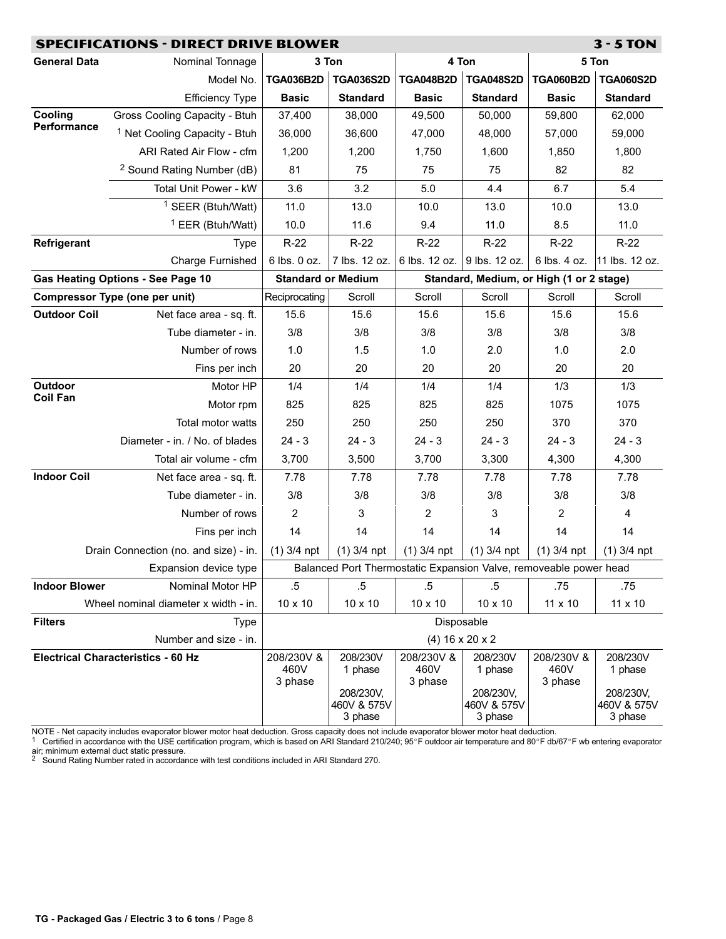<span id="page-7-0"></span>

|                      | <b>SPECIFICATIONS - DIRECT DRIVE BLOWER</b> |                           |                        |                             |                                                                   |                  | $3 - 5$ TON            |
|----------------------|---------------------------------------------|---------------------------|------------------------|-----------------------------|-------------------------------------------------------------------|------------------|------------------------|
| <b>General Data</b>  | Nominal Tonnage                             |                           | 3 Ton                  |                             | 4 Ton                                                             |                  | 5 Ton                  |
|                      | Model No.                                   | <b>TGA036B2D</b>          | <b>TGA036S2D</b>       | <b>TGA048B2D</b>            | <b>TGA048S2D</b>                                                  | <b>TGA060B2D</b> | <b>TGA060S2D</b>       |
|                      | <b>Efficiency Type</b>                      | <b>Basic</b>              | <b>Standard</b>        | <b>Basic</b>                | <b>Standard</b>                                                   | <b>Basic</b>     | <b>Standard</b>        |
| Cooling              | Gross Cooling Capacity - Btuh               | 37,400                    | 38,000                 | 49,500                      | 50,000                                                            | 59,800           | 62,000                 |
| Performance          | <sup>1</sup> Net Cooling Capacity - Btuh    | 36,000                    | 36,600                 | 47,000                      | 48,000                                                            | 57,000           | 59,000                 |
|                      | ARI Rated Air Flow - cfm                    | 1,200                     | 1,200                  | 1,750                       | 1,600                                                             | 1,850            | 1,800                  |
|                      | <sup>2</sup> Sound Rating Number (dB)       | 81                        | 75                     | 75                          | 75                                                                | 82               | 82                     |
|                      | Total Unit Power - kW                       | 3.6                       | 3.2                    | 5.0                         | 4.4                                                               | 6.7              | 5.4                    |
|                      | <sup>1</sup> SEER (Btuh/Watt)               | 11.0                      | 13.0                   | 10.0                        | 13.0                                                              | 10.0             | 13.0                   |
|                      | <sup>1</sup> EER (Btuh/Watt)                | 10.0                      | 11.6                   | 9.4                         | 11.0                                                              | 8.5              | 11.0                   |
| Refrigerant          | <b>Type</b>                                 | $R-22$                    | $R-22$                 | $R-22$                      | $R-22$                                                            | $R-22$           | $R-22$                 |
|                      | Charge Furnished                            | 6 lbs. 0 oz.              | 7 lbs. 12 oz.          | 6 lbs. 12 oz. 9 lbs. 12 oz. |                                                                   | 6 lbs. 4 oz.     | 11 lbs. 12 oz.         |
|                      | <b>Gas Heating Options - See Page 10</b>    | <b>Standard or Medium</b> |                        |                             | Standard, Medium, or High (1 or 2 stage)                          |                  |                        |
|                      | <b>Compressor Type (one per unit)</b>       | Reciprocating             | Scroll                 | Scroll                      | Scroll                                                            | Scroll           | Scroll                 |
| <b>Outdoor Coil</b>  | Net face area - sq. ft.                     | 15.6                      | 15.6                   | 15.6                        | 15.6                                                              | 15.6             | 15.6                   |
|                      | Tube diameter - in.                         | 3/8                       | 3/8                    | 3/8                         | 3/8                                                               | 3/8              | 3/8                    |
|                      | Number of rows                              | 1.0                       | 1.5                    | 1.0                         | 2.0                                                               | 1.0              | 2.0                    |
|                      | Fins per inch                               | 20                        | 20                     | 20                          | 20                                                                | 20               | 20                     |
| Outdoor              | Motor HP                                    | 1/4                       | 1/4                    | 1/4                         | 1/4                                                               | 1/3              | 1/3                    |
| <b>Coil Fan</b>      | Motor rpm                                   | 825                       | 825                    | 825                         | 825                                                               | 1075             | 1075                   |
|                      | Total motor watts                           | 250                       | 250                    | 250                         | 250                                                               | 370              | 370                    |
|                      | Diameter - in. / No. of blades              | $24 - 3$                  | $24 - 3$               | $24 - 3$                    | $24 - 3$                                                          | $24 - 3$         | $24 - 3$               |
|                      | Total air volume - cfm                      | 3,700                     | 3,500                  | 3,700                       | 3,300                                                             | 4,300            | 4,300                  |
| <b>Indoor Coil</b>   | Net face area - sq. ft.                     | 7.78                      | 7.78                   | 7.78                        | 7.78                                                              | 7.78             | 7.78                   |
|                      | Tube diameter - in.                         | 3/8                       | 3/8                    | 3/8                         | 3/8                                                               | 3/8              | 3/8                    |
|                      | Number of rows                              | 2                         | 3                      | 2                           | 3                                                                 | 2                | 4                      |
|                      | Fins per inch                               | 14                        | 14                     | 14                          | 14                                                                | 14               | 14                     |
|                      | Drain Connection (no. and size) - in.       | $(1)$ 3/4 npt             | $(1)$ 3/4 npt          | $(1)$ 3/4 npt               | $(1)$ 3/4 npt                                                     | $(1)$ 3/4 npt    | $(1)$ 3/4 npt          |
|                      | Expansion device type                       |                           |                        |                             | Balanced Port Thermostatic Expansion Valve, removeable power head |                  |                        |
| <b>Indoor Blower</b> | Nominal Motor HP                            | $.5\,$                    | $.5\,$                 | $.5\,$                      | $.5\,$                                                            | .75              | .75                    |
|                      | Wheel nominal diameter x width - in.        | 10 x 10                   | $10 \times 10$         | 10 x 10                     | 10 x 10                                                           | 11 x 10          | 11 x 10                |
| <b>Filters</b>       | <b>Type</b>                                 |                           |                        |                             | Disposable                                                        |                  |                        |
|                      | Number and size - in.                       |                           |                        |                             | $(4)$ 16 x 20 x 2                                                 |                  |                        |
|                      | <b>Electrical Characteristics - 60 Hz</b>   | 208/230V &                | 208/230V               | 208/230V &                  | 208/230V                                                          | 208/230V &       | 208/230V               |
|                      |                                             | 460V<br>3 phase           | 1 phase                | 460V<br>3 phase             | 1 phase                                                           | 460V<br>3 phase  | 1 phase                |
|                      |                                             |                           | 208/230V,              |                             | 208/230V,                                                         |                  | 208/230V,              |
|                      |                                             |                           | 460V & 575V<br>3 phase |                             | 460V & 575V<br>3 phase                                            |                  | 460V & 575V<br>3 phase |

NOTE - Net capacity includes evaporator blower motor heat deduction. Gross capacity does not include evaporator blower motor heat deduction.<br><sup>1</sup> Certified in accordance with the USE certification program, which is based air; minimum external duct static pressure.<br><sup>2</sup> Sound Rating Number rated in accordance with test conditions included in ARI Standard 270.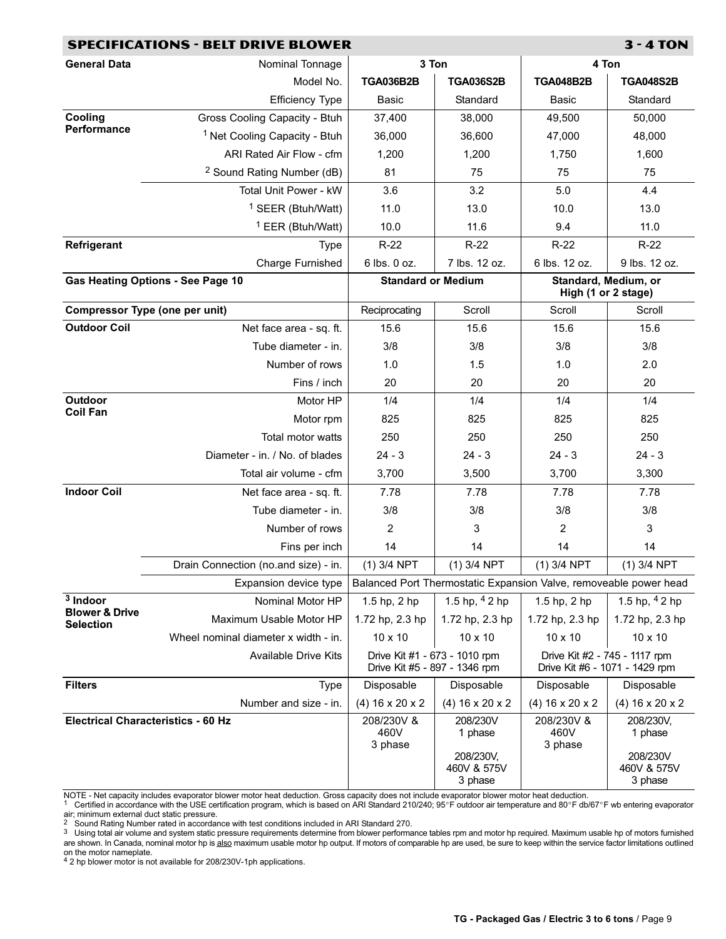|                                               | <b>SPECIFICATIONS - BELT DRIVE BLOWER</b> |                               |                                  |                                                                   | <b>3 - 4 TON</b>                                                |
|-----------------------------------------------|-------------------------------------------|-------------------------------|----------------------------------|-------------------------------------------------------------------|-----------------------------------------------------------------|
| <b>General Data</b>                           | Nominal Tonnage                           | 3 Ton                         |                                  | 4 Ton                                                             |                                                                 |
|                                               | Model No.                                 | <b>TGA036B2B</b>              | <b>TGA036S2B</b>                 | <b>TGA048B2B</b>                                                  | <b>TGA048S2B</b>                                                |
|                                               | <b>Efficiency Type</b>                    | Basic                         | Standard                         | Basic                                                             | Standard                                                        |
| Cooling                                       | Gross Cooling Capacity - Btuh             | 37,400                        | 38,000                           | 49,500                                                            | 50,000                                                          |
| Performance                                   | <sup>1</sup> Net Cooling Capacity - Btuh  | 36,000                        | 36,600                           | 47,000                                                            | 48,000                                                          |
|                                               | ARI Rated Air Flow - cfm                  | 1,200                         | 1,200                            | 1,750                                                             | 1,600                                                           |
|                                               | <sup>2</sup> Sound Rating Number (dB)     | 81                            | 75                               | 75                                                                | 75                                                              |
|                                               | Total Unit Power - kW                     | 3.6                           | 3.2                              | 5.0                                                               | 4.4                                                             |
|                                               | <sup>1</sup> SEER (Btuh/Watt)             | 11.0                          | 13.0                             | 10.0                                                              | 13.0                                                            |
|                                               | <sup>1</sup> EER (Btuh/Watt)              | 10.0                          | 11.6                             | 9.4                                                               | 11.0                                                            |
| Refrigerant                                   | <b>Type</b>                               | $R-22$                        | $R-22$                           | $R-22$                                                            | $R-22$                                                          |
|                                               | Charge Furnished                          | 6 lbs. 0 oz.                  | 7 lbs. 12 oz.                    | 6 lbs. 12 oz.                                                     | 9 lbs. 12 oz.                                                   |
| <b>Gas Heating Options - See Page 10</b>      |                                           | <b>Standard or Medium</b>     |                                  | Standard, Medium, or<br>High (1 or 2 stage)                       |                                                                 |
| <b>Compressor Type (one per unit)</b>         |                                           | Reciprocating                 | Scroll                           | Scroll                                                            | Scroll                                                          |
| <b>Outdoor Coil</b>                           | Net face area - sq. ft.                   | 15.6                          | 15.6                             | 15.6                                                              | 15.6                                                            |
|                                               | Tube diameter - in.                       | 3/8                           | 3/8                              | 3/8                                                               | 3/8                                                             |
|                                               | Number of rows                            | 1.0                           | 1.5                              | 1.0                                                               | 2.0                                                             |
|                                               | Fins / inch                               | 20                            | 20                               | 20                                                                | 20                                                              |
| Outdoor                                       | Motor HP                                  | 1/4                           | 1/4                              | 1/4                                                               | 1/4                                                             |
| <b>Coil Fan</b>                               | Motor rpm                                 | 825                           | 825                              | 825                                                               | 825                                                             |
|                                               | Total motor watts                         | 250                           | 250                              | 250                                                               | 250                                                             |
|                                               | Diameter - in. / No. of blades            | $24 - 3$                      | $24 - 3$                         | $24 - 3$                                                          | $24 - 3$                                                        |
|                                               | Total air volume - cfm                    | 3,700                         | 3,500                            | 3,700                                                             | 3,300                                                           |
| <b>Indoor Coil</b>                            | Net face area - sq. ft.                   | 7.78                          | 7.78                             | 7.78                                                              | 7.78                                                            |
|                                               | Tube diameter - in.                       | 3/8                           | 3/8                              | 3/8                                                               | 3/8                                                             |
|                                               | Number of rows                            | $\overline{c}$                | 3                                | $\overline{2}$                                                    | 3                                                               |
|                                               | Fins per inch                             | 14                            | 14                               | 14                                                                | 14                                                              |
|                                               | Drain Connection (no.and size) - in.      | $(1)$ 3/4 NPT                 | $(1)$ 3/4 NPT                    | $(1)$ 3/4 NPT                                                     | $(1)$ 3/4 NPT                                                   |
|                                               | Expansion device type                     |                               |                                  | Balanced Port Thermostatic Expansion Valve, removeable power head |                                                                 |
| $3$ Indoor                                    | Nominal Motor HP                          | 1.5 hp, 2 hp                  | 1.5 hp, $42$ hp                  | 1.5 hp, 2 hp                                                      | 1.5 hp, $42$ hp                                                 |
| <b>Blower &amp; Drive</b><br><b>Selection</b> | Maximum Usable Motor HP                   | 1.72 hp, 2.3 hp               | 1.72 hp, 2.3 hp                  | 1.72 hp, 2.3 hp                                                   | 1.72 hp, 2.3 hp                                                 |
|                                               | Wheel nominal diameter x width - in.      | 10 x 10                       | 10 x 10                          | 10 x 10                                                           | 10 x 10                                                         |
|                                               | <b>Available Drive Kits</b>               | Drive Kit #5 - 897 - 1346 rpm | Drive Kit #1 - 673 - 1010 rpm    |                                                                   | Drive Kit #2 - 745 - 1117 rpm<br>Drive Kit #6 - 1071 - 1429 rpm |
| <b>Filters</b>                                | <b>Type</b>                               | Disposable                    | Disposable                       | Disposable                                                        | Disposable                                                      |
|                                               | Number and size - in.                     | $(4)$ 16 x 20 x 2             | $(4)$ 16 x 20 x 2                | $(4)$ 16 x 20 x 2                                                 | $(4)$ 16 x 20 x 2                                               |
| <b>Electrical Characteristics - 60 Hz</b>     |                                           | 208/230V &<br>460V<br>3 phase | 208/230V<br>1 phase<br>208/230V, | 208/230V &<br>460V<br>3 phase                                     | 208/230V,<br>1 phase<br>208/230V                                |
|                                               |                                           |                               | 460V & 575V<br>3 phase           |                                                                   | 460V & 575V<br>3 phase                                          |

NOTE - Net capacity includes evaporator blower motor heat deduction. Gross capacity does not include evaporator blower motor heat deduction.<br><sup>1</sup> Certified in accordance with the USE certification program, which is based air; minimum external duct static pressure.<br><sup>2</sup> Sound Rating Number rated in accordance with test conditions included in ARI Standard 270.<br><sup>3</sup> Using total air volume and system static pressure requirements determine from b

are shown. In Canada, nominal motor hp is <u>also</u> maximum usable motor hp output. If motors of comparable hp are used, be sure to keep within the service factor limitations outlined

on the motor nameplate. 4 2 hp blower motor is not available for 208/230V−1ph applications.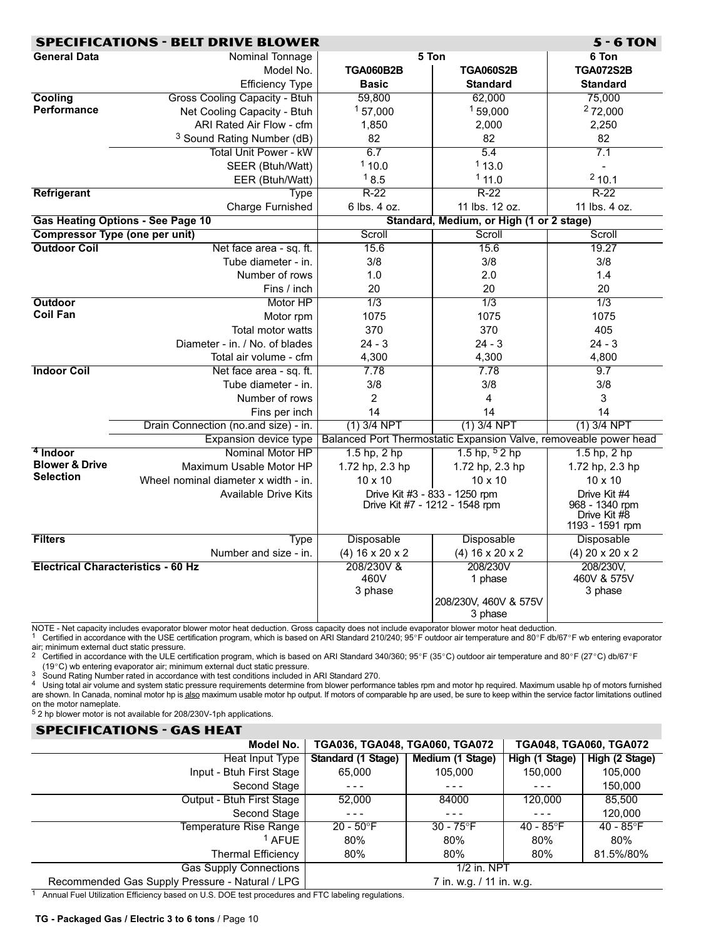<span id="page-9-0"></span>

|                                           | <b>SPECIFICATIONS - BELT DRIVE BLOWER</b> |                   |                                                                   | $5 - 6$ TON                    |
|-------------------------------------------|-------------------------------------------|-------------------|-------------------------------------------------------------------|--------------------------------|
| <b>General Data</b>                       | Nominal Tonnage                           |                   | 5 Ton                                                             | 6 Ton                          |
|                                           | Model No.                                 | <b>TGA060B2B</b>  | <b>TGA060S2B</b>                                                  | <b>TGA072S2B</b>               |
|                                           | <b>Efficiency Type</b>                    | <b>Basic</b>      | <b>Standard</b>                                                   | <b>Standard</b>                |
| Cooling                                   | Gross Cooling Capacity - Btuh             | 59,800            | 62,000                                                            | 75,000                         |
| <b>Performance</b>                        | Net Cooling Capacity - Btuh               | 157,000           | 159,000                                                           | 272,000                        |
|                                           | ARI Rated Air Flow - cfm                  | 1,850             | 2,000                                                             | 2,250                          |
|                                           | <sup>3</sup> Sound Rating Number (dB)     | 82                | 82                                                                | 82                             |
|                                           | <b>Total Unit Power - kW</b>              | 6.7               | 5.4                                                               | 7.1                            |
|                                           | SEER (Btuh/Watt)                          | 110.0             | 113.0                                                             | $\blacksquare$                 |
|                                           | EER (Btuh/Watt)                           | 18.5              | 111.0                                                             | 210.1                          |
| Refrigerant                               | <b>Type</b>                               | $R-22$            | $R-22$                                                            | $R-22$                         |
|                                           | <b>Charge Furnished</b>                   | 6 lbs. 4 oz.      | 11 lbs. 12 oz.                                                    | 11 lbs. 4 oz.                  |
|                                           | <b>Gas Heating Options - See Page 10</b>  |                   | Standard, Medium, or High (1 or 2 stage)                          |                                |
| <b>Compressor Type (one per unit)</b>     |                                           | Scroll            | Scroll                                                            | Scroll                         |
| <b>Outdoor Coil</b>                       | Net face area - sq. ft.                   | 15.6              | 15.6                                                              | 19.27                          |
|                                           | Tube diameter - in.                       | 3/8               | 3/8                                                               | 3/8                            |
|                                           | Number of rows                            | 1.0               | 2.0                                                               | 1.4                            |
|                                           | Fins / inch                               | 20                | 20                                                                | 20                             |
| <b>Outdoor</b>                            | Motor HP                                  | 1/3               | 1/3                                                               | 1/3                            |
| <b>Coil Fan</b>                           | Motor rpm                                 | 1075              | 1075                                                              | 1075                           |
|                                           | <b>Total motor watts</b>                  | 370               | 370                                                               | 405                            |
|                                           | Diameter - in. / No. of blades            | $24 - 3$          | $24 - 3$                                                          | $24 - 3$                       |
|                                           | Total air volume - cfm                    | 4,300             | 4,300                                                             | 4,800                          |
| <b>Indoor Coil</b>                        | Net face area - sq. ft.                   | 7.78              | 7.78                                                              | 9.7                            |
|                                           | Tube diameter - in.                       | 3/8               | 3/8                                                               | 3/8                            |
|                                           | Number of rows                            | $\overline{2}$    | 4                                                                 | 3                              |
|                                           | Fins per inch                             | 14                | 14                                                                | 14                             |
|                                           | Drain Connection (no.and size) - in.      | $(1)$ 3/4 NPT     | $(1)$ 3/4 NPT                                                     | $(1)$ 3/4 NPT                  |
|                                           | <b>Expansion device type</b>              |                   | Balanced Port Thermostatic Expansion Valve, removeable power head |                                |
| <sup>4</sup> Indoor                       | Nominal Motor HP                          | $1.5$ hp, $2$ hp  | 1.5 hp, $52$ hp                                                   | $1.5$ hp, $2$ hp               |
| <b>Blower &amp; Drive</b>                 | Maximum Usable Motor HP                   | 1.72 hp, 2.3 hp   | 1.72 hp, 2.3 hp                                                   | 1.72 hp, 2.3 hp                |
| <b>Selection</b>                          | Wheel nominal diameter x width - in.      | 10 x 10           | $10 \times 10$                                                    | 10 x 10                        |
|                                           | <b>Available Drive Kits</b>               |                   | Drive Kit #3 - 833 - 1250 rpm                                     | Drive Kit #4                   |
|                                           |                                           |                   | Drive Kit #7 - 1212 - 1548 rpm                                    | 968 - 1340 rpm<br>Drive Kit #8 |
|                                           |                                           |                   |                                                                   | 1193 - 1591 rpm                |
| <b>Filters</b>                            | Type                                      | Disposable        | Disposable                                                        | Disposable                     |
|                                           | Number and size - in.                     | $(4)$ 16 x 20 x 2 | $(4)$ 16 x 20 x 2                                                 | $(4)$ 20 x 20 x 2              |
| <b>Electrical Characteristics - 60 Hz</b> |                                           | 208/230V &        | 208/230V                                                          | 208/230V,                      |
|                                           |                                           | 460V              | 1 phase                                                           | 460V & 575V                    |
|                                           |                                           | 3 phase           |                                                                   | 3 phase                        |
|                                           |                                           |                   | 208/230V, 460V & 575V                                             |                                |
|                                           |                                           |                   | 3 phase                                                           |                                |

NOTE − Net capacity includes evaporator blower motor heat deduction. Gross capacity does not include evaporator blower motor heat deduction.

1 Certified in accordance with the USE certification program, which is based on ARI Standard 210/240; 95°F outdoor air temperature and 80°F db/67°F wb entering evaporator **air:** minimum external duct static pressure.<br>
<sup>2</sup> Certified in constant

Certified in accordance with the ULE certification program, which is based on ARI Standard 340/360;  $95^{\circ}F$  (35°C) outdoor air temperature and 80°F (27°C) db/67°F

(19°C) wb entering evaporator air; minimum external duct static pressure.<br>Sound Rating Number rated in accordance with test conditions included in ARI Standard 270.

3 Sound Rating Number rated in accordance with test conditions included in ARI Standard 270.<br>4 Using total air volume and system static pressure requirements determine from blower performance tables rpm and motor hp requir are shown. In Canada, nominal motor hp is also maximum usable motor hp output. If motors of comparable hp are used, be sure to keep within the service factor limitations outlined on the motor nameplate.

5 2 hp blower motor is not available for 208/230V−1ph applications.

# SPECIFICATIONS − GAS HEAT Model No. TGA036, TGA048, TGA060, TGA072 TGA048, TGA060, TGA072 Heat Input Type Standard (1 Stage) Medium (1 Stage) High (1 Stage) High (2 Stage) Input − Btuh First Stage 65,000 105,000 150,000 105,000 Second Stage | − − − − − − − − − − − − − − − − 150,000 Output − Btuh First Stage 52,000 84000 120,000 85,500 Second Stage | − − − − − − − − − − − − − − − − 120,000 Temperature Rise Range | 20 − 50°F | 30 − 75°F | 40 − 85°F | 40 − 85°F 1 AFUE | 80% | 80% | 80% | 80% Thermal Efficiency | 80% | 80% | 80% | 81.5%/80% Gas Supply Connections | 1/2 in. NPT Recommended Gas Supply Pressure - Natural / LPG | 7 in. w.g. / 11 in. w.g. 7 in. w.g. / 11 in. w.g. 1 Annual Fuel Utilization Efficiency based on U.S. DOE test procedures and FTC labeling regulations.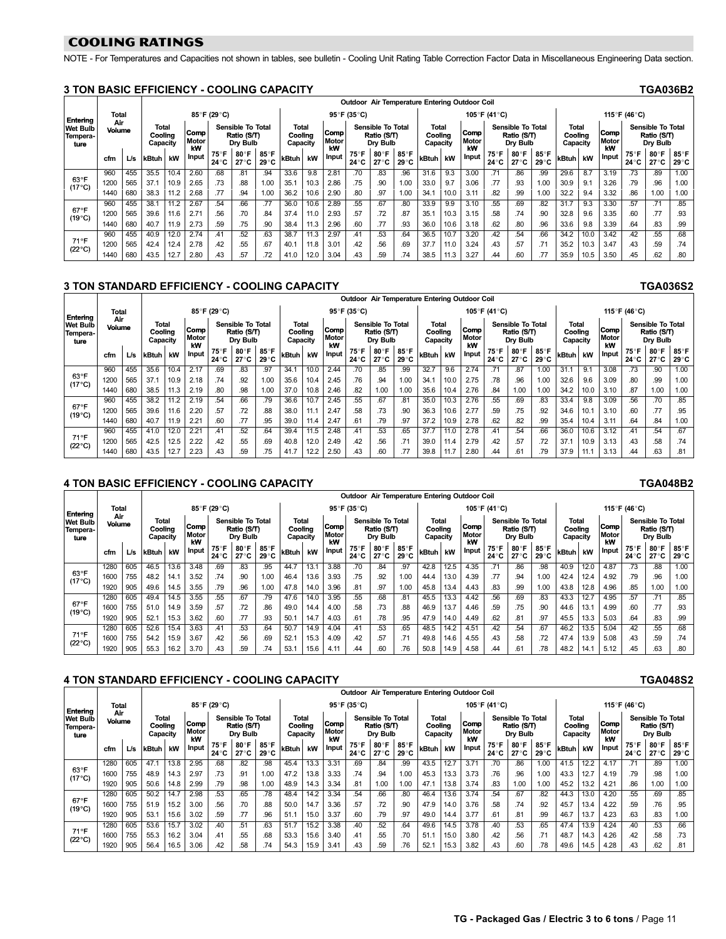# <span id="page-10-0"></span>COOLING RATINGS

NOTE - For Temperatures and Capacities not shown in tables, see bulletin - Cooling Unit Rating Table Correction Factor Data in Miscellaneous Engineering Data section.

#### 3 TON BASIC EFFICIENCY − COOLING CAPACITY TGA036B2

|                                     |               |     |                              |      |                     |               |                                                     |               |                              |      |                     |               |                                                     |               |                                     |      | Outdoor Air Temperature Entering Outdoor Coil |                      |                                                     |                        |                              |      |                     |              |                                                     |                      |
|-------------------------------------|---------------|-----|------------------------------|------|---------------------|---------------|-----------------------------------------------------|---------------|------------------------------|------|---------------------|---------------|-----------------------------------------------------|---------------|-------------------------------------|------|-----------------------------------------------|----------------------|-----------------------------------------------------|------------------------|------------------------------|------|---------------------|--------------|-----------------------------------------------------|----------------------|
| Entering                            | Total         |     |                              |      |                     | 85°F (29°C)   |                                                     |               |                              |      |                     | 95°F (35°C)   |                                                     |               |                                     |      |                                               | 105°F (41°C)         |                                                     |                        |                              |      |                     | 115°F (46°C) |                                                     |                      |
| <b>Wet Bulb</b><br>Tempera-<br>ture | Air<br>Volume |     | Total<br>Coolina<br>Capacity |      | Comp<br>Motor<br>kW |               | <b>Sensible To Total</b><br>Ratio (S/T)<br>Dry Bulb |               | Total<br>Coolina<br>Capacity |      | Comp<br>Motor<br>kW |               | <b>Sensible To Total</b><br>Ratio (S/T)<br>Dry Bulb |               | <b>Total</b><br>Cooling<br>Capacity |      | Comp<br>Motor<br>kW                           |                      | <b>Sensible To Total</b><br>Ratio (S/T)<br>Dry Bulb |                        | Total<br>Coolina<br>Capacity |      | Comp<br>Motor<br>kW |              | <b>Sensible To Total</b><br>Ratio (S/T)<br>Dry Bulb |                      |
|                                     | cfm           | L/s | kBtuh                        | kW   | <b>Input</b>        | 75°F<br>24 °C | 80°F<br>$27^\circ$ C                                | 85°F<br>29 °C | kBtuh                        | kW   | Input               | 75°F<br>24 °C | 80°F<br>$27^\circ C$                                | 85°F<br>29 °C | kBtuh                               | kW   | Input                                         | 75°F<br>$24^\circ$ C | 80°F<br>27 ° C                                      | 85°F<br>$29^{\circ}$ C | kBtuh                        | kW   | Input               | 75°F<br>24°C | 80°F<br>27°C                                        | 85°F<br>$29^\circ C$ |
|                                     | 960           | 455 | 35.5                         | 10.4 | 2.60                | .68           | .81                                                 | .94           | 33.6                         | 9.8  | 2.81                | .70           | .83                                                 | .96           | 31.6                                | 9.3  | 3.00                                          | .71                  | .86                                                 | .99                    | 29.6                         | 8.7  | 3.19                | .73          | .89                                                 | 1.00                 |
| $63^{\circ}$ F<br>$(17^{\circ}C)$   | 1200          | 565 | 37.1                         | 10.9 | 2.65                | .73           | .88                                                 | 1.00          | 35.1                         | 10.3 | 2.86                | .75           | .90                                                 | 1.00          | 33.0                                | 9.7  | 3.06                                          | .77                  | .93                                                 | 1.00                   | 30.9                         | 9.1  | 3.26                | .79          | .96                                                 | 1.00                 |
|                                     | 1440          | 680 | 38.3                         | 11.2 | 2.68                | .77           | .94                                                 | 1.00          | 36.2                         | 10.6 | 2.90                | .80           | .97                                                 | 1.00          | 34.1                                | 10.0 | 3.11                                          | .82                  | .99                                                 | 1.00                   | 32.2                         | 9.4  | 3.32                | .86          | 1.00                                                | 1.00                 |
|                                     | 960           | 455 | 38.1                         | 11.2 | 2.67                | .54           | .66                                                 | .77           | 36.0                         | 10.6 | 2.89                | .55           | .67                                                 | .80           | 33.9                                | 9.9  | 3.10                                          | .55                  | .69                                                 | .82                    | 31.7                         | 9.3  | 3.30                | .57          | .71                                                 | .85                  |
| $67^{\circ}$ F<br>$(19^{\circ}C)$   | 1200          | 565 | 39.6                         | 11.6 | 2.71                | .56           | .70                                                 | .84           | 37.4                         | 11.0 | 2.93                | .57           | .72                                                 | .87           | 35.1                                | 10.3 | 3.15                                          | .58                  | .74                                                 | .90                    | 32.8                         | 9.6  | 3.35                | .60          | .77                                                 | .93                  |
|                                     | 1440          | 680 | 40.7                         | 11.9 | 2.73                | .59           | .75                                                 | .90           | 38.4                         | 11.3 | 2.96                | .60           | .77                                                 | .93           | 36.0                                | 10.6 | 3.18                                          | .62                  | .80                                                 | .96                    | 33.6                         | 9.8  | 3.39                | .64          | .83                                                 | .99                  |
|                                     | 960           | 455 | 40.9                         | 12.0 | 2.74                | .41           | .52                                                 | .63           | 38.7                         | 11.3 | 2.97                | .41           | .53                                                 | .64           | 36.5                                | 10.7 | 3.20                                          | .42                  | .54                                                 | .66                    | 34.2                         | 10.0 | 3.42                | .42          | .55                                                 | .68                  |
| 71°F<br>$(22^{\circ}C)$             | 1200          | 565 | 42.4                         | 12.4 | 2.78                | .42           | .55                                                 | .67           | 40.1                         | 11.8 | 3.01                | .42           | .56                                                 | .69           | 37.7                                | 11.0 | 3.24                                          | .43                  | .57                                                 | .71                    | 35.2                         | 10.3 | 3.47                | .43          | .59                                                 | .74                  |
|                                     | 1440          | 680 | 43.5                         | 12.7 | 2.80                | .43           | .57                                                 | .72           | 41.0                         | 12.0 | 3.04                | .43           | .59                                                 | .74           | 38.5                                | 11.3 | 3.27                                          | .44                  | .60                                                 | .77                    | 35.9                         | 10.5 | 3.50                | .45          | .62                                                 | .80                  |

# 3 TON STANDARD EFFICIENCY - COOLING CAPACITY TGA036S2

|                                     |               |     |                                     |      |                            |                |                                              |              |                                     |      |                     | Outdoor Air Temperature Entering Outdoor Coil |                                                     |               |                              |      |                     |                |                                                     |               |                                     |      |                     |              |                                                     |                        |
|-------------------------------------|---------------|-----|-------------------------------------|------|----------------------------|----------------|----------------------------------------------|--------------|-------------------------------------|------|---------------------|-----------------------------------------------|-----------------------------------------------------|---------------|------------------------------|------|---------------------|----------------|-----------------------------------------------------|---------------|-------------------------------------|------|---------------------|--------------|-----------------------------------------------------|------------------------|
| Entering                            | Total         |     |                                     |      |                            | 85°F (29°C)    |                                              |              |                                     |      |                     | 95°F (35°C)                                   |                                                     |               |                              |      |                     | 105°F (41°C)   |                                                     |               |                                     |      |                     | 115°F (46°C) |                                                     |                        |
| <b>Wet Bulb</b><br>Tempera-<br>ture | Air<br>Volume |     | <b>Total</b><br>Coolina<br>Capacity |      | Comp<br><b>Motor</b><br>kW |                | Sensible To Total<br>Ratio (S/T)<br>Dry Bulb |              | <b>Total</b><br>Coolina<br>Capacity |      | Comp<br>Motor<br>kW |                                               | <b>Sensible To Total</b><br>Ratio (S/T)<br>Drv Bulb |               | Total<br>Coolina<br>Capacity |      | Comp<br>Motor<br>kW |                | <b>Sensible To Total</b><br>Ratio (S/T)<br>Dry Bulb |               | <b>Total</b><br>Coolina<br>Capacity |      | Comp<br>Motor<br>kW |              | <b>Sensible To Total</b><br>Ratio (S/T)<br>Dry Bulb |                        |
|                                     | cfm           | L/s | kBtuh                               | kW   | <b>Input</b>               | 75°F<br>24 ° C | 80°F<br>27°C                                 | 85°F<br>29°C | kBtuh                               | kW   | Input               | 75°F<br>24 °C                                 | 80°F<br>27 °C                                       | 85°F<br>29 °C | kBtuh                        | kW   | Input               | 75°F<br>24 ° C | 80°F<br>27°C                                        | 85°F<br>29 °C | kBtuh                               | kW   | Input               | 75°F<br>24°C | 80 F<br>27°C                                        | 85°F<br>$29^{\circ}$ C |
|                                     | 960           | 455 | 35.6                                | 10.4 |                            | .69            | .83                                          | .97          | 34.7                                | 10.0 | $2.\overline{44}$   | .70                                           | .85                                                 | .99           | 32.7                         | 9.6  | 2.74                |                | .87                                                 | 1.00          | 31.7                                | 9.1  | 3.08                | .73          | .90                                                 | 1.00                   |
| 63°F<br>$(17^{\circ}C)$             | 1200          | 565 | 37.1                                | 10.9 | 2.18                       | .74            | .92                                          | 1.00         | 35.6                                | 10.4 | 2.45                | .76                                           | .94                                                 | 1.00          | 34.                          | 10.0 | 2.75                | .78            | .96                                                 | 1.00          | 32.6                                | 9.6  | 3.09                | .80          | .99                                                 | 1.00                   |
|                                     | 1440          | 680 | 38.5                                | 11.3 | 2.19                       | .80            | .98                                          | 1.00         | 37.0                                | 10.8 | 2.46                | .82                                           | 1.00                                                | 1.00          | 35.6                         | 10.4 | 2.76                | .84            | 1.00                                                | 1.00          | 34.2                                | 10.0 | 3.10                | .87          | 1.00                                                | 1.00                   |
|                                     | 960           | 455 | 38.2                                | 11.2 | 2.19                       | .54            | .66                                          | .79          | 36.6                                | 10.7 | 2.45                | .55                                           | .67                                                 | .81           | 35.0                         | 10.3 | 2.76                | .55            | .69                                                 | .83           | 33.4                                | 9.8  | 3.09                | .56          | .70                                                 | .85                    |
| $67^{\circ}$ F<br>$(19^{\circ}C)$   | 1200          | 565 | 39.6                                | 11.6 | 2.20                       | .57            | .72                                          | .88          | 38.0                                | 11.7 | 2.47                | .58                                           | .73                                                 | .90           | 36.3                         | 10.6 | 2.77                | .59            | .75                                                 | .92           | 34.6                                | 10.1 | 3.10                | .60          | .77                                                 | .95                    |
|                                     | 1440          | 680 | 40.7                                | 11.9 | 2.21                       | .60            | .77                                          | .95          | 39.0                                | 11.4 | 2.47                | .61                                           | .79                                                 | .97           | 37.2                         | 10.9 | 2.78                | .62            | .82                                                 | .99           | 35.4                                | 10.4 | 3.11                | .64          | .84                                                 | 1.00                   |
|                                     | 960           | 455 | 41.0                                | 12.0 | 2.21                       | .41            | .52                                          | .64          | 39.4                                | 11.5 | 2.48                | .41                                           | .53                                                 | .65           | 37.7                         | 11.0 | 2.78                | .41            | .54                                                 | .66           | 36.0                                | 10.6 | 3.12                | .41          | .54                                                 | .67                    |
| 71°F<br>$(22^{\circ}C)$             | 1200          | 565 | 42.5                                | 12.5 | 2.22                       | .42            | .55                                          | .69          | 40.8                                | 12.0 | 2.49                | .42                                           | .56                                                 | .71           | 39.0                         | 11.4 | 2.79                | .42            | .57                                                 | .72           | 37.7                                | 10.9 | 3.13                | .43          | .58                                                 | .74                    |
|                                     | 1440          | 680 | 43.5                                | 12.7 | 2.23                       | .43            | .59                                          | .75          | 41.7                                | 12.2 | 2.50                | .43                                           | .60                                                 | .77           | 39.8                         |      | 2.80                | .44            | .61                                                 | .79           | 37.9                                | 11.1 | 3.13                | .44          | 63                                                  | .81                    |

# 4 TON BASIC EFFICIENCY - COOLING CAPACITY TGA048B2

|                                     |               |     |                              |      |                     |              |                                              |               |                     |       |                     | Outdoor Air Temperature Entering Outdoor Coil |                                              |               |                              |                   |                     |                |                                              |               |                                     |      |                     |              |                                              |                        |
|-------------------------------------|---------------|-----|------------------------------|------|---------------------|--------------|----------------------------------------------|---------------|---------------------|-------|---------------------|-----------------------------------------------|----------------------------------------------|---------------|------------------------------|-------------------|---------------------|----------------|----------------------------------------------|---------------|-------------------------------------|------|---------------------|--------------|----------------------------------------------|------------------------|
| Entering                            | <b>Total</b>  |     |                              |      |                     | 85°F (29°C)  |                                              |               |                     |       |                     | 95°F (35°C)                                   |                                              |               |                              |                   |                     | 105°F (41°C)   |                                              |               |                                     |      |                     | 115°F (46°C) |                                              |                        |
| <b>Wet Bulb</b><br>Tempera-<br>ture | Air<br>Volume |     | Total<br>Coolina<br>Capacity |      | Comp<br>Motor<br>kW |              | Sensible To Total<br>Ratio (S/T)<br>Dry Bulb |               | Coolina<br>Capacity | Total | Comp<br>Motor<br>kW |                                               | Sensible To Total<br>Ratio (S/T)<br>Drv Bulb |               | Total<br>Coolina<br>Capacity |                   | Comp<br>Motor<br>kW |                | Sensible To Total<br>Ratio (S/T)<br>Dry Bulb |               | <b>Total</b><br>Coolina<br>Capacity |      | Comp<br>Motor<br>kW |              | Sensible To Total<br>Ratio (S/T)<br>Dry Bulb |                        |
|                                     | cfm           | L/s | kBtuh                        | kW   | <b>Input</b>        | 75°F<br>24°C | 80°F<br>27°C                                 | 85°F<br>29 °C | kBtuh               | kW    | <b>Input</b>        | 75°F<br>24°C                                  | 80°F<br>27°C                                 | 85°F<br>29 °C | kBtuh                        | kW                | Input               | 75°F<br>24 ° C | 80°F<br>27°C                                 | 85°F<br>29 °C | kBtuh                               | kW   | Input               | 75°F<br>24°C | 80°F<br>27°C                                 | 85°F<br>$29^{\circ}$ C |
|                                     | 1280          | 605 | 46.5                         | 13.6 | 3.48                | .69          | .83                                          | .95           | 44.7                | 13.   | 3.88                | .70                                           | .84                                          | .97           | 42.8                         | 12.5              | 4.35                | .71            | .86                                          | .98           | 40.9                                | 12.0 | 4.87                | .73          | .88                                          | 1.00                   |
| $63^{\circ}$ F<br>(17°C)            | 1600          | 755 | 48.2                         | 14.1 | 3.52                | .74          | .90                                          | 1.00          | 46.4                | 13.6  | 3.93                | .75                                           | .92                                          | 1.00          | 44.4                         | 13.0              | 4.39                | .77            | .94                                          | 1.00          | 42.4                                | 12.4 | 4.92                | .79          | .96                                          | 1.00                   |
|                                     | 1920          | 905 | 49.6                         | 14.5 | 3.55                | .79          | .96                                          | 1.00          | 47.8                | 14.0  | 3.96                | .81                                           | .97                                          | 1.00          | 45.8                         | 13.4              | 4.43                | .83            | .99                                          | 1.00          | 43.8                                | 12.8 | 4.96                | .85          | 1.00                                         | 1.00                   |
|                                     | 1280          | 605 | 49.4                         | 14.5 | 3.55                | .55          | .67                                          | .79           | 47.6                | 14.0  | 3.95                | .55                                           | .68                                          | .81           | 45.5                         | $13.\overline{3}$ | 4.42                | .56            | .69                                          | .83           | 43.3                                | 12.7 | 4.95                | .57          | 7٠.                                          | .85                    |
| $67^{\circ}$ F<br>$(19^{\circ}C)$   | 1600          | 755 | 51.0                         | 14.9 | 3.59                | .57          | .72                                          | .86           | 49.0                | 14.4  | 4.00                | .58                                           | .73                                          | .88           | 46.9                         | 13.7              | 4.46                | .59            | .75                                          | .90           | 44.6                                | 13.1 | 4.99                | .60          | .77                                          | .93                    |
|                                     | 1920          | 905 | 52.1                         | 15.3 | 3.62                | .60          | .77                                          | .93           | 50.1                | 14.7  | 4.03                | .61                                           | .78                                          | .95           | 47.9                         | 14.0              | 4.49                | .62            | .81                                          | .97           | 45.5                                | 13.3 | 5.03                | .64          | .83                                          | .99                    |
|                                     | 1280          | 605 | 52.6                         | 15.4 | 3.63                | .41          | .53                                          | .64           | 50.7                | 14.9  | 4.04                | 41                                            | .53                                          | .65           | 48.5                         | 14.2              | 4.51                | .42            | .54                                          | .67           | 46.2                                | 13.5 | 5.04                | .42          | .55                                          | .68                    |
| 71°F<br>$(22^{\circ}C)$             | 1600          | 755 | 54.2                         | 15.9 | 3.67                | .42          | .56                                          | .69           | 52.1                | 15.3  | 4.09                | 42                                            | .57                                          | .71           | 49.8                         | 14.6              | 4.55                | .43            | .58                                          | .72           | 47.4                                | 13.9 | 5.08                | .43          | .59                                          | .74                    |
|                                     | 1920          | 905 | 55.3                         | 16.2 | 3.70                | .43          | .59                                          | .74           | 53.                 | 15.6  | 4.11                | .44                                           | .60                                          | .76           | 50.8                         | 14.9              | 4.58                | .44            | .61                                          | .78           | 48.2                                | 14.1 | 5.12                | .45          | .63                                          | .80                    |

## 4 TON STANDARD EFFICIENCY - COOLING CAPACITY TO ACCESS TO A THE TO ACCESS TO A THE TO ACCESS TO A THE TO ACCESS

|                                     |               |     |                                     |      |                     |              |                                                     |               |                     |       |                     |              |                                              |               |                              |      | Outdoor Air Temperature Entering Outdoor Coil |               |                                                     |                      |                              |      |                            |              |                                                     |               |
|-------------------------------------|---------------|-----|-------------------------------------|------|---------------------|--------------|-----------------------------------------------------|---------------|---------------------|-------|---------------------|--------------|----------------------------------------------|---------------|------------------------------|------|-----------------------------------------------|---------------|-----------------------------------------------------|----------------------|------------------------------|------|----------------------------|--------------|-----------------------------------------------------|---------------|
| Entering                            | Total         |     |                                     |      |                     | 85°F (29°C)  |                                                     |               |                     |       |                     | 95°F (35°C)  |                                              |               |                              |      |                                               | 105°F (41°C)  |                                                     |                      |                              |      |                            | 115°F (46°C) |                                                     |               |
| <b>Wet Bulb</b><br>Tempera-<br>ture | Air<br>Volume |     | <b>Total</b><br>Coolina<br>Capacity |      | Comp<br>Motor<br>kW |              | <b>Sensible To Total</b><br>Ratio (S/T)<br>Drv Bulb |               | Coolina<br>Capacity | Total | Comp<br>Motor<br>kW |              | Sensible To Total<br>Ratio (S/T)<br>Drv Bulb |               | Total<br>Coolina<br>Capacity |      | Comp<br>Motor<br>kW                           |               | <b>Sensible To Total</b><br>Ratio (S/T)<br>Dry Bulb |                      | Total<br>Coolina<br>Capacity |      | Comp<br><b>Motor</b><br>kW |              | <b>Sensible To Total</b><br>Ratio (S/T)<br>Dry Bulb |               |
| 63°F                                | cfm           | L/s | kBtuh                               | kW   | <b>Input</b>        | 75°F<br>24°C | 80°F<br>27 ° C                                      | 85°F<br>29 °C | kBtuh               | kW    | Input               | 75°F<br>24°C | 80°F<br>27°C                                 | 85°F<br>29 °C | kBtuh                        | kW   | Input                                         | 75°F<br>24 °C | 80°F<br>27°C                                        | 85°F<br>$29^\circ C$ | kBtuh                        | kW   | Input                      | 75°F<br>24°C | 80°F<br>27°C                                        | 85°F<br>29 °C |
|                                     | 1280          | 605 | 47.1                                | 13.8 | 2.95                | .68          | .82                                                 | .98           | 45.4                | 13.3  | 3.31                | .69          | .84                                          | .99           | 43.5                         | 12.7 | 3.71                                          | .70           | .86                                                 | 1.00                 | 41.5                         | 12.2 | 4.17                       | .71          | .89                                                 | 1.00          |
| $(17^{\circ}C)$                     | 1600          | 755 | 48.9                                | 14.3 | 2.97                | .73          | .91                                                 | 1.00          | 47.2                | 13.8  | 3.33                | .74          | .94                                          | 1.00          | 45.3                         | 13.3 | 3.73                                          | .76           | .96                                                 | 1.00                 | 43.3                         | 12.7 | 4.19                       | .79          | .98                                                 | 1.00          |
|                                     | 1920          | 905 | 50.6                                | 14.8 | 2.99                | .79          | .98                                                 | 1.00          | 48.9                | 14.3  | 3.34                | .81          | 1.00                                         | 1.00          | 47.1                         | 13.8 | 3.74                                          | .83           | 1.00                                                | 1.00                 | 45.2                         | 13.2 | 4.21                       | .86          | 1.00                                                | 1.00          |
|                                     | 1280          | 605 | 50.2                                | 14.7 | 2.98                | .53          | .65                                                 | .78           | 48.4                | 14.2  | 3.34                | .54          | .66                                          | .80           | 46.4                         | 13.6 | 3.74                                          | .54           | .67                                                 | .82                  | 44.3                         | 13.0 | 4.20                       | .55          | .69                                                 | .85           |
| $67^{\circ}$ F<br>$(19^{\circ}C)$   | 1600          | 755 | 51.9                                | 15.2 | 3.00                | .56          | .70                                                 | .88           | 50.0                | 14.7  | 3.36                | .57          | .72                                          | .90           | 47.9                         | 14.0 | 3.76                                          | .58           | .74                                                 | .92                  | 45.7                         | 13.4 | 4.22                       | .59          | .76                                                 | .95           |
|                                     | 1920          | 905 | 53.1                                | 15.6 | 3.02                | .59          | .77                                                 | .96           | 51.1                | 15.0  | 3.37                | .60          | .79                                          | .97           | 49.0                         | 14.4 | 3.77                                          | .61           | .81                                                 | .99                  | 46.7                         | 13.7 | 4.23                       | .63          | .83                                                 | 1.00          |
|                                     | 1280          | 605 | 53.6                                | 15.7 | 3.02                | .40          | .51                                                 | .63           | 51.7                | 15.2  | 3.38                | .40          | .52                                          | .64           | 49.6                         | 14.5 | 3.78                                          | .40           | .53                                                 | .65                  | 47.4                         | 13.9 | 4.24                       | .40          | .53                                                 | .66           |
| $71^{\circ}F$<br>$(22^{\circ}C)$    | 1600          | 755 | 55.3                                | 16.2 | 3.04                | .41          | .55                                                 | .68           | 53.3                | 15.6  | 3.40                | .41          | .55                                          | .70           | 51.1                         | 15.0 | 3.80                                          | .42           | .56                                                 | .71                  | 48.7                         | 14.3 | 4.26                       | .42          | .58                                                 | .73           |
|                                     | 1920          | 905 | 56.4                                | 16.5 | 3.06                | .42          | .58                                                 | .74           | 54.3                | 15.9  | $3.4^{\circ}$       | .43          | .59                                          | .76           | 52.                          | 15.3 | 3.82                                          | .43           | .60                                                 | .78                  | 49.6                         | 14.5 | 4.28                       | .43          | .62                                                 | .81           |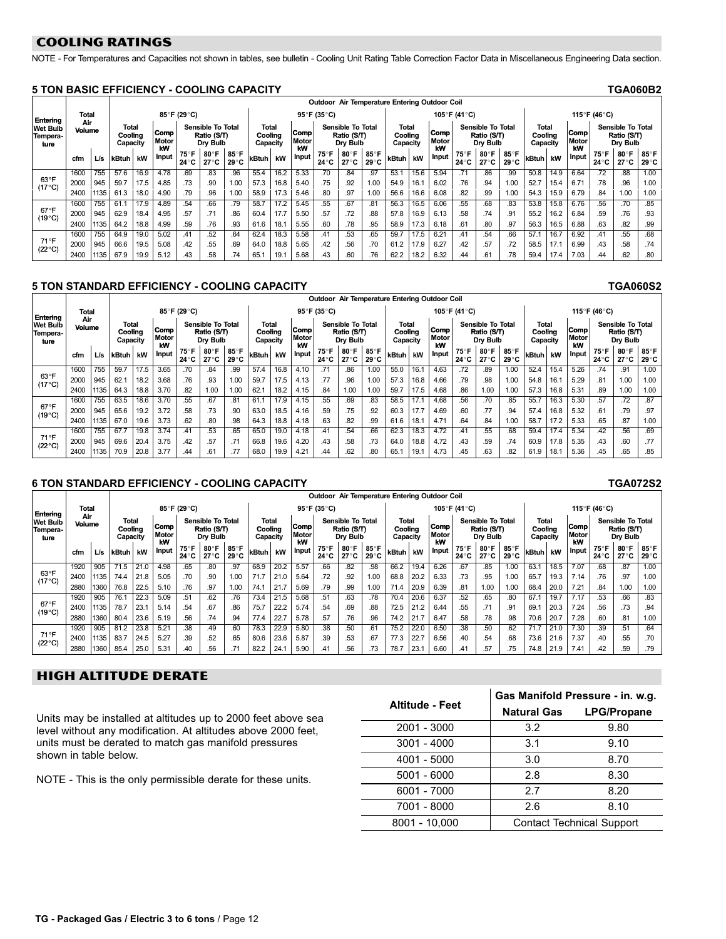# <span id="page-11-0"></span>COOLING RATINGS

NOTE - For Temperatures and Capacities not shown in tables, see bulletin - Cooling Unit Rating Table Correction Factor Data in Miscellaneous Engineering Data section.

#### 5 TON BASIC EFFICIENCY − COOLING CAPACITY TGA060B2

|                                     |               |      |                                     |      |                     |              |                                                     |               |                              |      |                     | Outdoor Air Temperature Entering Outdoor Coil |                                              |               |                              |      |                     |               |                                                     |               |                              |      |                            |              |                                                     |               |
|-------------------------------------|---------------|------|-------------------------------------|------|---------------------|--------------|-----------------------------------------------------|---------------|------------------------------|------|---------------------|-----------------------------------------------|----------------------------------------------|---------------|------------------------------|------|---------------------|---------------|-----------------------------------------------------|---------------|------------------------------|------|----------------------------|--------------|-----------------------------------------------------|---------------|
| Entering                            | Total         |      |                                     |      |                     | 85°F (29°C)  |                                                     |               |                              |      |                     | 95°F (35°C)                                   |                                              |               |                              |      |                     | 105°F (41°C)  |                                                     |               |                              |      |                            | 115°F (46°C) |                                                     |               |
| <b>Wet Bulb</b><br>Tempera-<br>ture | Air<br>Volume |      | <b>Total</b><br>Cooling<br>Capacity |      | Comp<br>Motor<br>kW |              | <b>Sensible To Total</b><br>Ratio (S/T)<br>Dry Bulb |               | Total<br>Cooling<br>Capacity |      | Comp<br>Motor<br>kW |                                               | Sensible To Total<br>Ratio (S/T)<br>Drv Bulb |               | Total<br>Cooling<br>Capacity |      | Comp<br>Motor<br>kW |               | <b>Sensible To Total</b><br>Ratio (S/T)<br>Drv Bulb |               | Total<br>Cooling<br>Capacity |      | <b>Comp</b><br>Motor<br>kW |              | <b>Sensible To Total</b><br>Ratio (S/T)<br>Dry Bulb |               |
|                                     | cfm           | Lis  | kBtuh                               | kW   | Input               | 75°F<br>24°C | 80°F<br>27°C                                        | 85°F<br>29 °C | kBtuh                        | kW   | Input               | 75°F<br>24 °C                                 | 80°F<br>27°C                                 | 85°F<br>29 °C | kBtuh                        | kW   | Input               | 75°F<br>24 °C | 80°F<br>$27^\circ C$                                | 85°F<br>29 °C | kBtuh                        | kW   | Input                      | 75°F<br>24°C | 80°F<br>27°C                                        | 85°F<br>29 °C |
|                                     | 1600          | 755  | 57.6                                | 16.9 | 4.78                | .69          | .83                                                 | .96           | 55.4                         | 16.2 | 5.33                | .70                                           | .84                                          | .97           | 53.1                         | 15.6 | 5.94                | .71           | .86                                                 | .99           | 50.8                         | 14.9 | 6.64                       | .72          | .88                                                 | 1.00          |
| 63°F<br>(17°C)                      | 2000          | 945  | 59.7                                | 17.5 | 4.85                | .73          | .90                                                 | 1.00          | 57.3                         | 16.8 | 5.40                | .75                                           | .92                                          | 1.00          | 54.9                         | 16.1 | 6.02                | .76           | .94                                                 | 1.00          | 52.7                         | 15.4 | 6.71                       | .78          | .96                                                 | 1.00          |
|                                     | 2400          | 1135 | 61.3                                | 18.0 | 4.90                | .79          | .96                                                 | 1.00          | 58.9                         | 17.3 | 5.46                | .80                                           | .97                                          | 1.00          | 56.6                         | 16.6 | 6.08                | .82           | .99                                                 | 1.00          | 54.3                         | 15.9 | 6.79                       | .84          | 1.00                                                | 1.00          |
|                                     | 1600          | 755  | 61.1                                | 17.9 | 4.89                | .54          | .66                                                 | .79           | 58.7                         | 17.2 | 5.45                | .55                                           | .67                                          | .81           | 56.3                         | 16.5 | 6.06                | .55           | .68                                                 | .83           | 53.8                         | 15.8 | 6.76                       | .56          | .70                                                 | .85           |
| $67^{\circ}$ F<br>$(19^{\circ}C)$   | 2000          | 945  | 62.9                                | 18.4 | 4.95                | .57          | .71                                                 | .86           | 60.4                         | 17.7 | 5.50                | .57                                           | .72                                          | .88           | 57.8                         | 16.9 | 6.13                | .58           | .74                                                 | .91           | 55.2                         | 16.2 | 6.84                       | .59          | .76                                                 | .93           |
|                                     | 2400          | 1135 | 64.2                                | 18.8 | 4.99                | .59          | .76                                                 | .93           | 61.6                         | 18.7 | 5.55                | .60                                           | .78                                          | .95           | 58.9                         | 17.3 | 6.18                | .61           | .80                                                 | .97           | 56.3                         | 16.5 | 6.88                       | .63          | .82                                                 | .99           |
|                                     | 1600          | 755  | 64.9                                | 19.0 | 5.02                | .41          | .52                                                 | .64           | 62.4                         | 18.3 | 5.58                | .41                                           | .53                                          | .65           | 59.7                         | 17.5 | 6.21                | .41           | .54                                                 | .66           | 57.1                         | 16.7 | 6.92                       | .41          | .55                                                 | .68           |
| 71°F<br>$(22^{\circ}C)$             | 2000          | 945  | 66.6                                | 19.5 | 5.08                | .42          | .55                                                 | .69           | 64.0                         | 18.8 | 5.65                | .42                                           | .56                                          | .70           | 61.2                         | 17.9 | 6.27                | .42           | .57                                                 | .72           | 58.5                         | 17.1 | 6.99                       | .43          | .58                                                 | .74           |
|                                     | 2400          | 1135 | 67.9                                | 19.9 | 5.12                | .43          | .58                                                 | .74           | 65.                          | 19.1 | 5.68                | .43                                           | .60                                          | .76           | 62.2                         | 18.2 | 6.32                | .44           | .61                                                 | .78           | 59.4                         | 17.4 | 7.03                       | .44          | .62                                                 | .80           |

#### 5 TON STANDARD EFFICIENCY − COOLING CAPACITY TGA060S2

|                                                 |               |      |                                     |      |                     |              |                                                     |               |                                     |      |                     | Outdoor Air Temperature Entering Outdoor Coil |                                                     |               |                              |      |                     |                |                                                     |                        |                                     |      |                     |              |                                              |                  |
|-------------------------------------------------|---------------|------|-------------------------------------|------|---------------------|--------------|-----------------------------------------------------|---------------|-------------------------------------|------|---------------------|-----------------------------------------------|-----------------------------------------------------|---------------|------------------------------|------|---------------------|----------------|-----------------------------------------------------|------------------------|-------------------------------------|------|---------------------|--------------|----------------------------------------------|------------------|
|                                                 | Total         |      |                                     |      |                     | 85°F (29°C)  |                                                     |               |                                     |      |                     | 95°F (35°C)                                   |                                                     |               |                              |      |                     | 105°F (41°C)   |                                                     |                        |                                     |      |                     | 115°F (46°C) |                                              |                  |
| Entering<br><b>Wet Bulb</b><br>Tempera-<br>ture | Air<br>Volume |      | <b>Total</b><br>Cooling<br>Capacity |      | Comp<br>Motor<br>kW |              | <b>Sensible To Total</b><br>Ratio (S/T)<br>Dry Bulb |               | <b>Total</b><br>Coolina<br>Capacity |      | Comp<br>Motor<br>kW |                                               | <b>Sensible To Total</b><br>Ratio (S/T)<br>Drv Bulb |               | Total<br>Coolina<br>Capacity |      | Comp<br>Motor<br>kW |                | <b>Sensible To Total</b><br>Ratio (S/T)<br>Drv Bulb |                        | <b>Total</b><br>Coolina<br>Capacity |      | Comp<br>Motor<br>kW |              | Sensible To Total<br>Ratio (S/T)<br>Dry Bulb |                  |
|                                                 | cfm           | L/s  | kBtuh                               | kW   | <b>Input</b>        | 75°F<br>24°C | 80°F<br>27°C                                        | 85°F<br>29 °C | kBtuh                               | kW   | Input               | 75°F<br>24 °C                                 | 80°F<br>27 ° C                                      | 85°F<br>29 °C | kBtuh                        | kW   | Input               | 75°F<br>24 ° C | 80°F<br>27 °C                                       | 85°F<br>$29^{\circ}$ C | <b>kBtuh</b>                        | kW   | Input               | 75°F<br>24°C | 80°F<br>27 °C                                | 85°F<br>29 °C    |
|                                                 | 1600          | 755  | 59.7                                | 17.5 | 3.65                | .70          | .84                                                 | .99           | 57.4                                | 16.8 | 4.10                |                                               | .86                                                 | 1.00          | 55.0                         | 16.1 | 4.63                | .72            | .89                                                 | 1.00                   | 52.4                                | 15.4 | 5.26                | .74          | .91                                          | 1.00             |
| 63°F<br>$(17^{\circ}C)$                         | 2000          | 945  | 62.7                                | 18.2 | 3.68                | .76          | .93                                                 | 1.00          | 59.7                                | 17.5 | 4.13                |                                               | .96                                                 | 1.00          | 57.3                         | 16.8 | 4.66                | .79            | .98                                                 | 1.00                   | 54.8                                | 16.1 | 5.29                | .81          | 1.00                                         | 1.00             |
|                                                 | 2400          | 1135 | 64.3                                | 18.8 | 3.70                | .82          | 1.00                                                | .00           | 62.1                                | 18.2 | 4.15                | .84                                           | 1.00                                                | 1.00          | 59.7                         | 17.5 | 4.68                | .86            | 1.00                                                | 1.00                   | 57.3                                | 16.8 | 5.31                | .89          | 1.00                                         | 1.00             |
|                                                 | 1600          | 755  | 63.5                                | 18.6 | 3.70                | .55          | .67                                                 | .81           | 61.1                                | 17.9 | 4.15                | .55                                           | .69                                                 | .83           | 58.5                         | 17.1 | 4.68                | .56            | .70                                                 | .85                    | $\overline{55.7}$                   | 16.3 | 5.30                | .57          | .72                                          | $\overline{.87}$ |
| $67^{\circ}$ F<br>$(19^{\circ}C)$               | 2000          | 945  | 65.6                                | 19.2 | 3.72                | .58          | .73                                                 | .90           | 63.0                                | 18.5 | 4.16                | .59                                           | .75                                                 | .92           | 60.3                         | 17.7 | 4.69                | .60            | .77                                                 | .94                    | 57.4                                | 16.8 | 5.32                | .61          | .79                                          | .97              |
|                                                 | 2400          | 1135 | 67.0                                | 19.6 | 3.73                | .62          | .80                                                 | .98           | 64.3                                | 18.8 | 4.18                | .63                                           | .82                                                 | .99           | 61.6                         | 18.1 | 4.71                | .64            | .84                                                 | 1.00                   | 58.7                                | 17.2 | 5.33                | .65          | .87                                          | 1.00             |
|                                                 | 1600          | 755  | 67.7                                | 19.8 | 3.74                | .41          | .53                                                 | .65           | 65.0                                | 19.0 | 4.18                | .41                                           | .54                                                 | .66           | 62.3                         | 18.3 | 4.72                | .41            | .55                                                 | .68                    | 59.4                                | 17.4 | 5.34                | .42          | .56                                          | .69              |
| 71°F<br>$(22^{\circ}C)$                         | 2000          | 945  | 69.6                                | 20.4 | 3.75                | .42          | .57                                                 | .71           | 66.8                                | 19.6 | 4.20                | .43                                           | .58                                                 | .73           | 64.0                         | 18.8 | 4.72                | .43            | .59                                                 | .74                    | 60.9                                | 17.8 | 5.35                | .43          | .60                                          | .77              |
|                                                 | 2400          | 1135 | 70.9                                | 20.8 | 3.77                | .44          | .61                                                 | .77           | 68.0                                | 19.9 | 4.21                | .44                                           | .62                                                 | .80           | 65.1                         | 19.1 | 4.73                | .45            | 63                                                  | .82                    | 61.9                                | 18.1 | 5.36                | .45          | .65                                          | .85              |

# 6 TON STANDARD EFFICIENCY − COOLING CAPACITY TGA072S2

|                                     |               |      |                                     |      |                     |              |                                                     |                        |                              |      |                     | Outdoor Air Temperature Entering Outdoor Coil |                                              |                |                              |      |                     |              |                                                     |               |                                     |      |                     |              |                                              |               |
|-------------------------------------|---------------|------|-------------------------------------|------|---------------------|--------------|-----------------------------------------------------|------------------------|------------------------------|------|---------------------|-----------------------------------------------|----------------------------------------------|----------------|------------------------------|------|---------------------|--------------|-----------------------------------------------------|---------------|-------------------------------------|------|---------------------|--------------|----------------------------------------------|---------------|
| Entering                            | Total         |      |                                     |      |                     | 85°F (29°C)  |                                                     |                        |                              |      |                     | 95°F (35°C)                                   |                                              |                |                              |      |                     | 105°F (41°C) |                                                     |               |                                     |      |                     | 115°F (46°C) |                                              |               |
| <b>Wet Bulb</b><br>Tempera-<br>ture | Air<br>Volume |      | <b>Total</b><br>Coolina<br>Capacity |      | Comp<br>Motor<br>kW |              | <b>Sensible To Total</b><br>Ratio (S/T)<br>Dry Bulb |                        | Total<br>Coolina<br>Capacity |      | Comp<br>Motor<br>kW |                                               | Sensible To Total<br>Ratio (S/T)<br>Dry Bulb |                | Total<br>Coolina<br>Capacity |      | Comp<br>Motor<br>kW |              | <b>Sensible To Total</b><br>Ratio (S/T)<br>Dry Bulb |               | <b>Total</b><br>Coolina<br>Capacity |      | Comp<br>Motor<br>kW |              | Sensible To Total<br>Ratio (S/T)<br>Dry Bulb |               |
|                                     | cfm           | Lls  | kBtuh                               | kW   | Input               | 75°F<br>24°C | °Ε<br>80°<br>27°C                                   | 85°F<br>$29^{\circ}$ C | kBtuh                        | kW   | <b>Input</b>        | 75°F<br>24 °C                                 | 80°F<br>27 °C                                | 85°F<br>29 ° C | kBtuh                        | kW   | Input               | 75°F<br>24°C | 80°F<br>27°C                                        | 85°F<br>29 °C | kBtuh                               | kW   | Input               | 75°F<br>24°C | 80°F<br>27 °C                                | 85°F<br>29 °C |
|                                     | 1920          | 905  | 71.5                                | 21.0 | 4.98                | .65          | .80                                                 | .97                    | 68.9                         | 20.2 | 5.57                | 66                                            | .82                                          | .98            | 66.2                         | 19.4 | 6.26                | .67          | .85                                                 | .00           | 63.                                 | 18.5 | 7.07                | .68          | $.\overline{8}7$                             | 1.00          |
| 63°F<br>(17°C)                      | 2400          | 1135 | 74.4                                | 21.8 | 5.05                | .70          | .90                                                 | 1.00                   | 71.7                         | 21.0 | 5.64                | .72                                           | .92                                          | 1.00           | 68.8                         | 20.2 | 6.33                | .73          | .95                                                 | 1.00          | 65.7                                | 19.3 | 7.14                | .76          | .97                                          | 1.00          |
|                                     | 2880          | 1360 | 76.8                                | 22.5 | 5.10                | .76          | .97                                                 | 1.00                   | 74.1                         | 21.7 | 5.69                | .79                                           | .99                                          | 1.00           | 71.4                         | 20.9 | 6.39                | .81          | 1.00                                                | .00           | 68.4                                | 20.0 | 7.21                | .84          | 1.00                                         | 1.00          |
|                                     | 1920          | 905  | 76.                                 | 22.3 | 5.09                | .51          | .62                                                 | .76                    | 73.4                         | 21.5 | 5.68                | .51                                           | .63                                          | .78            | 70.4                         | 20.6 | 6.37                | .52          | .65                                                 | .80           | 67.1                                | 19.7 | 7.17                | .53          | .66                                          | .83           |
| $67^{\circ}$ F<br>$(19^{\circ}C)$   | 2400          | 1135 | 78.7                                | 23.1 | 5.14                | .54          | .67                                                 | .86                    | 75.7                         | 22.2 | 5.74                | .54                                           | .69                                          | .88            | 72.5                         | 21.2 | 6.44                | .55          | .71                                                 | .91           | 69.                                 | 20.3 | 7.24                | .56          | .73                                          | .94           |
|                                     | 2880          | 1360 | 80.4                                | 23.6 | 5.19                | .56          | .74                                                 | .94                    | 77.4                         | 22.7 | 5.78                | .57                                           | .76                                          | .96            | 74.2                         | 21.7 | 6.47                | .58          | .78                                                 | .98           | 70.6                                | 20.7 | 7.28                | .60          | .81                                          | 1.00          |
|                                     | 1920          | 905  | 81.2                                | 23.8 | 5.21                | .38          | .49                                                 | .60                    | 78.3                         | 22.9 | 5.80                | .38                                           | .50                                          | .61            | 75.2                         | 22.0 | 6.50                | .38          | .50                                                 | .62           | 71.7                                | 21.0 | 7.30                | .39          | .51                                          | .64           |
| 71°F<br>$(22^{\circ}C)$             | 2400          | 1135 | 83.7                                | 24.5 | 5.27                | .39          | .52                                                 | .65                    | 80.6                         | 23.6 | 5.87                | .39                                           | .53                                          | .67            | 77.3                         | 22.7 | 6.56                | .40          | .54                                                 | .68           | 73.6                                | 21.6 | 7.37                | .40          | .55                                          | .70           |
|                                     | 2880          | 1360 | 85.4                                | 25.0 | 5.31                | .40          | .56                                                 | .71                    | 82.2                         | 24.1 | 5.90                | .41                                           | .56                                          | .73            | 78.7                         | 23.1 | 6.60                | .41          | .57                                                 | .75           | 74.8                                | 21.9 | 7.41                | .42          | .59                                          | .79           |

# HIGH ALTITUDE DERATE

Units may be installed at altitudes up to 2000 feet above sea level without any modification. At altitudes above 2000 feet, units must be derated to match gas manifold pressures shown in table below.

NOTE − This is the only permissible derate for these units.

|                        |                    | Gas Manifold Pressure - in. w.g. |
|------------------------|--------------------|----------------------------------|
| <b>Altitude - Feet</b> | <b>Natural Gas</b> | <b>LPG/Propane</b>               |
| 2001 - 3000            | 3.2                | 9.80                             |
| $3001 - 4000$          | 3.1                | 9.10                             |
| 4001 - 5000            | 3.0                | 8.70                             |
| 5001 - 6000            | 2.8                | 8.30                             |
| 6001 - 7000            | 2.7                | 8.20                             |
| 7001 - 8000            | 2.6                | 8.10                             |
| 8001 - 10.000          |                    | <b>Contact Technical Support</b> |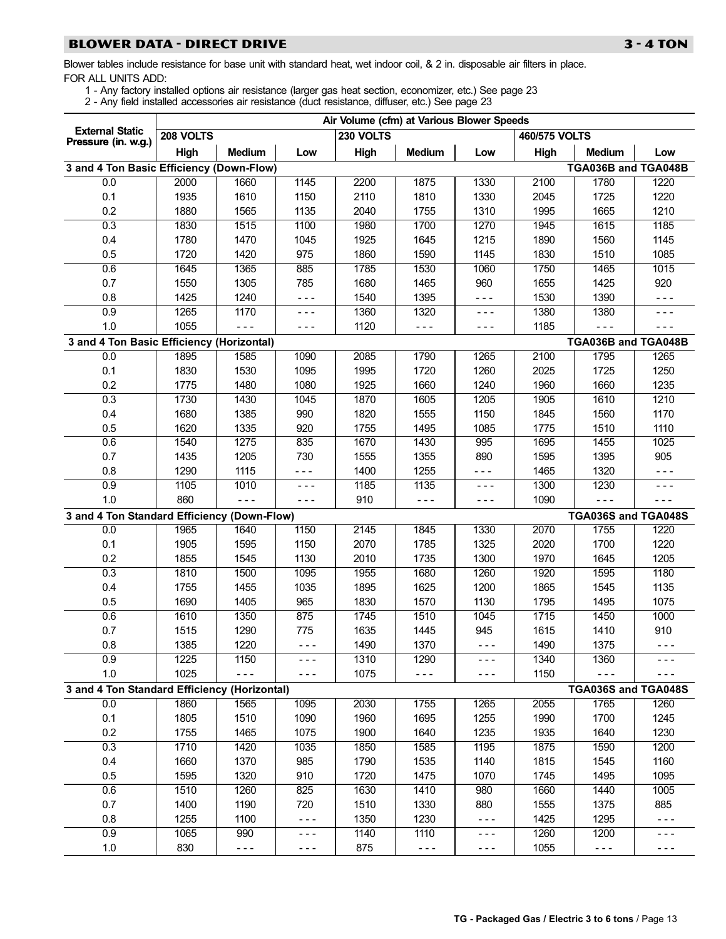# <span id="page-12-0"></span>BLOWER DATA − DIRECT DRIVE 3 − 4 TON

Blower tables include resistance for base unit with standard heat, wet indoor coil, & 2 in. disposable air filters in place. FOR ALL UNITS ADD:

- 1 − Any factory installed options air resistance (larger gas heat section, economizer, etc.) See page [23](#page-22-0)
	- 2 − Any field installed accessories air resistance (duct resistance, diffuser, etc.) See page [23](#page-22-0)

|                                              |           |               |               | Air Volume (cfm) at Various Blower Speeds |               |         |               |                                                                                                                                                                                                                                                                                                                                                                                              |         |
|----------------------------------------------|-----------|---------------|---------------|-------------------------------------------|---------------|---------|---------------|----------------------------------------------------------------------------------------------------------------------------------------------------------------------------------------------------------------------------------------------------------------------------------------------------------------------------------------------------------------------------------------------|---------|
| <b>External Static</b>                       | 208 VOLTS |               |               | 230 VOLTS                                 |               |         | 460/575 VOLTS |                                                                                                                                                                                                                                                                                                                                                                                              |         |
| Pressure (in. w.g.)                          | High      | <b>Medium</b> | Low           | High                                      | <b>Medium</b> | Low     | High          | <b>Medium</b>                                                                                                                                                                                                                                                                                                                                                                                | Low     |
| 3 and 4 Ton Basic Efficiency (Down-Flow)     |           |               |               |                                           |               |         |               | TGA036B and TGA048B                                                                                                                                                                                                                                                                                                                                                                          |         |
| 0.0                                          | 2000      | 1660          | 1145          | 2200                                      | 1875          | 1330    | 2100          | 1780                                                                                                                                                                                                                                                                                                                                                                                         | 1220    |
| 0.1                                          | 1935      | 1610          | 1150          | 2110                                      | 1810          | 1330    | 2045          | 1725                                                                                                                                                                                                                                                                                                                                                                                         | 1220    |
| 0.2                                          | 1880      | 1565          | 1135          | 2040                                      | 1755          | 1310    | 1995          | 1665                                                                                                                                                                                                                                                                                                                                                                                         | 1210    |
| 0.3                                          | 1830      | 1515          | 1100          | 1980                                      | 1700          | 1270    | 1945          | 1615                                                                                                                                                                                                                                                                                                                                                                                         | 1185    |
| 0.4                                          | 1780      | 1470          | 1045          | 1925                                      | 1645          | 1215    | 1890          | 1560                                                                                                                                                                                                                                                                                                                                                                                         | 1145    |
| 0.5                                          | 1720      | 1420          | 975           | 1860                                      | 1590          | 1145    | 1830          | 1510                                                                                                                                                                                                                                                                                                                                                                                         | 1085    |
| 0.6                                          | 1645      | 1365          | 885           | 1785                                      | 1530          | 1060    | 1750          | 1465                                                                                                                                                                                                                                                                                                                                                                                         | 1015    |
| 0.7                                          | 1550      | 1305          | 785           | 1680                                      | 1465          | 960     | 1655          | 1425                                                                                                                                                                                                                                                                                                                                                                                         | 920     |
| 0.8                                          | 1425      | 1240          | $- - -$       | 1540                                      | 1395          | - - -   | 1530          | 1390                                                                                                                                                                                                                                                                                                                                                                                         | $- - -$ |
| 0.9                                          | 1265      | 1170          | $- - -$       | 1360                                      | 1320          | $- - -$ | 1380          | 1380                                                                                                                                                                                                                                                                                                                                                                                         | - - -   |
| 1.0                                          | 1055      | $- - -$       | $- - -$       | 1120                                      | - - -         | $- - -$ | 1185          | $- - -$                                                                                                                                                                                                                                                                                                                                                                                      | - - -   |
| 3 and 4 Ton Basic Efficiency (Horizontal)    |           |               |               |                                           |               |         |               | TGA036B and TGA048B                                                                                                                                                                                                                                                                                                                                                                          |         |
| 0.0                                          | 1895      | 1585          | 1090          | 2085                                      | 1790          | 1265    | 2100          | 1795                                                                                                                                                                                                                                                                                                                                                                                         | 1265    |
| 0.1                                          | 1830      | 1530          | 1095          | 1995                                      | 1720          | 1260    | 2025          | 1725                                                                                                                                                                                                                                                                                                                                                                                         | 1250    |
| 0.2                                          | 1775      | 1480          | 1080          | 1925                                      | 1660          | 1240    | 1960          | 1660                                                                                                                                                                                                                                                                                                                                                                                         | 1235    |
| 0.3                                          | 1730      | 1430          | 1045          | 1870                                      | 1605          | 1205    | 1905          | 1610                                                                                                                                                                                                                                                                                                                                                                                         | 1210    |
| 0.4                                          | 1680      | 1385          | 990           | 1820                                      | 1555          | 1150    | 1845          | 1560                                                                                                                                                                                                                                                                                                                                                                                         | 1170    |
| 0.5                                          | 1620      | 1335          | 920           | 1755                                      | 1495          | 1085    | 1775          | 1510                                                                                                                                                                                                                                                                                                                                                                                         | 1110    |
| 0.6                                          | 1540      | 1275          | 835           | 1670                                      | 1430          | 995     | 1695          | 1455                                                                                                                                                                                                                                                                                                                                                                                         | 1025    |
| 0.7                                          | 1435      | 1205          | 730           | 1555                                      | 1355          | 890     | 1595          | 1395                                                                                                                                                                                                                                                                                                                                                                                         | 905     |
| 0.8                                          | 1290      | 1115          | - - -         | 1400                                      | 1255          | $- - -$ | 1465          | 1320                                                                                                                                                                                                                                                                                                                                                                                         | $- - -$ |
| 0.9                                          | 1105      | 1010          | $- - -$       | 1185                                      | 1135          | $- - -$ | 1300          | 1230                                                                                                                                                                                                                                                                                                                                                                                         | $- - -$ |
| 1.0                                          | 860       | $- - -$       | $- - -$       | 910                                       | $- - -$       | $- - -$ | 1090          | $- - -$                                                                                                                                                                                                                                                                                                                                                                                      | - - -   |
| 3 and 4 Ton Standard Efficiency (Down-Flow)  |           |               |               |                                           |               |         |               | TGA036S and TGA048S                                                                                                                                                                                                                                                                                                                                                                          |         |
| 0.0                                          | 1965      | 1640          | 1150          | 2145                                      | 1845          | 1330    | 2070          | 1755                                                                                                                                                                                                                                                                                                                                                                                         | 1220    |
| 0.1                                          | 1905      | 1595          | 1150          | 2070                                      | 1785          | 1325    | 2020          | 1700                                                                                                                                                                                                                                                                                                                                                                                         | 1220    |
| 0.2                                          | 1855      | 1545          | 1130          | 2010                                      | 1735          | 1300    | 1970          | 1645                                                                                                                                                                                                                                                                                                                                                                                         | 1205    |
| 0.3                                          | 1810      | 1500          | 1095          | 1955                                      | 1680          | 1260    | 1920          | 1595                                                                                                                                                                                                                                                                                                                                                                                         | 1180    |
| 0.4                                          | 1755      | 1455          | 1035          | 1895                                      | 1625          | 1200    | 1865          | 1545                                                                                                                                                                                                                                                                                                                                                                                         | 1135    |
| 0.5                                          | 1690      | 1405          | 965           | 1830                                      | 1570          | 1130    | 1795          | 1495                                                                                                                                                                                                                                                                                                                                                                                         | 1075    |
| 0.6                                          | 1610      | 1350          | 875           | 1745                                      | 1510          | 1045    | 1715          | 1450                                                                                                                                                                                                                                                                                                                                                                                         | 1000    |
| 0.7                                          | 1515      | 1290          | 775           | 1635                                      | 1445          | 945     | 1615          | 1410                                                                                                                                                                                                                                                                                                                                                                                         | 910     |
| 0.8                                          | 1385      | 1220          | - - -         | 1490                                      | 1370          | $- - -$ | 1490          | 1375                                                                                                                                                                                                                                                                                                                                                                                         | - - -   |
| 0.9                                          | 1225      | 1150          | - - -         | 1310                                      | 1290          | - - -   | 1340          | 1360                                                                                                                                                                                                                                                                                                                                                                                         |         |
| 1.0                                          | 1025      | $- - -$       | - - -         | 1075                                      | $- - -$       | - - -   | 1150          | $- - -$                                                                                                                                                                                                                                                                                                                                                                                      | - - -   |
| 3 and 4 Ton Standard Efficiency (Horizontal) |           |               |               |                                           |               |         |               | TGA036S and TGA048S                                                                                                                                                                                                                                                                                                                                                                          |         |
| 0.0                                          | 1860      | 1565          | 1095          | 2030                                      | 1755          | 1265    | 2055          | 1765                                                                                                                                                                                                                                                                                                                                                                                         | 1260    |
| 0.1                                          | 1805      | 1510          | 1090          | 1960                                      | 1695          | 1255    | 1990          | 1700                                                                                                                                                                                                                                                                                                                                                                                         | 1245    |
| 0.2                                          | 1755      | 1465          | 1075          | 1900                                      | 1640          | 1235    | 1935          | 1640                                                                                                                                                                                                                                                                                                                                                                                         | 1230    |
| 0.3                                          | 1710      | 1420          | 1035          | 1850                                      | 1585          | 1195    | 1875          | 1590                                                                                                                                                                                                                                                                                                                                                                                         | 1200    |
| 0.4                                          | 1660      | 1370          | 985           | 1790                                      | 1535          | 1140    | 1815          | 1545                                                                                                                                                                                                                                                                                                                                                                                         | 1160    |
| 0.5                                          | 1595      | 1320          | 910           | 1720                                      | 1475          | 1070    | 1745          | 1495                                                                                                                                                                                                                                                                                                                                                                                         | 1095    |
| 0.6                                          | 1510      | 1260          | 825           | 1630                                      | 1410          | 980     | 1660          | 1440                                                                                                                                                                                                                                                                                                                                                                                         | 1005    |
| 0.7                                          | 1400      | 1190          | 720           | 1510                                      | 1330          | 880     | 1555          | 1375                                                                                                                                                                                                                                                                                                                                                                                         | 885     |
| 0.8                                          | 1255      | 1100          | $\frac{1}{2}$ | 1350                                      | 1230          | $- - -$ | 1425          | 1295                                                                                                                                                                                                                                                                                                                                                                                         | $- - -$ |
| 0.9                                          | 1065      | 990           | - - -         | 1140                                      | 1110          | $- - -$ | 1260          | 1200                                                                                                                                                                                                                                                                                                                                                                                         | - - -   |
| 1.0                                          | 830       | $- - -$       | - - -         | 875                                       | $- - -$       | $- - -$ | 1055          | $\frac{1}{2} \frac{1}{2} \frac{1}{2} \frac{1}{2} \frac{1}{2} \frac{1}{2} \frac{1}{2} \frac{1}{2} \frac{1}{2} \frac{1}{2} \frac{1}{2} \frac{1}{2} \frac{1}{2} \frac{1}{2} \frac{1}{2} \frac{1}{2} \frac{1}{2} \frac{1}{2} \frac{1}{2} \frac{1}{2} \frac{1}{2} \frac{1}{2} \frac{1}{2} \frac{1}{2} \frac{1}{2} \frac{1}{2} \frac{1}{2} \frac{1}{2} \frac{1}{2} \frac{1}{2} \frac{1}{2} \frac{$ | $- - -$ |
|                                              |           |               |               |                                           |               |         |               |                                                                                                                                                                                                                                                                                                                                                                                              |         |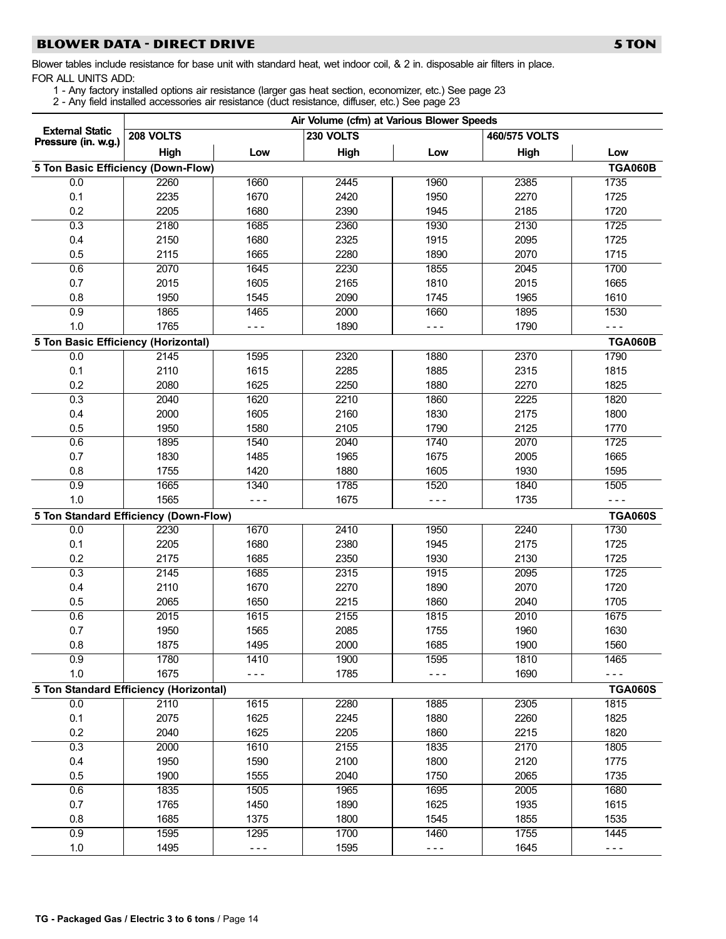# BLOWER DATA − DIRECT DRIVE 5 TON 5 TON

- 1 − Any factory installed options air resistance (larger gas heat section, economizer, etc.) See page [23](#page-22-0)
- 2 − Any field installed accessories air resistance (duct resistance, diffuser, etc.) See page [23](#page-22-0)

|                                               |           |         | Air Volume (cfm) at Various Blower Speeds |         |               |                |
|-----------------------------------------------|-----------|---------|-------------------------------------------|---------|---------------|----------------|
| <b>External Static</b><br>Pressure (in. w.g.) | 208 VOLTS |         | 230 VOLTS                                 |         | 460/575 VOLTS |                |
|                                               | High      | Low     | High                                      | Low     | High          | Low            |
| 5 Ton Basic Efficiency (Down-Flow)            |           |         |                                           |         |               | <b>TGA060B</b> |
| 0.0                                           | 2260      | 1660    | 2445                                      | 1960    | 2385          | 1735           |
| 0.1                                           | 2235      | 1670    | 2420                                      | 1950    | 2270          | 1725           |
| 0.2                                           | 2205      | 1680    | 2390                                      | 1945    | 2185          | 1720           |
| 0.3                                           | 2180      | 1685    | 2360                                      | 1930    | 2130          | 1725           |
| 0.4                                           | 2150      | 1680    | 2325                                      | 1915    | 2095          | 1725           |
| 0.5                                           | 2115      | 1665    | 2280                                      | 1890    | 2070          | 1715           |
| 0.6                                           | 2070      | 1645    | 2230                                      | 1855    | 2045          | 1700           |
| 0.7                                           | 2015      | 1605    | 2165                                      | 1810    | 2015          | 1665           |
| 0.8                                           | 1950      | 1545    | 2090                                      | 1745    | 1965          | 1610           |
| 0.9                                           | 1865      | 1465    | 2000                                      | 1660    | 1895          | 1530           |
| 1.0                                           | 1765      | $- - -$ | 1890                                      | - - -   | 1790          | $- - -$        |
| 5 Ton Basic Efficiency (Horizontal)           |           |         |                                           |         |               | <b>TGA060B</b> |
| 0.0                                           | 2145      | 1595    | 2320                                      | 1880    | 2370          | 1790           |
| 0.1                                           | 2110      | 1615    | 2285                                      | 1885    | 2315          | 1815           |
| 0.2                                           | 2080      | 1625    | 2250                                      | 1880    | 2270          | 1825           |
| 0.3                                           | 2040      | 1620    | 2210                                      | 1860    | 2225          | 1820           |
| 0.4                                           | 2000      | 1605    | 2160                                      | 1830    | 2175          | 1800           |
| 0.5                                           | 1950      | 1580    | 2105                                      | 1790    | 2125          | 1770           |
| 0.6                                           | 1895      | 1540    | 2040                                      | 1740    | 2070          | 1725           |
| 0.7                                           | 1830      | 1485    | 1965                                      | 1675    | 2005          | 1665           |
| 0.8                                           | 1755      | 1420    | 1880                                      | 1605    | 1930          | 1595           |
| 0.9                                           | 1665      | 1340    | 1785                                      | 1520    | 1840          | 1505           |
| 1.0                                           | 1565      | $- - -$ | 1675                                      | - - -   | 1735          | $- - -$        |
| 5 Ton Standard Efficiency (Down-Flow)         |           |         |                                           |         |               | <b>TGA060S</b> |
| 0.0                                           | 2230      | 1670    | 2410                                      | 1950    | 2240          | 1730           |
| 0.1                                           | 2205      | 1680    | 2380                                      | 1945    | 2175          | 1725           |
| 0.2                                           | 2175      | 1685    | 2350                                      | 1930    | 2130          | 1725           |
| 0.3                                           | 2145      | 1685    | 2315                                      | 1915    | 2095          | 1725           |
| 0.4                                           | 2110      | 1670    | 2270                                      | 1890    | 2070          | 1720           |
| 0.5                                           | 2065      | 1650    | 2215                                      | 1860    | 2040          | 1705           |
| 0.6                                           | 2015      | 1615    | 2155                                      | 1815    | 2010          | 1675           |
| 0.7                                           | 1950      | 1565    | 2085                                      | 1755    | 1960          | 1630           |
| 0.8                                           | 1875      | 1495    | 2000                                      | 1685    | 1900          | 1560           |
| 0.9                                           | 1780      | 1410    | 1900                                      | 1595    | 1810          | 1465           |
| 1.0                                           | 1675      | $- - -$ | 1785                                      | $- - -$ | 1690          | $- - -$        |
| 5 Ton Standard Efficiency (Horizontal)        |           |         |                                           |         |               | <b>TGA060S</b> |
| 0.0                                           | 2110      | 1615    | 2280                                      | 1885    | 2305          | 1815           |
| 0.1                                           | 2075      | 1625    | 2245                                      | 1880    | 2260          | 1825           |
| 0.2                                           | 2040      | 1625    | 2205                                      | 1860    | 2215          | 1820           |
| 0.3                                           | 2000      | 1610    | 2155                                      | 1835    | 2170          | 1805           |
| 0.4                                           | 1950      | 1590    | 2100                                      | 1800    | 2120          | 1775           |
| 0.5                                           | 1900      | 1555    | 2040                                      | 1750    | 2065          | 1735           |
| 0.6                                           | 1835      | 1505    | 1965                                      | 1695    | 2005          | 1680           |
| 0.7                                           | 1765      | 1450    | 1890                                      | 1625    | 1935          | 1615           |
| 0.8                                           | 1685      | 1375    | 1800                                      | 1545    | 1855          | 1535           |
| 0.9                                           | 1595      | 1295    | 1700                                      | 1460    | 1755          | 1445           |
| 1.0                                           | 1495      | $- - -$ | 1595                                      | $- - -$ | 1645          | $- - -$        |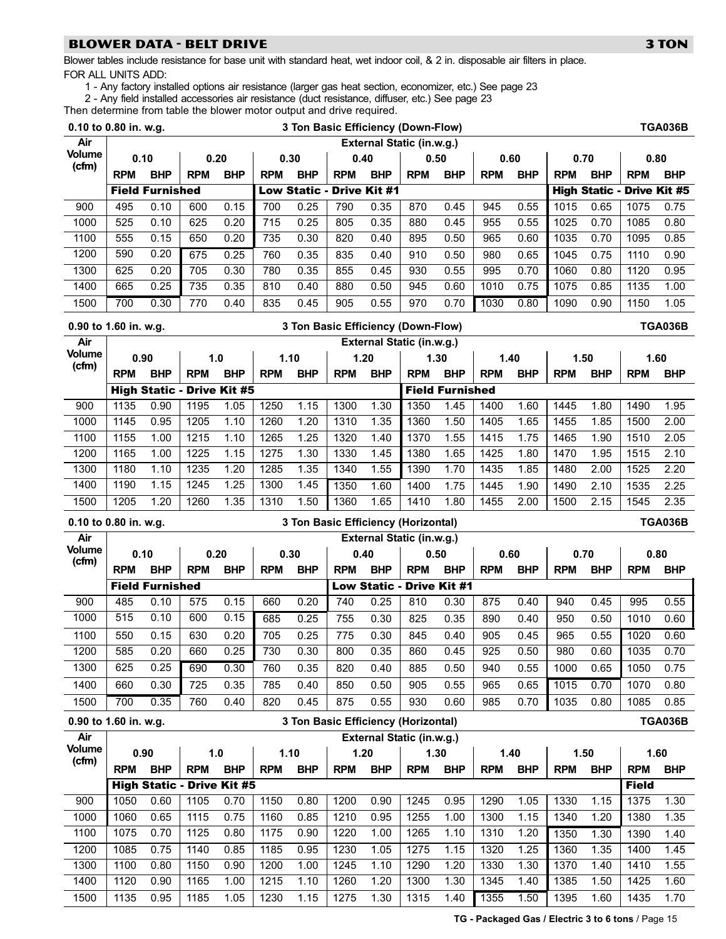# BLOWER DATA − BELT DRIVE 3 TON 3 TON

Blower tables include resistance for base unit with standard heat, wet indoor coil, & 2 in. disposable air filters in place. FOR ALL UNITS ADD:

1 − Any factory installed options air resistance (larger gas heat section, economizer, etc.) See page [23](#page-22-0)

2 − Any field installed accessories air resistance (duct resistance, diffuser, etc.) See page [23](#page-22-0)

Then determine from table the blower motor output and drive required.

| 0.10 to 0.80 in. w.g.  |            |                        |                  |                                   |            |                    | 3 Ton Basic Efficiency (Down-Flow)  |                    |                           |                        |            |                    |            |                    |                                   | <b>TGA036B</b>     |
|------------------------|------------|------------------------|------------------|-----------------------------------|------------|--------------------|-------------------------------------|--------------------|---------------------------|------------------------|------------|--------------------|------------|--------------------|-----------------------------------|--------------------|
| Air                    |            |                        |                  |                                   |            |                    |                                     |                    | External Static (in.w.g.) |                        |            |                    |            |                    |                                   |                    |
| <b>Volume</b><br>(cfm) | 0.10       |                        |                  | 0.20                              |            | 0.30               |                                     | 0.40               | 0.50                      |                        |            | 0.60               |            | 0.70               |                                   | 0.80               |
|                        | <b>RPM</b> | <b>BHP</b>             | <b>RPM</b>       | <b>BHP</b>                        | <b>RPM</b> | <b>BHP</b>         | <b>RPM</b>                          | <b>BHP</b>         | <b>RPM</b>                | <b>BHP</b>             | <b>RPM</b> | <b>BHP</b>         | <b>RPM</b> | <b>BHP</b>         | <b>RPM</b>                        | <b>BHP</b>         |
|                        |            | <b>Field Furnished</b> |                  |                                   |            |                    | Low Static - Drive Kit #1           |                    |                           |                        |            |                    |            |                    | <b>High Static - Drive Kit #5</b> |                    |
| 900                    | 495        | 0.10                   | 600              | 0.15                              | 700        | 0.25               | 790                                 | 0.35               | 870                       | 0.45                   | 945        | 0.55               | 1015       | 0.65               | 1075                              | 0.75               |
| 1000                   | 525        | 0.10                   | 625              | 0.20                              | 715        | 0.25               | 805                                 | 0.35               | 880                       | 0.45                   | 955        | 0.55               | 1025       | 0.70               | 1085                              | 0.80               |
| 1100                   | 555        | 0.15                   | 650              | 0.20                              | 735        | 0.30               | 820                                 | 0.40               | 895                       | 0.50                   | 965        | 0.60               | 1035       | 0.70               | 1095                              | 0.85               |
| 1200                   | 590        | 0.20                   | 675              | 0.25                              | 760        | 0.35               | 835                                 | 0.40               | 910                       | 0.50                   | 980        | 0.65               | 1045       | 0.75               | 1110                              | 0.90               |
| 1300                   | 625        | 0.20                   | 705              | 0.30                              | 780        | 0.35               | 855                                 | 0.45               | 930                       | 0.55                   | 995        | 0.70               | 1060       | 0.80               | 1120                              | 0.95               |
| 1400                   | 665        | 0.25                   | $\overline{735}$ | 0.35                              | 810        | 0.40               | 880                                 | 0.50               | 945                       | 0.60                   | 1010       | 0.75               | 1075       | 0.85               | 1135                              | 1.00               |
| 1500                   | 700        | 0.30                   | 770              | 0.40                              | 835        | 0.45               | 905                                 | 0.55               | 970                       | 0.70                   | 1030       | 0.80               | 1090       | 0.90               | 1150                              | 1.05               |
| 0.90 to 1.60 in. w.g.  |            |                        |                  |                                   |            |                    | 3 Ton Basic Efficiency (Down-Flow)  |                    |                           |                        |            |                    |            |                    |                                   | <b>TGA036B</b>     |
| Air                    |            |                        |                  |                                   |            |                    |                                     |                    | External Static (in.w.g.) |                        |            |                    |            |                    |                                   |                    |
| <b>Volume</b><br>(cfm) | 0.90       |                        | 1.0              |                                   |            | 1.10               |                                     | 1.20               |                           | 1.30                   | 1.40       |                    | 1.50       |                    |                                   | 1.60               |
|                        | <b>RPM</b> | <b>BHP</b>             | <b>RPM</b>       | <b>BHP</b>                        | <b>RPM</b> | <b>BHP</b>         | <b>RPM</b>                          | <b>BHP</b>         | <b>RPM</b>                | <b>BHP</b>             | <b>RPM</b> | <b>BHP</b>         | <b>RPM</b> | <b>BHP</b>         | <b>RPM</b>                        | <b>BHP</b>         |
|                        |            |                        |                  | <b>High Static - Drive Kit #5</b> |            |                    |                                     |                    |                           | <b>Field Furnished</b> |            |                    |            |                    |                                   |                    |
| 900                    | 1135       | 0.90                   | 1195             | 1.05                              | 1250       | 1.15               | 1300                                | 1.30               | 1350                      | 1.45                   | 1400       | 1.60               | 1445       | 1.80               | 1490                              | 1.95               |
| 1000                   | 1145       | 0.95                   | 1205             | 1.10                              | 1260       | 1.20               | 1310                                | 1.35               | 1360                      | 1.50                   | 1405       | 1.65               | 1455       | 1.85               | 1500                              | 2.00               |
| 1100                   | 1155       | 1.00                   | 1215             | 1.10                              | 1265       | 1.25               | 1320                                | 1.40               | 1370                      | 1.55                   | 1415       | 1.75               | 1465       | 1.90               | 1510                              | 2.05               |
| 1200                   | 1165       | 1.00                   | 1225             | 1.15                              | 1275       | 1.30               | 1330                                | 1.45               | 1380                      | 1.65                   | 1425       | 1.80               | 1470       | 1.95               | 1515                              | 2.10               |
| 1300                   | 1180       | 1.10                   | 1235             | 1.20                              | 1285       | 1.35               | 1340                                | 1.55               | 1390                      | 1.70                   | 1435       | 1.85               | 1480       | 2.00               | 1525                              | 2.20               |
| 1400                   | 1190       | 1.15                   | 1245             | 1.25                              | 1300       | 1.45               | 1350                                | 1.60               | 1400                      | 1.75                   | 1445       | 1.90               | 1490       | 2.10               | 1535                              | 2.25               |
| 1500                   | 1205       | 1.20                   | 1260             | 1.35                              | 1310       | 1.50               | 1360                                | 1.65               | 1410                      | 1.80                   | 1455       | 2.00               | 1500       | 2.15               | 1545                              | 2.35               |
|                        |            |                        |                  |                                   |            |                    |                                     |                    |                           |                        |            |                    |            |                    |                                   |                    |
| 0.10 to 0.80 in. w.g.  |            |                        |                  |                                   |            |                    | 3 Ton Basic Efficiency (Horizontal) |                    |                           |                        |            |                    |            |                    |                                   | <b>TGA036B</b>     |
| Air                    |            |                        |                  |                                   |            |                    |                                     |                    | External Static (in.w.g.) |                        |            |                    |            |                    |                                   |                    |
| <b>Volume</b><br>(cfm) | 0.10       |                        |                  | 0.20                              |            | 0.30               |                                     | 0.40               | 0.50                      |                        | 0.60       |                    | 0.70       |                    |                                   | 0.80               |
|                        | <b>RPM</b> | <b>BHP</b>             | <b>RPM</b>       | <b>BHP</b>                        | <b>RPM</b> | <b>BHP</b>         | <b>RPM</b>                          | <b>BHP</b>         | <b>RPM</b>                | <b>BHP</b>             | <b>RPM</b> | <b>BHP</b>         | <b>RPM</b> | <b>BHP</b>         | <b>RPM</b>                        | <b>BHP</b>         |
|                        |            | <b>Field Furnished</b> |                  |                                   |            |                    |                                     |                    | Low Static - Drive Kit #1 |                        |            |                    |            |                    |                                   |                    |
| 900                    | 485        | 0.10                   | 575              | 0.15                              | 660        | 0.20               | 740                                 | 0.25               | 810                       | 0.30                   | 875        | 0.40               | 940        | 0.45               | 995                               | 0.55               |
| 1000                   | 515        | 0.10                   | 600              | 0.15                              | 685        | 0.25               | 755                                 | 0.30               | 825                       | 0.35                   | 890        | 0.40               | 950        | 0.50               | 1010                              | 0.60               |
| 1100                   | 550        | 0.15                   | 630              | 0.20                              | 705        | 0.25               | 775                                 | 0.30               | 845                       | 0.40                   | 905        | 0.45               | 965        | 0.55               | 1020                              | 0.60               |
| 1200                   | 585        | 0.20                   | 660              | 0.25                              | 730        | 0.30               | 800                                 | 0.35               | 860                       | 0.45                   | 925        | 0.50               | 980        | 0.60               | 1035                              | 0.70               |
| 1300                   | 625        | 0.25                   | 690              | 0.30                              | 760        | 0.35               | 820                                 | 0.40               | 885                       | 0.50                   | 940        | 0.55               | 1000       | 0.65               | 1050                              | 0.75               |
| 1400                   | 660        | 0.30                   | 725              | 0.35                              | 785        | 0.40               | 850                                 | 0.50               | 905                       | 0.55                   | 965        | 0.65               | 1015       | 0.70               | 1070                              | 0.80               |
| 1500                   | 700        | 0.35                   | 760              | 0.40                              | 820        | 0.45               | 875                                 | 0.55               | 930                       | 0.60                   | 985        | 0.70               | 1035       | 0.80               | 1085                              | 0.85               |
| 0.90 to 1.60 in. w.g.  |            |                        |                  |                                   |            |                    | 3 Ton Basic Efficiency (Horizontal) |                    |                           |                        |            |                    |            |                    |                                   | <b>TGA036B</b>     |
| Air<br><b>Volume</b>   |            |                        |                  |                                   |            |                    |                                     |                    | External Static (in.w.g.) |                        |            |                    |            |                    |                                   |                    |
| (cfm)                  | <b>RPM</b> | 0.90<br><b>BHP</b>     | <b>RPM</b>       | 1.0<br><b>BHP</b>                 | <b>RPM</b> | 1.10<br><b>BHP</b> |                                     | 1.20<br><b>BHP</b> | 1.30                      | <b>BHP</b>             |            | 1.40<br><b>BHP</b> |            | 1.50<br><b>BHP</b> |                                   | 1.60<br><b>BHP</b> |
|                        |            |                        |                  | <b>High Static - Drive Kit #5</b> |            |                    | <b>RPM</b>                          |                    | <b>RPM</b>                |                        | <b>RPM</b> |                    | <b>RPM</b> |                    | <b>RPM</b><br><b>Field</b>        |                    |
| 900                    | 1050       | 0.60                   | 1105             | 0.70                              | 1150       | 0.80               | 1200                                | 0.90               | 1245                      | 0.95                   | 1290       | 1.05               | 1330       | 1.15               | 1375                              | 1.30               |
| 1000                   | 1060       | 0.65                   | 1115             | 0.75                              | 1160       | 0.85               | 1210                                | 0.95               | 1255                      | 1.00                   | 1300       | 1.15               | 1340       | 1.20               | 1380                              | 1.35               |
| 1100                   | 1075       | 0.70                   | 1125             | 0.80                              | 1175       | 0.90               | 1220                                | 1.00               | 1265                      | 1.10                   | 1310       | 1.20               | 1350       | 1.30               | 1390                              | 1.40               |
| 1200                   | 1085       | 0.75                   | 1140             | 0.85                              | 1185       | 0.95               | 1230                                | 1.05               | 1275                      | 1.15                   | 1320       | 1.25               | 1360       | 1.35               | 1400                              | 1.45               |
| 1300                   | 1100       | 0.80                   | 1150             | 0.90                              | 1200       | 1.00               | 1245                                | 1.10               | 1290                      | 1.20                   | 1330       | 1.30               | 1370       | 1.40               | 1410                              | 1.55               |
| 1400                   | 1120       | 0.90                   | 1165             | 1.00                              | 1215       | 1.10               | 1260                                | 1.20               | 1300                      | 1.30                   | 1345       | 1.40               | 1385       | 1.50               | 1425                              | 1.60               |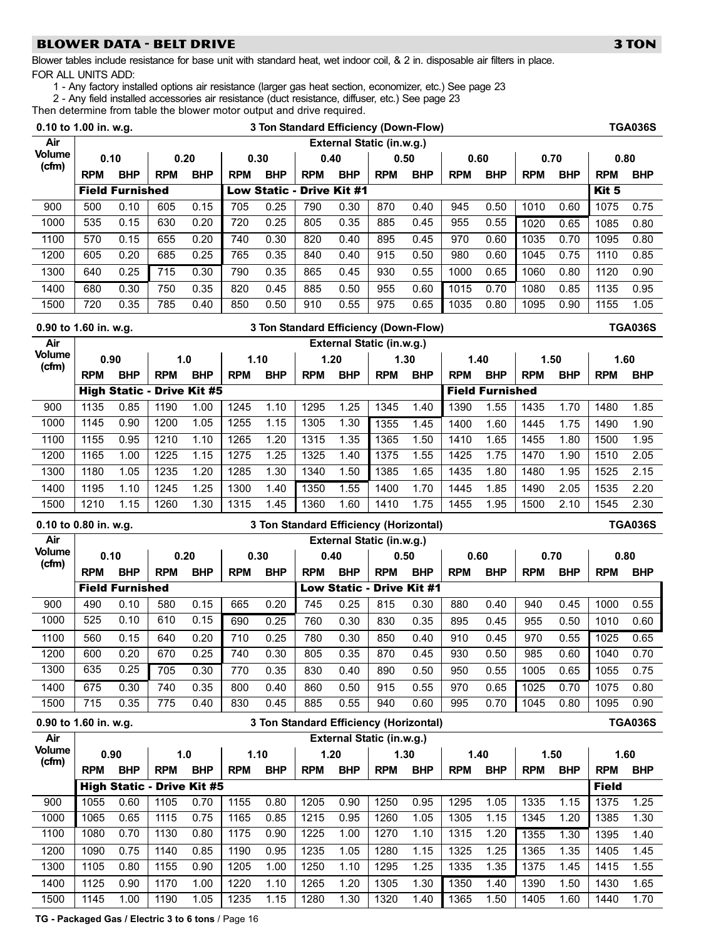# BLOWER DATA − BELT DRIVE 3 TON 3 TON

Blower tables include resistance for base unit with standard heat, wet indoor coil, & 2 in. disposable air filters in place. FOR ALL UNITS ADD:

1 − Any factory installed options air resistance (larger gas heat section, economizer, etc.) See page [23](#page-22-0)

2 − Any field installed accessories air resistance (duct resistance, diffuser, etc.) See page [23](#page-22-0)

Then determine from table the blower motor output and drive required.

| 0.10 to 1.00 in. w.g.  |              |                                   |              |              |              |                     | 3 Ton Standard Efficiency (Down-Flow)  |              |                                   |              |              |                        |              |              |              | <b>TGA036S</b> |
|------------------------|--------------|-----------------------------------|--------------|--------------|--------------|---------------------|----------------------------------------|--------------|-----------------------------------|--------------|--------------|------------------------|--------------|--------------|--------------|----------------|
| Air                    |              |                                   |              |              |              |                     |                                        |              | <b>External Static (in.w.g.)</b>  |              |              |                        |              |              |              |                |
| <b>Volume</b><br>(cfm) | 0.10         |                                   |              | 0.20         |              | 0.30                | 0.40                                   |              | 0.50                              |              | 0.60         |                        | 0.70         |              | 0.80         |                |
|                        | <b>RPM</b>   | <b>BHP</b>                        | <b>RPM</b>   | <b>BHP</b>   | <b>RPM</b>   | <b>BHP</b>          | <b>RPM</b>                             | <b>BHP</b>   | <b>RPM</b>                        | <b>BHP</b>   | <b>RPM</b>   | <b>BHP</b>             | <b>RPM</b>   | <b>BHP</b>   | <b>RPM</b>   | <b>BHP</b>     |
|                        |              | <b>Field Furnished</b>            |              |              |              | <b>Low Static -</b> |                                        | Drive Kit #1 |                                   |              |              |                        |              |              | Kit 5        |                |
| 900                    | 500          | 0.10                              | 605          | 0.15         | 705          | 0.25                | 790                                    | 0.30         | 870                               | 0.40         | 945          | 0.50                   | 1010         | 0.60         | 1075         | 0.75           |
| 1000                   | 535          | 0.15                              | 630          | 0.20         | 720          | 0.25                | 805                                    | 0.35         | 885                               | 0.45         | 955          | 0.55                   | 1020         | 0.65         | 1085         | 0.80           |
| 1100                   | 570          | 0.15                              | 655          | 0.20         | 740          | 0.30                | 820                                    | 0.40         | 895                               | 0.45         | 970          | 0.60                   | 1035         | 0.70         | 1095         | 0.80           |
| 1200                   | 605          | 0.20                              | 685          | 0.25         | 765          | 0.35                | 840                                    | 0.40         | 915                               | 0.50         | 980          | 0.60                   | 1045         | 0.75         | 1110         | 0.85           |
| 1300                   | 640          | 0.25                              | 715          | 0.30         | 790          | 0.35                | 865                                    | 0.45         | 930                               | 0.55         | 1000         | 0.65                   | 1060         | 0.80         | 1120         | 0.90           |
| 1400                   | 680          | 0.30                              | 750          | 0.35         | 820          | 0.45                | 885                                    | 0.50         | 955                               | 0.60         | 1015         | 0.70                   | 1080         | 0.85         | 1135         | 0.95           |
| 1500                   | 720          | 0.35                              | 785          | 0.40         | 850          | 0.50                | 910                                    | 0.55         | 975                               | 0.65         | 1035         | 0.80                   | 1095         | 0.90         | 1155         | 1.05           |
| 0.90 to 1.60 in. w.g.  |              |                                   |              |              |              |                     | 3 Ton Standard Efficiency (Down-Flow)  |              |                                   |              |              |                        |              |              |              | <b>TGA036S</b> |
| Air                    |              |                                   |              |              |              |                     |                                        |              | External Static (in.w.g.)         |              |              |                        |              |              |              |                |
| <b>Volume</b><br>(cfm) | 0.90         |                                   |              | 1.0          | 1.10         |                     |                                        | 1.20         | 1.30                              |              | 1.40         |                        | 1.50         |              | 1.60         |                |
|                        | <b>RPM</b>   | <b>BHP</b>                        | <b>RPM</b>   | <b>BHP</b>   | <b>RPM</b>   | <b>BHP</b>          | <b>RPM</b>                             | <b>BHP</b>   | <b>RPM</b>                        | <b>BHP</b>   | <b>RPM</b>   | <b>BHP</b>             | <b>RPM</b>   | <b>BHP</b>   | <b>RPM</b>   | <b>BHP</b>     |
|                        |              | <b>High Static - Drive Kit #5</b> |              |              |              |                     |                                        |              |                                   |              |              | <b>Field Furnished</b> |              |              |              |                |
| 900                    | 1135         | 0.85                              | 1190         | 1.00         | 1245         | 1.10                | 1295                                   | 1.25         | 1345                              | 1.40         | 1390         | 1.55                   | 1435         | 1.70         | 1480         | 1.85           |
| 1000                   | 1145         | 0.90                              | 1200         | 1.05         | 1255         | 1.15                | 1305                                   | 1.30         | 1355                              | 1.45         | 1400         | 1.60                   | 1445         | 1.75         | 1490         | 1.90           |
| 1100                   | 1155         | 0.95                              | 1210         | 1.10         | 1265         | 1.20                | 1315                                   | 1.35         | 1365                              | 1.50         | 1410         | 1.65                   | 1455         | 1.80         | 1500         | 1.95           |
| 1200                   | 1165         | 1.00                              | 1225         | 1.15         | 1275         | 1.25                | 1325                                   | 1.40         | 1375                              | 1.55         | 1425         | 1.75                   | 1470         | 1.90         | 1510         | 2.05           |
| 1300                   | 1180         | 1.05                              | 1235         | 1.20         | 1285         | 1.30                | 1340                                   | 1.50         | 1385                              | 1.65         | 1435         | 1.80                   | 1480         | 1.95         | 1525         | 2.15           |
| 1400                   | 1195         | 1.10                              | 1245         | 1.25         | 1300         | 1.40                | 1350                                   | 1.55         | 1400                              | 1.70         | 1445         | 1.85                   | 1490         | 2.05         | 1535         | 2.20           |
| 1500                   | 1210         | 1.15                              | 1260         | 1.30         | 1315         | 1.45                | 1360                                   | 1.60         | 1410                              | 1.75         | 1455         | 1.95                   | 1500         | 2.10         | 1545         | 2.30           |
|                        |              |                                   |              |              |              |                     |                                        |              |                                   |              |              |                        |              |              |              |                |
| 0.10 to 0.80 in. w.g.  |              |                                   |              |              |              |                     | 3 Ton Standard Efficiency (Horizontal) |              |                                   |              |              |                        |              |              |              | <b>TGA036S</b> |
| Air                    |              |                                   |              |              |              |                     |                                        |              | External Static (in.w.g.)         |              |              |                        |              |              |              |                |
| <b>Volume</b><br>(cfm) | 0.10         |                                   |              | 0.20         |              | 0.30                | 0.40                                   |              | 0.50                              |              | 0.60         |                        | 0.70         |              | 0.80         |                |
|                        | <b>RPM</b>   | <b>BHP</b>                        | <b>RPM</b>   | <b>BHP</b>   | <b>RPM</b>   | <b>BHP</b>          | <b>RPM</b>                             | <b>BHP</b>   | <b>RPM</b>                        | <b>BHP</b>   | <b>RPM</b>   | <b>BHP</b>             | <b>RPM</b>   | <b>BHP</b>   | <b>RPM</b>   | <b>BHP</b>     |
|                        |              | <b>Field Furnished</b>            |              |              |              |                     |                                        |              | Low Static - Drive Kit #1         |              |              |                        |              |              |              |                |
| 900                    | 490          | 0.10                              | 580          | 0.15         | 665          | 0.20                | 745                                    | 0.25         | 815                               | 0.30         | 880          | 0.40                   | 940          | 0.45         | 1000         | 0.55           |
| 1000                   | 525          | 0.10                              | 610          | 0.15         | 690          | 0.25                | 760                                    | 0.30         | 830                               | 0.35         | 895          | 0.45                   | 955          | 0.50         | 1010         | 0.60           |
| 1100                   | 560          | 0.15                              | 640          | 0.20         | 710          | 0.25                | 780                                    | 0.30         | 850                               | 0.40         | 910          | 0.45                   | 970          | 0.55         | 1025         | 0.65           |
| 1200<br>1300           | 600<br>635   | 0.20<br>0.25                      | 670          | 0.25         | 740          | 0.30                | 805                                    | 0.35         | 870                               | 0.45         | 930          | 0.50                   | 985          | 0.60         | 1040         | 0.70           |
|                        |              |                                   | 705          | 0.30         | 770          | 0.35                | 830                                    | 0.40         | 890                               | 0.50         | 950          | 0.55                   | 1005         | 0.65         | 1055         | 0.75           |
| 1400<br>1500           | 675<br>715   | 0.30<br>0.35                      | 740<br>775   | 0.35<br>0.40 | 800<br>830   | 0.40<br>0.45        | 860<br>885                             | 0.50<br>0.55 | 915<br>940                        | 0.55<br>0.60 | 970<br>995   | 0.65<br>0.70           | 1025<br>1045 | 0.70<br>0.80 | 1075<br>1095 | 0.80<br>0.90   |
|                        |              |                                   |              |              |              |                     |                                        |              |                                   |              |              |                        |              |              |              |                |
| 0.90 to 1.60 in. w.g.  |              |                                   |              |              |              |                     | 3 Ton Standard Efficiency (Horizontal) |              |                                   |              |              |                        |              |              |              | <b>TGA036S</b> |
| Air<br><b>Volume</b>   |              | 0.90                              |              | 1.0          |              | 1.10                | 1.20                                   |              | External Static (in.w.g.)<br>1.30 |              | 1.40         |                        | 1.50         |              | 1.60         |                |
| (cfm)                  | <b>RPM</b>   | <b>BHP</b>                        | <b>RPM</b>   | <b>BHP</b>   | <b>RPM</b>   | <b>BHP</b>          | <b>RPM</b>                             | <b>BHP</b>   | <b>RPM</b>                        | <b>BHP</b>   | <b>RPM</b>   | <b>BHP</b>             | <b>RPM</b>   | <b>BHP</b>   | <b>RPM</b>   | <b>BHP</b>     |
|                        |              | <b>High Static - Drive Kit #5</b> |              |              |              |                     |                                        |              |                                   |              |              |                        |              |              | <b>Field</b> |                |
| 900                    | 1055         | 0.60                              | 1105         | 0.70         | 1155         | 0.80                | 1205                                   | 0.90         | 1250                              | 0.95         | 1295         | 1.05                   | 1335         | 1.15         | 1375         | 1.25           |
| 1000                   | 1065         | 0.65                              | 1115         | 0.75         | 1165         | 0.85                | 1215                                   | 0.95         | 1260                              | 1.05         | 1305         | 1.15                   | 1345         | 1.20         | 1385         | 1.30           |
| 1100                   | 1080         | 0.70                              | 1130         | 0.80         | 1175         | 0.90                | 1225                                   | 1.00         | 1270                              | 1.10         | 1315         | 1.20                   | 1355         | 1.30         | 1395         | 1.40           |
| 1200                   | 1090         | 0.75                              | 1140         | 0.85         | 1190         | 0.95                | 1235                                   | 1.05         | 1280                              | 1.15         | 1325         | 1.25                   | 1365         | 1.35         | 1405         | 1.45           |
| 1300                   | 1105         | 0.80                              | 1155         | 0.90         | 1205         | 1.00                | 1250                                   | 1.10         | 1295                              | 1.25         | 1335         | 1.35                   | 1375         | 1.45         | 1415         | 1.55           |
| 1400<br>1500           | 1125<br>1145 | 0.90<br>1.00                      | 1170<br>1190 | 1.00<br>1.05 | 1220<br>1235 | 1.10<br>1.15        | 1265<br>1280                           | 1.20<br>1.30 | 1305<br>1320                      | 1.30<br>1.40 | 1350<br>1365 | 1.40<br>1.50           | 1390<br>1405 | 1.50<br>1.60 | 1430<br>1440 | 1.65<br>1.70   |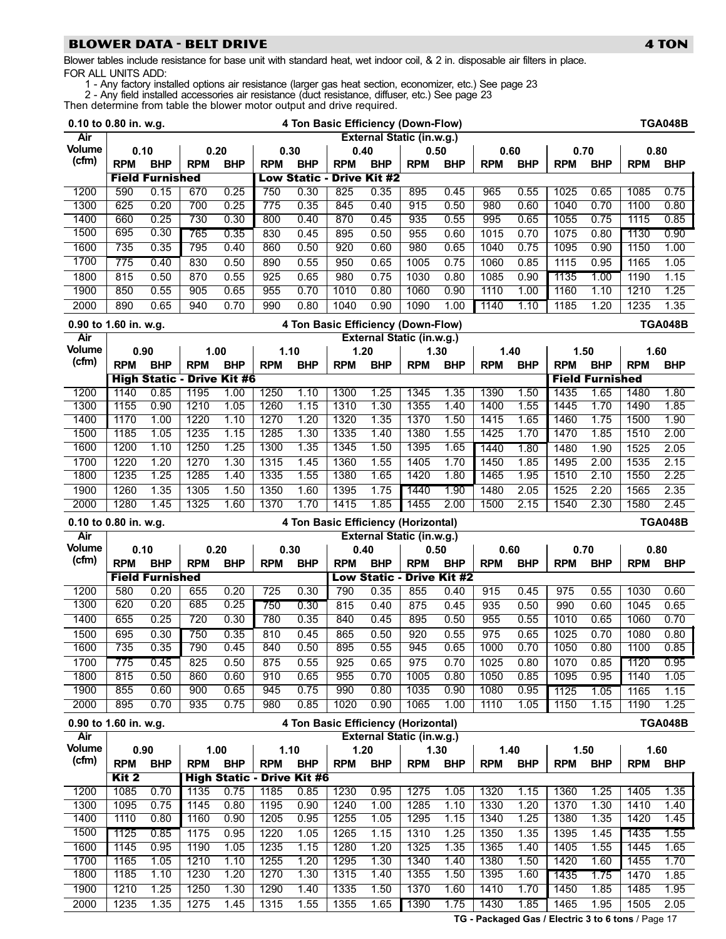# BLOWER DATA − BELT DRIVE 4 TON 4 TON

Blower tables include resistance for base unit with standard heat, wet indoor coil, & 2 in. disposable air filters in place. FOR ALL UNITS ADD:

1 − Any factory installed options air resistance (larger gas heat section, economizer, etc.) See page [23](#page-22-0)

2 − Any field installed accessories air resistance (duct resistance, diffuser, etc.) See page [23](#page-22-0)

Then determine from table the blower motor output and drive required.

|                        | 0.10 to 0.80 in. w.g. |                        |              |                                   |              |              |                                  |                     | 4 Ton Basic Efficiency (Down-Flow)  |                     |              |              |              |                        |              | <b>TGA048B</b> |
|------------------------|-----------------------|------------------------|--------------|-----------------------------------|--------------|--------------|----------------------------------|---------------------|-------------------------------------|---------------------|--------------|--------------|--------------|------------------------|--------------|----------------|
| Air                    |                       |                        |              |                                   |              |              |                                  |                     | <b>External Static (in.w.g.)</b>    |                     |              |              |              |                        |              |                |
| Volume                 | 0.10                  |                        |              | 0.20                              |              | 0.30         | 0.40                             |                     | 0.50                                |                     |              | 0.60         | 0.70         |                        | 0.80         |                |
| (cfm)                  | <b>RPM</b>            | <b>BHP</b>             | <b>RPM</b>   | <b>BHP</b>                        | <b>RPM</b>   | <b>BHP</b>   | <b>RPM</b>                       | <b>BHP</b>          | <b>RPM</b>                          | <b>BHP</b>          | <b>RPM</b>   | <b>BHP</b>   | <b>RPM</b>   | <b>BHP</b>             | <b>RPM</b>   | <b>BHP</b>     |
|                        |                       | <b>Field Furnished</b> |              |                                   |              |              | <b>Low Static - Drive Kit #2</b> |                     |                                     |                     |              |              |              |                        |              |                |
| 1200                   | 590                   | 0.15                   | 670          | 0.25                              | 750          | 0.30         | 825                              | 0.35                | 895                                 | 0.45                | 965          | 0.55         | 1025         | 0.65                   | 1085         | 0.75           |
| 1300                   | 625                   | 0.20                   | 700          | 0.25                              | 775          | 0.35         | 845                              | 0.40                | 915                                 | 0.50                | 980          | 0.60         | 1040         | 0.70                   | 1100         | 0.80           |
| 1400                   | 660                   | 0.25                   | 730          | 0.30                              | 800          | 0.40         | 870                              | 0.45                | 935                                 | 0.55                | 995          | 0.65         | 1055         | 0.75                   | 1115         | 0.85           |
| 1500                   | 695                   | 0.30                   | 765          | 0.35                              | 830          | 0.45         | 895                              | 0.50                | 955                                 | 0.60                | 1015         | 0.70         | 1075         | 0.80                   | 1130         | 0.90           |
| 1600                   | 735                   | 0.35                   | 795          | 0.40                              | 860          | 0.50         | 920                              | 0.60                | 980                                 | 0.65                | 1040         | 0.75         | 1095         | 0.90                   | 1150         | 1.00           |
| 1700                   | 775                   | 0.40                   | 830          | 0.50                              | 890          | 0.55         | 950                              | 0.65                | 1005                                | 0.75                | 1060         | 0.85         | 1115         | 0.95                   | 1165         | 1.05           |
| 1800                   | 815                   | 0.50                   | 870          | 0.55                              | 925          | 0.65         | 980                              | 0.75                | 1030                                | 0.80                | 1085         | 0.90         | 1135         | 1.00                   | 1190         | 1.15           |
| 1900                   | 850                   | 0.55                   | 905          | 0.65                              | 955          | 0.70         | 1010                             | 0.80                | 1060                                | 0.90                | 1110         | 1.00         | 1160         | 1.10                   | 1210         | 1.25           |
| 2000                   | 890                   | 0.65                   | 940          | 0.70                              | 990          | 0.80         | 1040                             | 0.90                | 1090                                | 1.00                | 1140         | 1.10         | 1185         | 1.20                   | 1235         | 1.35           |
|                        |                       |                        |              |                                   |              |              |                                  |                     |                                     |                     |              |              |              |                        |              |                |
| 0.90 to 1.60 in. w.g.  |                       |                        |              |                                   |              |              |                                  |                     | 4 Ton Basic Efficiency (Down-Flow)  |                     |              |              |              |                        |              | <b>TGA048B</b> |
| Air<br><b>Volume</b>   |                       |                        |              |                                   |              |              |                                  |                     | External Static (in.w.g.)           |                     |              |              |              |                        |              |                |
| (cfm)                  |                       | 0.90                   |              | 1.00                              |              | 1.10         |                                  | 1.20                | 1.30                                |                     |              | 1.40         | 1.50         |                        | 1.60         |                |
|                        | <b>RPM</b>            | <b>BHP</b>             | <b>RPM</b>   | <b>BHP</b>                        | <b>RPM</b>   | <b>BHP</b>   | <b>RPM</b>                       | <b>BHP</b>          | <b>RPM</b>                          | <b>BHP</b>          | <b>RPM</b>   | <b>BHP</b>   | <b>RPM</b>   | <b>BHP</b>             | <b>RPM</b>   | <b>BHP</b>     |
|                        |                       |                        |              | <b>High Static - Drive Kit #6</b> |              |              |                                  |                     |                                     |                     |              |              |              | <b>Field Furnished</b> |              |                |
| 1200                   | 1140                  | 0.85                   | 1195         | 1.00                              | 1250         | 1.10         | 1300                             | 1.25                | 1345                                | 1.35                | 1390         | 1.50         | 1435         | 1.65                   | 1480         | 1.80           |
| 1300                   | 1155                  | 0.90                   | 1210         | 1.05                              | 1260         | 1.15         | 1310                             | 1.30                | 1355                                | 1.40                | 1400         | 1.55         | 1445         | 1.70                   | 1490         | 1.85           |
| 1400                   | 1170                  | 1.00                   | 1220         | 1.10                              | 1270         | 1.20         | 1320                             | 1.35                | 1370                                | 1.50                | 1415         | 1.65         | 1460         | 1.75                   | 1500         | 1.90           |
| 1500                   | 1185                  | 1.05                   | 1235         | 1.15                              | 1285         | 1.30         | 1335                             | 1.40                | 1380                                | 1.55                | 1425         | 1.70         | 1470         | 1.85                   | 1510         | 2.00           |
| 1600                   | 1200                  | 1.10                   | 1250         | 1.25                              | 1300         | 1.35         | 1345                             | 1.50                | 1395                                | 1.65                | 1440         | 1.80         | 1480         | 1.90                   | 1525         | 2.05           |
| 1700                   | 1220                  | 1.20                   | 1270         | 1.30                              | 1315         | 1.45         | 1360                             | 1.55                | 1405                                | 1.70                | 1450         | 1.85         | 1495         | 2.00                   | 1535         | 2.15           |
| 1800                   | 1235                  | 1.25                   | 1285         | 1.40                              | 1335         | 1.55         | 1380                             | 1.65                | 1420                                | 1.80                | 1465         | 1.95         | 1510         | 2.10                   | 1550         | 2.25           |
| 1900                   | 1260                  | 1.35                   | 1305         | 1.50                              | 1350         | 1.60         | 1395                             | 1.75                | 1440                                | 1.90                | 1480         | 2.05         | 1525         | 2.20                   | 1565         | 2.35           |
| 2000                   | 1280                  | 1.45                   | 1325         | 1.60                              | 1370         | 1.70         | 1415                             | 1.85                | 1455                                | 2.00                | 1500         | 2.15         | 1540         | 2.30                   | 1580         | 2.45           |
|                        |                       |                        |              |                                   |              |              |                                  |                     |                                     |                     |              |              |              |                        |              |                |
|                        | 0.10 to 0.80 in. w.g. |                        |              |                                   |              |              |                                  |                     | 4 Ton Basic Efficiency (Horizontal) |                     |              |              |              |                        |              | <b>TGA048B</b> |
| Air                    |                       |                        |              |                                   |              |              |                                  |                     | External Static (in.w.g.)           |                     |              |              |              |                        |              |                |
| <b>Volume</b>          | 0.10                  |                        |              | 0.20                              |              | 0.30         |                                  | 0.40                | 0.50                                |                     |              | 0.60         | 0.70         |                        | 0.80         |                |
| (cfm)                  | <b>RPM</b>            | <b>BHP</b>             | <b>RPM</b>   | <b>BHP</b>                        | <b>RPM</b>   | <b>BHP</b>   | <b>RPM</b>                       | <b>BHP</b>          | <b>RPM</b>                          | <b>BHP</b>          | <b>RPM</b>   | <b>BHP</b>   | <b>RPM</b>   | <b>BHP</b>             | <b>RPM</b>   | <b>BHP</b>     |
|                        |                       | <b>Field Furnished</b> |              |                                   |              |              |                                  | <b>Low Static -</b> |                                     | <b>Drive Kit #2</b> |              |              |              |                        |              |                |
| 1200                   | 580                   | 0.20                   | 655          | 0.20                              | 725          | 0.30         | 790                              | 0.35                | 855                                 | 0.40                | 915          | 0.45         | 975          | 0.55                   | 1030         | 0.60           |
| 1300                   | 620                   | 0.20                   | 685          | 0.25                              | 750          | 0.30         | 815                              | 0.40                | 875                                 | 0.45                | 935          | 0.50         | 990          | 0.60                   | 1045         | 0.65           |
| 1400                   | 655                   | 0.25                   | 720          | 0.30                              | 780          | 0.35         | 840                              | 0.45                | 895                                 | 0.50                | 955          | 0.55         | 1010         | 0.65                   | 1060         | 0.70           |
| 1500                   | 695                   | 0.30                   | 750          | 0.35                              | 810          | 0.45         | 865                              | 0.50                | 920                                 | 0.55                | 975          | 0.65         | 1025         | 0.70                   | 1080         | 0.80           |
| 1600                   | 735                   | 0.35                   | 790          | 0.45                              | 840          | 0.50         | 895                              | 0.55                | 945                                 | 0.65                | 1000         | 0.70         | 1050         | 0.80                   | 1100         | 0.85           |
| 1700                   | 775                   | 0.45                   | 825          | 0.50                              | 875          | 0.55         | 925                              | 0.65                | 975                                 | 0.70                | 1025         | 0.80         | 1070         | 0.85                   | 1120         | 0.95           |
| 1800                   | 815                   | 0.50                   | 860          | 0.60                              | 910          | 0.65         | 955                              | 0.70                | 1005                                | 0.80                | 1050         | 0.85         | 1095         | 0.95                   | 1140         | 1.05           |
| 1900                   | 855                   | 0.60                   | 900          | 0.65                              | 945          | 0.75         | 990                              | 0.80                | 1035                                | 0.90                | 1080         | 0.95         | 1125         | 1.05                   | 1165         | 1.15           |
| 2000                   | 895                   | 0.70                   | 935          | 0.75                              | 980          | 0.85         | 1020                             | 0.90                | 1065                                | 1.00                | 1110         | 1.05         | 1150         | 1.15                   | 1190         | 1.25           |
|                        |                       |                        |              |                                   |              |              |                                  |                     |                                     |                     |              |              |              |                        |              |                |
| 0.90 to 1.60 in. w.g.  |                       |                        |              |                                   |              |              |                                  |                     | 4 Ton Basic Efficiency (Horizontal) |                     |              |              |              |                        |              | <b>TGA048B</b> |
| Air                    |                       |                        |              |                                   |              |              |                                  |                     | External Static (in.w.g.)           |                     |              |              |              |                        |              |                |
| <b>Volume</b><br>(cfm) |                       | 0.90                   |              | 1.00                              |              | 1.10         |                                  | 1.20                | 1.30                                |                     |              | 1.40         | 1.50         |                        |              | 1.60           |
|                        | <b>RPM</b>            | <b>BHP</b>             | <b>RPM</b>   | <b>BHP</b>                        | <b>RPM</b>   | <b>BHP</b>   | <b>RPM</b>                       | <b>BHP</b>          | <b>RPM</b>                          | <b>BHP</b>          | <b>RPM</b>   | <b>BHP</b>   | <b>RPM</b>   | <b>BHP</b>             | <b>RPM</b>   | <b>BHP</b>     |
|                        | Kit <sub>2</sub>      |                        |              | <b>High Static - Drive Kit #6</b> |              |              |                                  |                     |                                     |                     |              |              |              |                        |              |                |
| 1200                   | 1085                  | 0.70                   | 1135         | 0.75                              | 1185         | 0.85         | 1230                             | 0.95                | 1275                                | 1.05                | 1320         | 1.15         | 1360         | 1.25                   | 1405         | 1.35           |
| 1300                   | 1095                  | 0.75                   | 1145         | 0.80                              | 1195         | 0.90         | 1240                             | 1.00                | 1285                                | 1.10                | 1330         | 1.20         | 1370         | 1.30                   | 1410         | 1.40           |
| 1400                   | 1110                  | 0.80                   | 1160         | 0.90                              | 1205         | 0.95         | 1255                             | 1.05                | 1295                                | 1.15                | 1340         | 1.25         | 1380         | 1.35                   | 1420         | 1.45           |
| 1500                   | 1125                  | 0.85                   | 1175         | 0.95                              | 1220         | 1.05         | 1265                             | 1.15                | 1310                                | 1.25                | 1350         | 1.35         | 1395         | 1.45                   | 1435         | 1.55           |
| 1600                   | 1145                  | 0.95                   | 1190         | 1.05                              | 1235         | 1.15         | 1280                             | 1.20                | 1325                                | 1.35                | 1365         | 1.40         | 1405         | 1.55                   | 1445         | 1.65           |
| 1700                   | 1165                  | 1.05                   | 1210         | 1.10                              | 1255         | 1.20         | 1295                             | 1.30                | 1340                                | 1.40                | 1380         | 1.50         | 1420         | 1.60                   | 1455         | 1.70           |
| 1800                   | 1185                  | 1.10                   | 1230         | 1.20                              | 1270         | 1.30         | 1315                             | 1.40                | 1355                                | 1.50                | 1395         | 1.60         | 1435         | 1.75                   | 1470         | 1.85           |
| 1900<br>2000           | 1210<br>1235          | 1.25<br>1.35           | 1250<br>1275 | 1.30<br>1.45                      | 1290<br>1315 | 1.40<br>1.55 | 1335<br>1355                     | 1.50<br>1.65        | 1370<br>1390                        | 1.60<br>1.75        | 1410<br>1430 | 1.70<br>1.85 | 1450<br>1465 | 1.85<br>1.95           | 1485<br>1505 | 1.95<br>2.05   |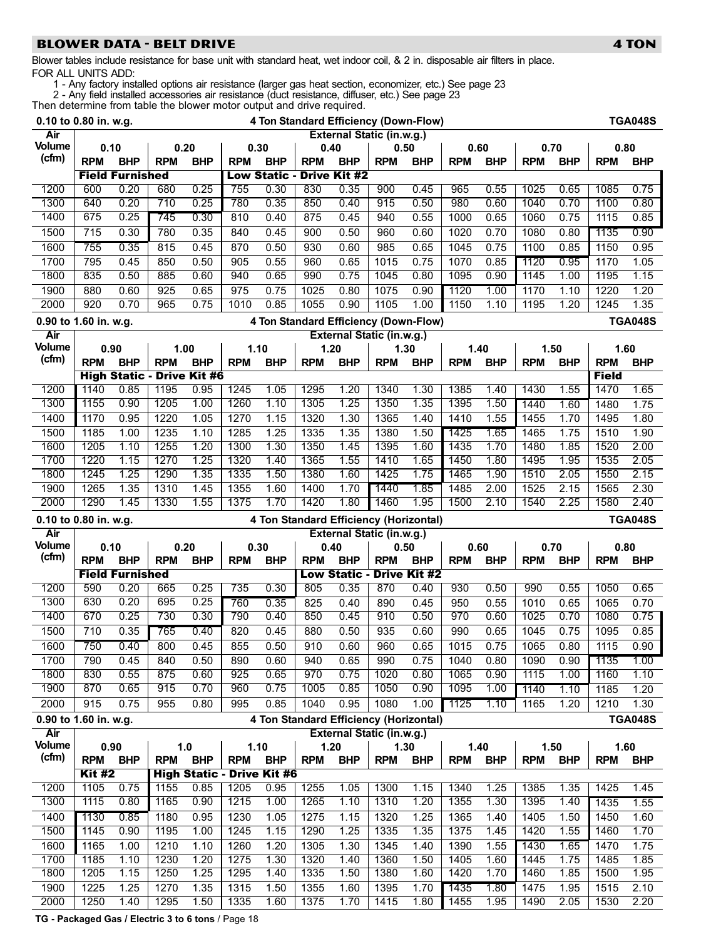# BLOWER DATA − BELT DRIVE 4 TON 4 TON

Blower tables include resistance for base unit with standard heat, wet indoor coil, & 2 in. disposable air filters in place. FOR ALL UNITS ADD:

1 − Any factory installed options air resistance (larger gas heat section, economizer, etc.) See page [23](#page-22-0)

2 − Any field installed accessories air resistance (duct resistance, diffuser, etc.) See page [23](#page-22-0)

Then determine from table the blower motor output and drive required.<br>
1.5 Standard Efficiance

| 0.10 to 0.80 in. w.g. |                       |                        |                                   |            |                                   |                                        |                                        |                                  |            | 4 Ton Standard Efficiency (Down-Flow) |            |            |            |            |              | <b>TGA048S</b> |
|-----------------------|-----------------------|------------------------|-----------------------------------|------------|-----------------------------------|----------------------------------------|----------------------------------------|----------------------------------|------------|---------------------------------------|------------|------------|------------|------------|--------------|----------------|
| Air                   |                       |                        |                                   |            |                                   |                                        |                                        | External Static (in.w.g.)        |            |                                       |            |            |            |            |              |                |
| Volume                |                       | 0.10                   | 0.20                              |            |                                   | 0.30                                   | 0.40                                   |                                  | 0.50       |                                       | 0.60       |            | 0.70       |            | 0.80         |                |
| (cfm)                 | <b>RPM</b>            | <b>BHP</b>             | <b>RPM</b>                        | <b>BHP</b> | <b>RPM</b>                        | <b>BHP</b>                             | <b>RPM</b>                             | <b>BHP</b>                       | <b>RPM</b> | <b>BHP</b>                            | <b>RPM</b> | <b>BHP</b> | <b>RPM</b> | <b>BHP</b> | <b>RPM</b>   | <b>BHP</b>     |
|                       |                       | <b>Field Furnished</b> |                                   |            |                                   | <b>Low Static -</b>                    |                                        | <b>Drive Kit #2</b>              |            |                                       |            |            |            |            |              |                |
| 1200                  | 600                   | 0.20                   | 680                               | 0.25       | 755                               | 0.30                                   | 830                                    | 0.35                             | 900        | 0.45                                  | 965        | 0.55       | 1025       | 0.65       | 1085         | 0.75           |
| 1300                  | 640                   | 0.20                   | 710                               | 0.25       | 780                               | 0.35                                   | 850                                    | 0.40                             | 915        | 0.50                                  | 980        | 0.60       | 1040       | 0.70       | 1100         | 0.80           |
| 1400                  | 675                   | 0.25                   | 745                               | 0.30       | 810                               | 0.40                                   | 875                                    | 0.45                             | 940        | 0.55                                  | 1000       | 0.65       | 1060       | 0.75       | 1115         | 0.85           |
| 1500                  | $\overline{715}$      | 0.30                   | 780                               | 0.35       | 840                               | 0.45                                   | 900                                    | 0.50                             | 960        | 0.60                                  | 1020       | 0.70       | 1080       | 0.80       | 1135         | 0.90           |
| 1600                  | 755                   | 0.35                   | 815                               | 0.45       | 870                               | 0.50                                   | 930                                    | 0.60                             | 985        | 0.65                                  | 1045       | 0.75       | 1100       | 0.85       | 1150         | 0.95           |
| 1700                  | 795                   | 0.45                   | 850                               | 0.50       | 905                               | 0.55                                   | 960                                    | 0.65                             | 1015       | 0.75                                  | 1070       | 0.85       | 1120       | 0.95       | 1170         | 1.05           |
| 1800                  | 835                   | 0.50                   | 885                               | 0.60       | 940                               | 0.65                                   | 990                                    | 0.75                             | 1045       | 0.80                                  | 1095       | 0.90       | 1145       | 1.00       | 1195         | 1.15           |
| 1900                  | 880                   | 0.60                   | 925                               | 0.65       | $\overline{975}$                  | 0.75                                   | 1025                                   | 0.80                             | 1075       | 0.90                                  | 1120       | 1.00       | 1170       | 1.10       | 1220         | 1.20           |
| 2000                  | 920                   | 0.70                   | 965                               | 0.75       | 1010                              | 0.85                                   | 1055                                   | 0.90                             | 1105       | 1.00                                  | 1150       | 1.10       | 1195       | 1.20       | 1245         | 1.35           |
|                       |                       |                        |                                   |            |                                   |                                        |                                        |                                  |            |                                       |            |            |            |            |              |                |
| 0.90 to 1.60 in. w.g. |                       |                        |                                   |            |                                   |                                        | 4 Ton Standard Efficiency (Down-Flow)  |                                  |            |                                       |            |            |            |            |              | <b>TGA048S</b> |
| Air<br><b>Volume</b>  |                       |                        |                                   |            |                                   |                                        |                                        | External Static (in.w.g.)        |            |                                       |            |            |            |            |              |                |
| (cfm)                 |                       | 0.90                   | 1.00                              |            | 1.10                              |                                        | 1.20                                   |                                  |            | 1.30                                  | 1.40       |            | 1.50       |            | 1.60         |                |
|                       | <b>RPM</b>            | <b>BHP</b>             | <b>RPM</b>                        | <b>BHP</b> | <b>RPM</b>                        | <b>BHP</b>                             | <b>RPM</b>                             | <b>BHP</b>                       | <b>RPM</b> | <b>BHP</b>                            | <b>RPM</b> | <b>BHP</b> | <b>RPM</b> | <b>BHP</b> | <b>RPM</b>   | <b>BHP</b>     |
|                       |                       |                        | <b>High Static - Drive Kit #6</b> |            |                                   |                                        |                                        |                                  |            |                                       |            |            |            |            | <b>Field</b> |                |
| 1200                  | 1140                  | 0.85                   | 1195                              | 0.95       | 1245                              | 1.05                                   | 1295                                   | 1.20                             | 1340       | 1.30                                  | 1385       | 1.40       | 1430       | 1.55       | 1470         | 1.65           |
| 1300                  | 1155                  | 0.90                   | 1205                              | 1.00       | 1260                              | 1.10                                   | 1305                                   | 1.25                             | 1350       | 1.35                                  | 1395       | 1.50       | 1440       | 1.60       | 1480         | 1.75           |
| 1400                  | 1170                  | 0.95                   | 1220                              | 1.05       | 1270                              | 1.15                                   | 1320                                   | 1.30                             | 1365       | 1.40                                  | 1410       | 1.55       | 1455       | 1.70       | 1495         | 1.80           |
| 1500                  | 1185                  | 1.00                   | 1235                              | 1.10       | 1285                              | 1.25                                   | 1335                                   | 1.35                             | 1380       | 1.50                                  | 1425       | 1.65       | 1465       | 1.75       | 1510         | 1.90           |
| 1600                  | 1205                  | 1.10                   | 1255                              | 1.20       | 1300                              | 1.30                                   | 1350                                   | 1.45                             | 1395       | 1.60                                  | 1435       | 1.70       | 1480       | 1.85       | 1520         | 2.00           |
| 1700                  | 1220                  | 1.15                   | 1270                              | 1.25       | 1320                              | 1.40                                   | 1365                                   | 1.55                             | 1410       | 1.65                                  | 1450       | 1.80       | 1495       | 1.95       | 1535         | 2.05           |
| 1800                  | 1245                  | 1.25                   | 1290                              | 1.35       | 1335                              | 1.50                                   | 1380                                   | 1.60                             | 1425       | 1.75                                  | 1465       | 1.90       | 1510       | 2.05       | 1550         | 2.15           |
| 1900                  | 1265                  | 1.35                   | 1310                              | 1.45       | 1355                              | 1.60                                   | 1400                                   | 1.70                             | 1440       | 1.85                                  | 1485       | 2.00       | 1525       | 2.15       | 1565         | 2.30           |
| 2000                  | 1290                  | 1.45                   | 1330                              | 1.55       | 1375                              | 1.70                                   | 1420                                   | 1.80                             | 1460       | 1.95                                  | 1500       | 2.10       | 1540       | 2.25       | 1580         | 2.40           |
|                       |                       |                        |                                   |            |                                   |                                        |                                        |                                  |            |                                       |            |            |            |            |              |                |
|                       | 0.10 to 0.80 in. w.g. |                        |                                   |            |                                   | 4 Ton Standard Efficiency (Horizontal) |                                        |                                  |            |                                       |            |            |            |            |              | <b>TGA048S</b> |
| Air                   |                       |                        |                                   |            |                                   |                                        |                                        | External Static (in.w.g.)        |            |                                       |            |            |            |            |              |                |
| Volume                |                       | 0.10                   | 0.20                              |            |                                   | 0.30                                   | 0.40                                   |                                  | 0.50       |                                       | 0.60       |            | 0.70       |            | 0.80         |                |
| (cfm)                 | <b>RPM</b>            | <b>BHP</b>             | <b>RPM</b>                        | <b>BHP</b> | <b>RPM</b>                        | <b>BHP</b>                             | <b>RPM</b>                             | <b>BHP</b>                       | <b>RPM</b> | <b>BHP</b>                            | <b>RPM</b> | <b>BHP</b> | <b>RPM</b> | <b>BHP</b> | <b>RPM</b>   | <b>BHP</b>     |
|                       |                       | <b>Field Furnished</b> |                                   |            |                                   |                                        |                                        | <b>Low Static - Drive Kit #2</b> |            |                                       |            |            |            |            |              |                |
| 1200                  | 590                   | 0.20                   | 665                               | 0.25       | 735                               | 0.30                                   | 805                                    | 0.35                             | 870        | 0.40                                  | 930        | 0.50       | 990        | 0.55       | 1050         | 0.65           |
| 1300                  | 630                   | 0.20                   | 695                               | 0.25       | 760                               | 0.35                                   | 825                                    | 0.40                             | 890        | 0.45                                  | 950        | 0.55       | 1010       | 0.65       | 1065         | 0.70           |
| 1400                  | 670                   | 0.25                   | 730                               | 0.30       | 790                               | 0.40                                   | 850                                    | 0.45                             | 910        | 0.50                                  | 970        | 0.60       | 1025       | 0.70       | 1080         | 0.75           |
| 1500                  | 710                   | 0.35                   | 765                               | 0.40       | 820                               | 0.45                                   | 880                                    | 0.50                             | 935        | 0.60                                  | 990        | 0.65       | 1045       | 0.75       | 1095         | 0.85           |
| 1600                  | 750                   | 0.40                   | 800                               | 0.45       | 855                               | 0.50                                   | 910                                    | 0.60                             | 960        | 0.65                                  | 1015       | 0.75       | 1065       | 0.80       | 1115         | 0.90           |
| 1700                  | 790                   | 0.45                   | 840                               | 0.50       | 890                               | 0.60                                   | 940                                    | 0.65                             | 990        | 0.75                                  | 1040       | 0.80       | 1090       | 0.90       | 1135         | 1.00           |
| 1800                  | 830                   | 0.55                   | 875                               | 0.60       | 925                               | 0.65                                   | 970                                    | 0.75                             | 1020       | 0.80                                  | 1065       | 0.90       | 1115       | 1.00       | 1160         | 1.10           |
| 1900                  | 870                   | 0.65                   | 915                               | 0.70       | 960                               | 0.75                                   | 1005                                   | 0.85                             | 1050       | 0.90                                  | 1095       | 1.00       | 1140       | 1.10       | 1185         | 1.20           |
| 2000                  | 915                   | 0.75                   | 955                               | 0.80       | 995                               | 0.85                                   | 1040                                   | 0.95                             | 1080       | 1.00                                  | 1125       | 1.10       | 1165       | 1.20       | 1210         | 1.30           |
| 0.90 to 1.60 in. w.g. |                       |                        |                                   |            |                                   |                                        | 4 Ton Standard Efficiency (Horizontal) |                                  |            |                                       |            |            |            |            |              | <b>TGA048S</b> |
| Air                   |                       |                        |                                   |            |                                   |                                        |                                        | External Static (in.w.g.)        |            |                                       |            |            |            |            |              |                |
| <b>Volume</b>         |                       | 0.90                   |                                   | 1.0        |                                   | 1.10                                   | 1.20                                   |                                  | 1.30       |                                       |            | 1.40       |            | 1.50       | 1.60         |                |
| (cfm)                 | <b>RPM</b>            | <b>BHP</b>             | <b>RPM</b>                        | <b>BHP</b> | <b>RPM</b>                        | <b>BHP</b>                             | <b>RPM</b>                             | <b>BHP</b>                       | <b>RPM</b> | <b>BHP</b>                            | <b>RPM</b> | <b>BHP</b> | <b>RPM</b> | <b>BHP</b> | <b>RPM</b>   | <b>BHP</b>     |
|                       | <b>Kit #2</b>         |                        |                                   |            | <b>High Static - Drive Kit #6</b> |                                        |                                        |                                  |            |                                       |            |            |            |            |              |                |
| 1200                  | 1105                  | 0.75                   | 1155                              | 0.85       | 1205                              | 0.95                                   | 1255                                   | 1.05                             | 1300       | 1.15                                  | 1340       | 1.25       | 1385       | 1.35       | 1425         | 1.45           |
| 1300                  | 1115                  | 0.80                   | 1165                              | 0.90       | 1215                              | 1.00                                   | 1265                                   | 1.10                             | 1310       | 1.20                                  | 1355       | 1.30       | 1395       | 1.40       | 1435         | 1.55           |
| 1400                  | 1130                  | 0.85                   | 1180                              | 0.95       | 1230                              | 1.05                                   | 1275                                   | 1.15                             | 1320       | 1.25                                  | 1365       | 1.40       | 1405       | 1.50       | 1450         | 1.60           |
| 1500                  | 1145                  | 0.90                   | 1195                              | 1.00       | 1245                              | 1.15                                   | 1290                                   | 1.25                             | 1335       | 1.35                                  | 1375       | 1.45       | 1420       | 1.55       | 1460         | 1.70           |
| 1600                  | 1165                  | 1.00                   | 1210                              | 1.10       | 1260                              | 1.20                                   | 1305                                   | 1.30                             | 1345       | 1.40                                  | 1390       | 1.55       | 1430       | 1.65       | 1470         | 1.75           |
| 1700                  | 1185                  | 1.10                   | 1230                              | 1.20       | 1275                              | 1.30                                   | 1320                                   | 1.40                             | 1360       | 1.50                                  | 1405       | 1.60       | 1445       | 1.75       | 1485         | 1.85           |
| 1800                  | 1205                  | 1.15                   | 1250                              | 1.25       | 1295                              | 1.40                                   | 1335                                   | 1.50                             | 1380       | 1.60                                  | 1420       | 1.70       | 1460       | 1.85       | 1500         | 1.95           |
| 1900                  | 1225                  | 1.25                   | 1270                              | 1.35       | 1315                              | 1.50                                   | 1355                                   | 1.60                             | 1395       | 1.70                                  | 1435       | 1.80       | 1475       | 1.95       | 1515         | 2.10           |
| 2000                  | 1250                  | 1.40                   | 1295                              | 1.50       | 1335                              | 1.60                                   | 1375                                   | 1.70                             | 1415       | 1.80                                  | 1455       | 1.95       | 1490       | 2.05       | 1530         | 2.20           |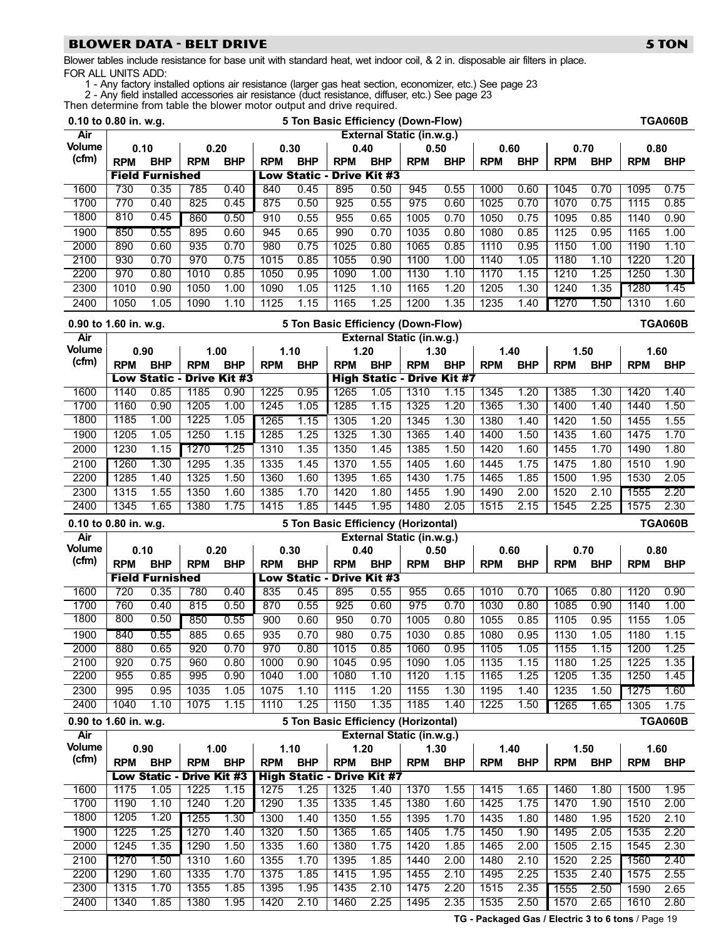#### BLOWER DATA − BELT DRIVE 5 TON 5 TON

Blower tables include resistance for base unit with standard heat, wet indoor coil, & 2 in. disposable air filters in place. FOR ALL UNITS ADD:

1 − Any factory installed options air resistance (larger gas heat section, economizer, etc.) See page [23](#page-22-0)

2 − Any field installed accessories air resistance (duct resistance, diffuser, etc.) See page [23](#page-22-0)

Then determine from table the blower motor output and drive required.

| 0.10 to 0.80 in. w.g. |              |                                  |                     |              |              |              |                                     |              | 5 Ton Basic Efficiency (Down-Flow)  |              |              |              |                  |              |              | <b>TGA060B</b> |
|-----------------------|--------------|----------------------------------|---------------------|--------------|--------------|--------------|-------------------------------------|--------------|-------------------------------------|--------------|--------------|--------------|------------------|--------------|--------------|----------------|
| Air                   |              |                                  |                     |              |              |              |                                     |              | <b>External Static (in.w.g.)</b>    |              |              |              |                  |              |              |                |
| <b>Volume</b>         |              | 0.10                             |                     | 0.20         | 0.30         |              | 0.40                                |              | 0.50                                |              | 0.60         |              | 0.70             |              | 0.80         |                |
| (cfm)                 | <b>RPM</b>   | <b>BHP</b>                       | <b>RPM</b>          | <b>BHP</b>   | <b>RPM</b>   | <b>BHP</b>   | <b>RPM</b>                          | <b>BHP</b>   | <b>RPM</b>                          | <b>BHP</b>   | <b>RPM</b>   | <b>BHP</b>   | <b>RPM</b>       | <b>BHP</b>   | <b>RPM</b>   | <b>BHP</b>     |
|                       |              | <b>Field Furnished</b>           |                     |              |              |              | <b>Low Static - Drive Kit #3</b>    |              |                                     |              |              |              |                  |              |              |                |
| 1600                  | 730          | 0.35                             | 785                 | 0.40         | 840          | 0.45         | 895                                 | 0.50         | 945                                 | 0.55         | 1000         | 0.60         | 1045             | 0.70         | 1095         | 0.75           |
| 1700                  | 770          | 0.40                             | 825                 | 0.45         | 875          | 0.50         | 925                                 | 0.55         | 975                                 | 0.60         | 1025         | 0.70         | 1070             | 0.75         | 1115         | 0.85           |
| 1800                  | 810          | 0.45                             | 860                 | 0.50         | 910          | 0.55         | 955                                 | 0.65         | 1005                                | 0.70         | 1050         | 0.75         | 1095             | 0.85         | 1140         | 0.90           |
| 1900                  | 850          | 0.55                             | 895                 | 0.60         | 945          | 0.65         | 990                                 | 0.70         | 1035                                | 0.80         | 1080         | 0.85         | $\frac{1}{1125}$ | 0.95         | 1165         | 1.00           |
| 2000                  | 890          | 0.60                             | 935                 | 0.70         | 980          | 0.75         | 1025                                | 0.80         | 1065                                | 0.85         | 1110         | 0.95         | 1150             | 1.00         | 1190         | 1.10           |
| 2100                  | 930          | 0.70                             | 970                 | 0.75         | 1015         | 0.85         | 1055                                | 0.90         | 1100                                | 1.00         | 1140         | 1.05         | 1180             | 1.10         | 1220         | 1.20           |
| 2200                  | 970          | 0.80                             | 1010                | 0.85         | 1050         | 0.95         | 1090                                | 1.00         | 1130                                | 1.10         | 1170         | 1.15         | 1210             | 1.25         | 1250         | 1.30           |
| 2300                  | 1010         | 0.90                             | 1050                | 1.00         | 1090         | 1.05         | 1125                                | 1.10         | 1165                                | 1.20         | 1205         | 1.30         | 1240             | 1.35         | 1280         | 1.45           |
| 2400                  | 1050         | 1.05                             | 1090                | 1.10         | 1125         | 1.15         | 1165                                | 1.25         | 1200                                | 1.35         | 1235         | 1.40         | 1270             | 1.50         | 1310         | 1.60           |
| 0.90 to 1.60 in. w.g. |              |                                  |                     |              |              |              |                                     |              | 5 Ton Basic Efficiency (Down-Flow)  |              |              |              |                  |              |              | <b>TGA060B</b> |
| Air                   |              |                                  |                     |              |              |              |                                     |              | External Static (in.w.g.)           |              |              |              |                  |              |              |                |
| Volume                |              | 0.90                             |                     | 1.00         | 1.10         |              |                                     | 1.20         | 1.30                                |              |              | 1.40         | 1.50             |              |              | 1.60           |
| (cfm)                 | <b>RPM</b>   | <b>BHP</b>                       | <b>RPM</b>          | <b>BHP</b>   | <b>RPM</b>   | <b>BHP</b>   | <b>RPM</b>                          | <b>BHP</b>   | <b>RPM</b>                          | <b>BHP</b>   | <b>RPM</b>   | <b>BHP</b>   | <b>RPM</b>       | <b>BHP</b>   | <b>RPM</b>   | <b>BHP</b>     |
|                       |              | <b>Low Static - Drive Kit #3</b> |                     |              |              |              |                                     |              | <b>High Static - Drive Kit #7</b>   |              |              |              |                  |              |              |                |
| 1600                  | 1140         | 0.85                             | 1185                | 0.90         | 1225         | 0.95         | 1265                                | 1.05         | 1310                                | 1.15         | 1345         | 1.20         | 1385             | 1.30         | 1420         | 1.40           |
| 1700                  | 1160         | 0.90                             | 1205                | 1.00         | 1245         | 1.05         | 1285                                | 1.15         | 1325                                | 1.20         | 1365         | 1.30         | 1400             | 1.40         | 1440         | 1.50           |
| 1800                  | 1185         | 1.00                             | 1225                | 1.05         | 1265         | 1.15         | 1305                                | 1.20         | 1345                                | 1.30         | 1380         | 1.40         | 1420             | 1.50         | 1455         | 1.55           |
| 1900                  | 1205         | 1.05                             | 1250                | 1.15         | 1285         | 1.25         | 1325                                | 1.30         | 1365                                | 1.40         | 1400         | 1.50         | 1435             | 1.60         | 1475         | 1.70           |
| 2000                  | 1230         | 1.15                             | 1270                | 1.25         | 1310         | 1.35         | 1350                                | 1.45         | 1385                                | 1.50         | 1420         | 1.60         | 1455             | 1.70         | 1490         | 1.80           |
| 2100                  | 1260         | 1.30                             | 1295                | 1.35         | 1335         | 1.45         | 1370                                | 1.55         | 1405                                | 1.60         | 1445         | 1.75         | 1475             | 1.80         | 1510         | 1.90           |
| 2200                  | 1285         | 1.40                             | 1325                | 1.50         | 1360         | 1.60         | 1395                                | 1.65         | 1430                                | 1.75         | 1465         | 1.85         | 1500             | 1.95         | 1530         | 2.05           |
| 2300                  | 1315         | 1.55                             | 1350                | 1.60         | 1385         | 1.70         | 1420                                | 1.80         | 1455                                | 1.90         | 1490         | 2.00         | 1520             | 2.10         | 1555         | 2.20           |
| 2400                  | 1345         | 1.65                             | 1380                | 1.75         | 1415         | 1.85         | 1445                                | 1.95         | 1480                                | 2.05         | 1515         | 2.15         | 1545             | 2.25         | 1575         | 2.30           |
|                       |              |                                  |                     |              |              |              |                                     |              |                                     |              |              |              |                  |              |              |                |
|                       |              |                                  |                     |              |              |              |                                     |              |                                     |              |              |              |                  |              |              |                |
| 0.10 to 0.80 in. w.g. |              |                                  |                     |              |              |              | 5 Ton Basic Efficiency (Horizontal) |              |                                     |              |              |              |                  |              |              | <b>TGA060B</b> |
| Air<br><b>Volume</b>  |              | 0.10                             |                     | 0.20         |              | 0.30         | 0.40                                |              | External Static (in.w.g.)<br>0.50   |              | 0.60         |              | 0.70             |              | 0.80         |                |
| (cfm)                 | <b>RPM</b>   | <b>BHP</b>                       | <b>RPM</b>          | <b>BHP</b>   | <b>RPM</b>   | <b>BHP</b>   | <b>RPM</b>                          | <b>BHP</b>   | <b>RPM</b>                          | <b>BHP</b>   | <b>RPM</b>   | <b>BHP</b>   | <b>RPM</b>       | <b>BHP</b>   | <b>RPM</b>   | <b>BHP</b>     |
|                       |              | <b>Field Furnished</b>           |                     |              |              |              | <b>Low Static - Drive Kit #3</b>    |              |                                     |              |              |              |                  |              |              |                |
| 1600                  | 720          | 0.35                             | 780                 | 0.40         | 835          | 0.45         | 895                                 | 0.55         | 955                                 | 0.65         | 1010         | 0.70         | 1065             | 0.80         | 1120         | 0.90           |
| 1700                  | 760          | 0.40                             | 815                 | 0.50         | 870          | 0.55         | 925                                 | 0.60         | 975                                 | 0.70         | 1030         | 0.80         | 1085             | 0.90         | 1140         | 1.00           |
| 1800                  | 800          | 0.50                             | 850                 | 0.55         | 900          | 0.60         | 950                                 | 0.70         | 1005                                | 0.80         | 1055         | 0.85         | 1105             | 0.95         | 1155         | 1.05           |
| 1900                  | 840          | 0.55                             | 885                 | 0.65         | 935          | 0.70         | 980                                 | 0.75         | 1030                                | 0.85         | 1080         | 0.95         | 1130             | 1.05         | 1180         | 1.15           |
| 2000                  | 880          | 0.65                             | 920                 | 0.70         | 970          | 0.80         | 1015                                | 0.85         | 1060                                | 0.95         | 1105         | 1.05         | 1155             | 1.15         | 1200         | 1.25           |
| 2100                  | 920          | 0.75                             | 960                 | 0.80         | 1000         | 0.90         | 1045                                | 0.95         | 1090                                | 1.05         | 1135         | 1.15         | 1180             | 1.25         | 1225         | 1.35           |
| 2200                  | 955          | 0.85                             | 995                 | 0.90         | 1040         | 1.00         | 1080                                | 1.10         | 1120                                | 1.15         | 1165         | 1.25         | 1205             | 1.35         | 1250         | 1.45           |
| 2300                  | 995          | 0.95                             | 1035                | 1.05         | 1075         | 1.10         | 1115                                | 1.20         | 1155                                | 1.30         | 1195         | 1.40         | 1235             | 1.50         | 1275         | 1.60           |
| 2400                  | 1040         | 1.10                             | 1075                | 1.15         | 1110         | 1.25         | 1150                                | 1.35         | 1185                                | 1.40         | 1225         | 1.50         | 1265             | 1.65         | 1305         | 1.75           |
| 0.90 to 1.60 in. w.g. |              |                                  |                     |              |              |              |                                     |              | 5 Ton Basic Efficiency (Horizontal) |              |              |              |                  |              |              | <b>TGA060B</b> |
| Air                   |              |                                  |                     |              |              |              |                                     |              | External Static (in.w.g.)           |              |              |              |                  |              |              |                |
| <b>Volume</b>         |              | 0.90                             |                     | 1.00         |              | 1.10         | 1.20                                |              | 1.30                                |              |              | 1.40         | 1.50             |              |              | 1.60           |
| (cfm)                 | <b>RPM</b>   | <b>BHP</b>                       | <b>RPM</b>          | <b>BHP</b>   | <b>RPM</b>   | <b>BHP</b>   | <b>RPM</b>                          | <b>BHP</b>   | <b>RPM</b>                          | <b>BHP</b>   | <b>RPM</b>   | <b>BHP</b>   | <b>RPM</b>       | <b>BHP</b>   | <b>RPM</b>   | <b>BHP</b>     |
|                       |              | <b>Low Static -</b>              | <b>Drive Kit #3</b> |              |              |              | <b>High Static - Drive Kit #7</b>   |              |                                     |              |              |              |                  |              |              |                |
| 1600                  | 1175         | 1.05                             | 1225                | 1.15         | 1275         | 1.25         | 1325                                | 1.40         | 1370                                | 1.55         | 1415         | 1.65         | 1460             | 1.80         | 1500         | 1.95           |
| 1700                  | 1190         | 1.10                             | 1240                | 1.20         | 1290         | 1.35         | 1335                                | 1.45         | 1380                                | 1.60         | 1425         | 1.75         | 1470             | 1.90         | 1510         | 2.00           |
| 1800                  | 1205         | 1.20                             | 1255                | 1.30         | 1300         | 1.40         | 1350                                | 1.55         | 1395                                | 1.70         | 1435         | 1.80         | 1480             | 1.95         | 1520         | 2.10           |
| 1900                  | 1225         | 1.25                             | 1270                | 1.40         | 1320         | 1.50         | 1365                                | 1.65         | 1405                                | 1.75         | 1450         | 1.90         | 1495             | 2.05         | 1535         | 2.20           |
| 2000                  | 1245         | 1.35                             | 1290                | 1.50         | 1335         | 1.60         | 1380                                | 1.75         | 1420                                | 1.85         | 1465         | 2.00         | 1505             | 2.15         | 1545         | 2.30           |
| 2100                  | 1270         | 1.50                             | 1310                | 1.60         | 1355         | 1.70         | 1395                                | 1.85         | 1440                                | 2.00         | 1480         | 2.10         | 1520             | 2.25         | 1560         | 2.40           |
| 2200                  | 1290         | 1.60                             | 1335                | 1.70         | 1375         | 1.85         | 1415                                | 1.95         | 1455                                | 2.10         | 1495         | 2.25         | 1535             | 2.40         | 1575         | 2.55           |
| 2300<br>2400          | 1315<br>1340 | 1.70<br>1.85                     | 1355<br>1380        | 1.85<br>1.95 | 1395<br>1420 | 1.95<br>2.10 | 1435<br>1460                        | 2.10<br>2.25 | 1475<br>1495                        | 2.20<br>2.35 | 1515<br>1535 | 2.35<br>2.50 | 1555<br>1570     | 2.50<br>2.65 | 1590<br>1610 | 2.65<br>2.80   |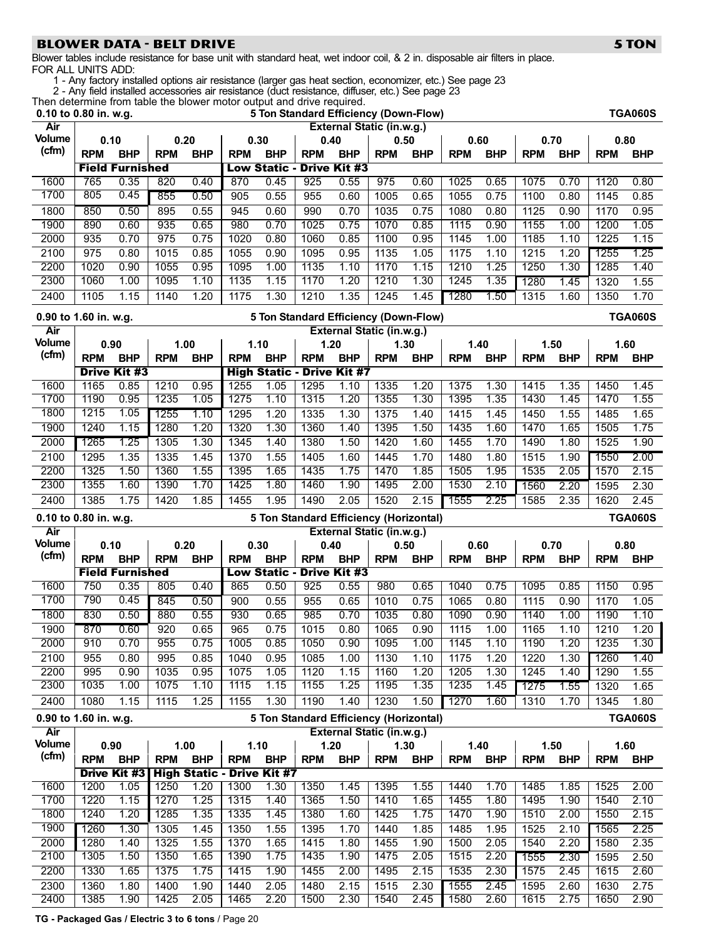# BLOWER DATA − BELT DRIVE 5 TON 5 TON

Blower tables include resistance for base unit with standard heat, wet indoor coil, & 2 in. disposable air filters in place. FOR ALL UNITS ADD:

1 − Any factory installed options air resistance (larger gas heat section, economizer, etc.) See page [23](#page-22-0)

2 − Any field installed accessories air resistance (duct resistance, diffuser, etc.) See page [23](#page-22-0)

Then determine from table the blower motor output and drive required.<br>0.10 to 0.80 in. w.g. 5 Ton Standard Efficience

|                       | 0.10 to 0.80 in. w.g. |                        |              |              |              |                                   |              | 5 Ton Standard Efficiency (Down-Flow)  |              |              |              |              |                  |              |              | <b>TGA060S</b> |
|-----------------------|-----------------------|------------------------|--------------|--------------|--------------|-----------------------------------|--------------|----------------------------------------|--------------|--------------|--------------|--------------|------------------|--------------|--------------|----------------|
| Air                   |                       |                        |              |              |              |                                   |              | External Static (in.w.g.)              |              |              |              |              |                  |              |              |                |
| <b>Volume</b>         |                       | 0.10                   |              | 0.20         |              | 0.30                              | 0.40         |                                        | 0.50         |              | 0.60         |              | 0.70             |              | 0.80         |                |
| (cfm)                 | <b>RPM</b>            | <b>BHP</b>             | <b>RPM</b>   | <b>BHP</b>   | <b>RPM</b>   | <b>BHP</b>                        | <b>RPM</b>   | <b>BHP</b>                             | <b>RPM</b>   | <b>BHP</b>   | <b>RPM</b>   | <b>BHP</b>   | <b>RPM</b>       | <b>BHP</b>   | <b>RPM</b>   | <b>BHP</b>     |
|                       |                       | <b>Field Furnished</b> |              |              |              | <b>Low Static -</b>               |              | <b>Drive Kit #3</b>                    |              |              |              |              |                  |              |              |                |
| 1600                  | 765                   | 0.35                   | 820          | 0.40         | 870          | 0.45                              | 925          | 0.55                                   | 975          | 0.60         | 1025         | 0.65         | 1075             | 0.70         | 1120         | 0.80           |
| 1700                  | 805                   | 0.45                   | 855          | 0.50         | 905          | 0.55                              | 955          | 0.60                                   | 1005         | 0.65         | 1055         | 0.75         | 1100             | 0.80         | 1145         | 0.85           |
| 1800                  | 850                   | 0.50                   | 895          | 0.55         | 945          | 0.60                              | 990          | 0.70                                   | 1035         | 0.75         | 1080         | 0.80         | $\frac{1}{1125}$ | 0.90         | 1170         | 0.95           |
| 1900                  | 890                   | 0.60                   | 935          | 0.65         | 980          | 0.70                              | 1025         | 0.75                                   | 1070         | 0.85         | 1115         | 0.90         | 1155             | 1.00         | 1200         | 1.05           |
| 2000                  | 935                   | 0.70                   | 975          | 0.75         | 1020         | 0.80                              | 1060         | 0.85                                   | 1100         | 0.95         | 1145         | 1.00         | 1185             | 1.10         | 1225         | 1.15           |
| 2100                  | 975                   | 0.80                   | 1015         | 0.85         | 1055         | 0.90                              | 1095         | 0.95                                   | 1135         | 1.05         | 1175         | 1.10         | 1215             | 1.20         | 1255         | 1.25           |
| 2200                  | 1020                  | 0.90                   | 1055         | 0.95         | 1095         | 1.00                              | 1135         | 1.10                                   | 1170         | 1.15         | 1210         | 1.25         | 1250             | 1.30         | 1285         | 1.40           |
| 2300                  | 1060                  | 1.00                   | 1095         | 1.10         | 1135         | 1.15                              | 1170         | 1.20                                   | 1210         | 1.30         | 1245         | 1.35         | 1280             | 1.45         | 1320         | 1.55           |
| 2400                  | $\frac{1105}{2}$      | 1.15                   | 1140         | 1.20         | 1175         | 1.30                              | 1210         | 1.35                                   | 1245         | 1.45         | 1280         | 1.50         | 1315             | 1.60         | 1350         | 1.70           |
| 0.90 to 1.60 in. w.g. |                       |                        |              |              |              |                                   |              | 5 Ton Standard Efficiency (Down-Flow)  |              |              |              |              |                  |              |              | <b>TGA060S</b> |
| Air                   |                       |                        |              |              |              |                                   |              | External Static (in.w.g.)              |              |              |              |              |                  |              |              |                |
| <b>Volume</b>         |                       | 0.90                   |              | 1.00         |              | 1.10                              |              | 1.20                                   | 1.30         |              |              | 1.40         | 1.50             |              | 1.60         |                |
| (cfm)                 | <b>RPM</b>            | <b>BHP</b>             | <b>RPM</b>   | <b>BHP</b>   | <b>RPM</b>   | <b>BHP</b>                        | <b>RPM</b>   | <b>BHP</b>                             | <b>RPM</b>   | <b>BHP</b>   | <b>RPM</b>   | <b>BHP</b>   | <b>RPM</b>       | <b>BHP</b>   | <b>RPM</b>   | <b>BHP</b>     |
|                       |                       | <b>Drive Kit #3</b>    |              |              |              |                                   |              | <b>High Static - Drive Kit #7</b>      |              |              |              |              |                  |              |              |                |
| 1600                  | 1165                  | 0.85                   | 1210         | 0.95         | 1255         | 1.05                              | 1295         | 1.10                                   | 1335         | 1.20         | 1375         | 1.30         | 1415             | 1.35         | 1450         | 1.45           |
| 1700                  | 1190                  | 0.95                   | 1235         | 1.05         | 1275         | 1.10                              | 1315         | 1.20                                   | 1355         | 1.30         | 1395         | 1.35         | 1430             | 1.45         | 1470         | 1.55           |
| 1800                  | 1215                  | 1.05                   | 1255         | 1.10         | 1295         | 1.20                              | 1335         | 1.30                                   | 1375         | 1.40         | 1415         | 1.45         | 1450             | 1.55         | 1485         | 1.65           |
| 1900                  | 1240                  | 1.15                   | 1280         | 1.20         | 1320         | 1.30                              | 1360         | 1.40                                   | 1395         | 1.50         | 1435         | 1.60         | 1470             | 1.65         | 1505         | 1.75           |
| 2000                  | 1265                  | 1.25                   | 1305         | 1.30         | 1345         | 1.40                              | 1380         | 1.50                                   | 1420         | 1.60         | 1455         | 1.70         | 1490             | 1.80         | 1525         | 1.90           |
| 2100                  | 1295                  | 1.35                   | 1335         | 1.45         | 1370         | 1.55                              | 1405         | 1.60                                   | 1445         | 1.70         | 1480         | 1.80         | 1515             | 1.90         | 1550         | 2.00           |
| 2200                  | 1325                  | 1.50                   | 1360         | 1.55         | 1395         | 1.65                              | 1435         | 1.75                                   | 1470         | 1.85         | 1505         | 1.95         | 1535             | 2.05         | 1570         | 2.15           |
| 2300                  | 1355                  | 1.60                   | 1390         | 1.70         | 1425         | 1.80                              | 1460         | 1.90                                   | 1495         | 2.00         | 1530         | 2.10         | 1560             | 2.20         | 1595         | 2.30           |
| 2400                  | 1385                  | 1.75                   | 1420         | 1.85         | 1455         | 1.95                              | 1490         | 2.05                                   | 1520         | 2.15         | 1555         | 2.25         | 1585             | 2.35         | 1620         | 2.45           |
|                       |                       |                        |              |              |              |                                   |              |                                        |              |              |              |              |                  |              |              |                |
| 0.10 to 0.80 in. w.g. |                       |                        |              |              |              |                                   |              | 5 Ton Standard Efficiency (Horizontal) |              |              |              |              |                  |              |              | <b>TGA060S</b> |
| Air                   |                       |                        |              |              |              |                                   |              | External Static (in.w.g.)              |              |              |              |              |                  |              |              |                |
| <b>Volume</b>         |                       | 0.10                   |              | 0.20         |              | 0.30                              | 0.40         |                                        | 0.50         |              | 0.60         |              | 0.70             |              | 0.80         |                |
| (cfm)                 | <b>RPM</b>            | <b>BHP</b>             | <b>RPM</b>   | <b>BHP</b>   | <b>RPM</b>   | <b>BHP</b>                        | <b>RPM</b>   | <b>BHP</b>                             | <b>RPM</b>   | <b>BHP</b>   | <b>RPM</b>   | <b>BHP</b>   | <b>RPM</b>       | <b>BHP</b>   | <b>RPM</b>   | <b>BHP</b>     |
|                       |                       | <b>Field Furnished</b> |              |              |              | <b>Low Static -</b>               |              | <b>Drive Kit #3</b>                    |              |              |              |              |                  |              |              |                |
| 1600                  | 750                   | 0.35                   | 805          | 0.40         | 865          | 0.50                              | 925          | 0.55                                   | 980          | 0.65         | 1040         | 0.75         | 1095             | 0.85         | 1150         | 0.95           |
| 1700                  | 790                   | 0.45                   | 845          | 0.50         | 900          | 0.55                              | 955          | 0.65                                   | 1010         | 0.75         | 1065         | 0.80         | 1115             | 0.90         | 1170         | 1.05           |
| 1800                  | 830                   | 0.50                   | 880          | 0.55         | 930          | 0.65                              | 985          | 0.70                                   | 1035         | 0.80         | 1090         | 0.90         | 1140             | 1.00         | 1190         | 1.10           |
| 1900                  | 870                   | 0.60                   | 920          | 0.65         | 965          | 0.75                              | 1015         | 0.80                                   | 1065         | 0.90         | 1115         | 1.00         | 1165             | 1.10         | 1210         | 1.20           |
| 2000                  | 910                   | 0.70                   | 955          | 0.75         | 1005         | 0.85                              | 1050         | 0.90                                   | 1095         | 1.00         | 1145         | 1.10         | 1190             | 1.20         | 1235         | 1.30           |
| 2100                  | 955                   | 0.80                   | 995          | 0.85         | 1040         | 0.95                              | 1085         | 1.00                                   | 1130         | 1.10         | 1175         | 1.20         | 1220             | 1.30         | 1260         | 1.40           |
| 2200                  | 995                   | 0.90                   | 1035         | 0.95         | 1075         | 1.05                              | 1120         | 1.15                                   | 1160         | 1.20         | 1205         | 1.30         | 1245             | 1.40         | 1290         | 1.55           |
| 2300                  | 1035                  | 1.00                   | 1075         | 1.10         | 1115         | 1.15                              | 1155         | 1.25                                   | 1195         | 1.35         | 1235         | 1.45         | 1275             | 1.55         | 1320         | 1.65           |
| 2400                  | 1080                  | 1.15                   | 1115         | 1.25         | 1155         | 1.30                              | 1190         | 1.40                                   | 1230         | 1.50         | 1270         | 1.60         | 1310             | 1.70         | 1345         | 1.80           |
| 0.90 to 1.60 in. w.g. |                       |                        |              |              |              |                                   |              | 5 Ton Standard Efficiency (Horizontal) |              |              |              |              |                  |              |              | <b>TGA060S</b> |
| Air                   |                       |                        |              |              |              |                                   |              | External Static (in.w.g.)              |              |              |              |              |                  |              |              |                |
| <b>Volume</b>         |                       | 0.90                   |              | 1.00         |              | 1.10                              |              | 1.20                                   | 1.30         |              |              | 1.40         | 1.50             |              | 1.60         |                |
| (cfm)                 | <b>RPM</b>            | <b>BHP</b>             | <b>RPM</b>   | <b>BHP</b>   | <b>RPM</b>   | <b>BHP</b>                        | <b>RPM</b>   | <b>BHP</b>                             | <b>RPM</b>   | <b>BHP</b>   | <b>RPM</b>   | <b>BHP</b>   | <b>RPM</b>       | <b>BHP</b>   | <b>RPM</b>   | <b>BHP</b>     |
|                       |                       | <b>Drive Kit #3</b>    |              |              |              | <b>High Static - Drive Kit #7</b> |              |                                        |              |              |              |              |                  |              |              |                |
| 1600                  | 1200                  | 1.05                   | 1250         | 1.20         | 1300         | 1.30                              | 1350         | 1.45                                   | 1395         | 1.55         | 1440         | 1.70         | 1485             | 1.85         | 1525         | 2.00           |
| 1700                  | 1220                  | 1.15                   | 1270         | 1.25         | 1315         | 1.40                              | 1365         | 1.50                                   | 1410         | 1.65         | 1455         | 1.80         | 1495             | 1.90         | 1540         | 2.10           |
| 1800                  | 1240                  | 1.20                   | 1285         | 1.35         | 1335         | 1.45                              | 1380         | 1.60                                   | 1425         | 1.75         | 1470         | 1.90         | 1510             | 2.00         | 1550         | 2.15           |
| 1900<br>2000          | 1260<br>1280          | 1.30<br>1.40           | 1305<br>1325 | 1.45         | 1350<br>1370 | 1.55                              | 1395<br>1415 | 1.70<br>1.80                           | 1440<br>1455 | 1.85<br>1.90 | 1485         | 1.95         | 1525<br>1540     | 2.10<br>2.20 | 1565<br>1580 | 2.25           |
| 2100                  | 1305                  | 1.50                   | 1350         | 1.55<br>1.65 | 1390         | 1.65<br>1.75                      | 1435         | 1.90                                   | 1475         | 2.05         | 1500<br>1515 | 2.05<br>2.20 |                  | 2.30         | 1595         | 2.35           |
| 2200                  | 1330                  | 1.65                   | 1375         | 1.75         | 1415         | 1.90                              | 1455         | 2.00                                   | 1495         | 2.15         | 1535         | 2.30         | 1555<br>1575     | 2.45         | 1615         | 2.50<br>2.60   |
| 2300                  | 1360                  | 1.80                   | 1400         | 1.90         | 1440         | 2.05                              | 1480         | 2.15                                   | 1515         | 2.30         | 1555         | 2.45         | 1595             | 2.60         | 1630         | 2.75           |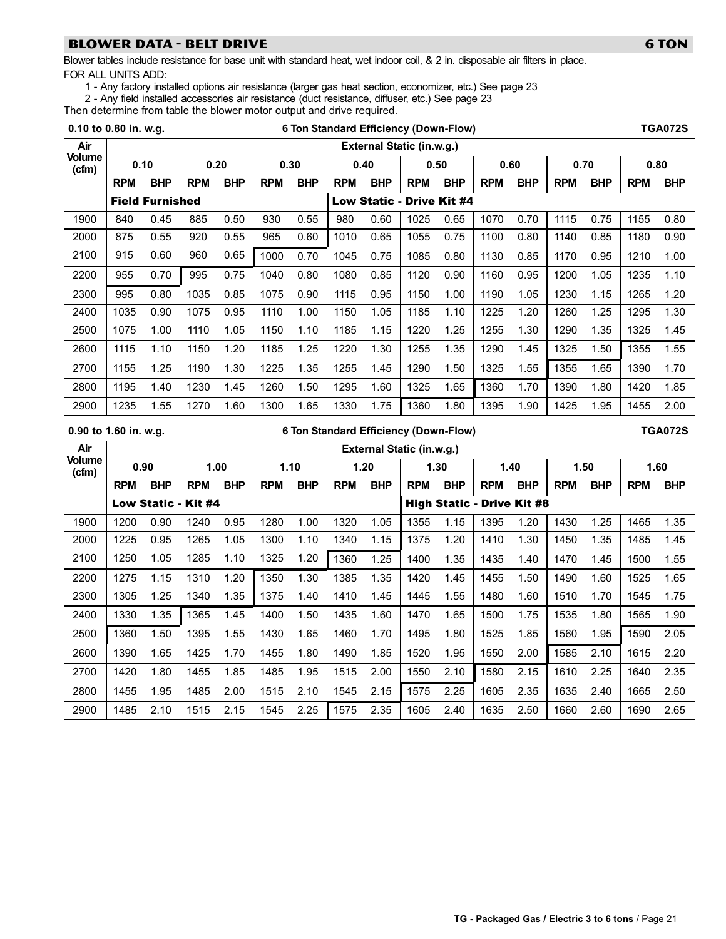### BLOWER DATA − BELT DRIVE 6 TON 6 TON 6 TON

Blower tables include resistance for base unit with standard heat, wet indoor coil, & 2 in. disposable air filters in place. FOR ALL UNITS ADD:

1 - Any factory installed options air resistance (larger gas heat section, economizer, etc.) See page [23](#page-22-0)

2 − Any field installed accessories air resistance (duct resistance, diffuser, etc.) See page [23](#page-22-0)

Then determine from table the blower motor output and drive required.

| 0.10 to 0.80 in. w.g.  |            |                        |                     |            |            |            |            |            | 6 Ton Standard Efficiency (Down-Flow) |            |                                   |            |            |            |            | <b>TGA072S</b> |
|------------------------|------------|------------------------|---------------------|------------|------------|------------|------------|------------|---------------------------------------|------------|-----------------------------------|------------|------------|------------|------------|----------------|
| Air                    |            |                        |                     |            |            |            |            |            | External Static (in.w.g.)             |            |                                   |            |            |            |            |                |
| <b>Volume</b><br>(cfm) |            | 0.10                   |                     | 0.20       |            | 0.30       |            | 0.40       |                                       | 0.50       | 0.60                              |            |            | 0.70       |            | 0.80           |
|                        | <b>RPM</b> | <b>BHP</b>             | <b>RPM</b>          | <b>BHP</b> | <b>RPM</b> | <b>BHP</b> | <b>RPM</b> | <b>BHP</b> | <b>RPM</b>                            | <b>BHP</b> | <b>RPM</b>                        | <b>BHP</b> | <b>RPM</b> | <b>BHP</b> | <b>RPM</b> | <b>BHP</b>     |
|                        |            | <b>Field Furnished</b> |                     |            |            |            |            |            | <b>Low Static - Drive Kit #4</b>      |            |                                   |            |            |            |            |                |
| 1900                   | 840        | 0.45                   | 885                 | 0.50       | 930        | 0.55       | 980        | 0.60       | 1025                                  | 0.65       | 1070                              | 0.70       | 1115       | 0.75       | 1155       | 0.80           |
| 2000                   | 875        | 0.55                   | 920                 | 0.55       | 965        | 0.60       | 1010       | 0.65       | 1055                                  | 0.75       | 1100                              | 0.80       | 1140       | 0.85       | 1180       | 0.90           |
| 2100                   | 915        | 0.60                   | 960                 | 0.65       | 1000       | 0.70       | 1045       | 0.75       | 1085                                  | 0.80       | 1130                              | 0.85       | 1170       | 0.95       | 1210       | 1.00           |
| 2200                   | 955        | 0.70                   | 995                 | 0.75       | 1040       | 0.80       | 1080       | 0.85       | 1120                                  | 0.90       | 1160                              | 0.95       | 1200       | 1.05       | 1235       | 1.10           |
| 2300                   | 995        | 0.80                   | 1035                | 0.85       | 1075       | 0.90       | 1115       | 0.95       | 1150                                  | 1.00       | 1190                              | 1.05       | 1230       | 1.15       | 1265       | 1.20           |
| 2400                   | 1035       | 0.90                   | 1075                | 0.95       | 1110       | 1.00       | 1150       | 1.05       | 1185                                  | 1.10       | 1225                              | 1.20       | 1260       | 1.25       | 1295       | 1.30           |
| 2500                   | 1075       | 1.00                   | 1110                | 1.05       | 1150       | 1.10       | 1185       | 1.15       | 1220                                  | 1.25       | 1255                              | 1.30       | 1290       | 1.35       | 1325       | 1.45           |
| 2600                   | 1115       | 1.10                   | 1150                | 1.20       | 1185       | 1.25       | 1220       | 1.30       | 1255                                  | 1.35       | 1290                              | 1.45       | 1325       | 1.50       | 1355       | 1.55           |
| 2700                   | 1155       | 1.25                   | 1190                | 1.30       | 1225       | 1.35       | 1255       | 1.45       | 1290                                  | 1.50       | 1325                              | 1.55       | 1355       | 1.65       | 1390       | 1.70           |
| 2800                   | 1195       | 1.40                   | 1230                | 1.45       | 1260       | 1.50       | 1295       | 1.60       | 1325                                  | 1.65       | 1360                              | 1.70       | 1390       | 1.80       | 1420       | 1.85           |
| 2900                   | 1235       | 1.55                   | 1270                | 1.60       | 1300       | 1.65       | 1330       | 1.75       | 1360                                  | 1.80       | 1395                              | 1.90       | 1425       | 1.95       | 1455       | 2.00           |
| 0.90 to 1.60 in. w.g.  |            |                        |                     |            |            |            |            |            | 6 Ton Standard Efficiency (Down-Flow) |            |                                   |            |            |            |            | <b>TGA072S</b> |
| Air                    |            |                        |                     |            |            |            |            |            | External Static (in.w.g.)             |            |                                   |            |            |            |            |                |
| <b>Volume</b><br>(cfm) |            | 0.90                   |                     | 1.00       |            | 1.10       |            | 1.20       |                                       | 1.30       | 1.40                              |            | 1.50       |            |            | 1.60           |
|                        | <b>RPM</b> | <b>BHP</b>             | <b>RPM</b>          | <b>BHP</b> | <b>RPM</b> | <b>BHP</b> | <b>RPM</b> | <b>BHP</b> | <b>RPM</b>                            | <b>BHP</b> | <b>RPM</b>                        | <b>BHP</b> | <b>RPM</b> | <b>BHP</b> | <b>RPM</b> | <b>BHP</b>     |
|                        |            |                        | Low Static - Kit #4 |            |            |            |            |            |                                       |            | <b>High Static - Drive Kit #8</b> |            |            |            |            |                |
| 1900                   | 1200       | 0.90                   | 1240                | 0.95       | 1280       | 1.00       | 1320       | 1.05       | 1355                                  | 1.15       | 1395                              | 1.20       | 1430       | 1.25       | 1465       | 1.35           |
| 2000                   | 1225       | 0.95                   | 1265                | 1.05       | 1300       | 1.10       | 1340       | 1.15       | 1375                                  | 1.20       | 1410                              | 1.30       | 1450       | 1.35       | 1485       | 1.45           |
| 2100                   | 1250       | 1.05                   | 1285                | 1.10       | 1325       | 1.20       | 1360       | 1.25       | 1400                                  | 1.35       | 1435                              | 1.40       | 1470       | 1.45       | 1500       | 1.55           |
| 2200                   | 1275       | 1.15                   | 1310                | 1.20       | 1350       | 1.30       | 1385       | 1.35       | 1420                                  | 1.45       | 1455                              | 1.50       | 1490       | 1.60       | 1525       | 1.65           |
| 2300                   | 1305       | 1.25                   | 1340                | 1.35       | 1375       | 1.40       | 1410       | 1.45       | 1445                                  | 1.55       | 1480                              | 1.60       | 1510       | 1.70       | 1545       | 1.75           |
| 2400                   | 1330       | 1.35                   | 1365                | 1.45       | 1400       | 1.50       | 1435       | 1.60       | 1470                                  | 1.65       | 1500                              | 1.75       | 1535       | 1.80       | 1565       | 1.90           |
| 2500                   | 1360       | 1.50                   | 1395                | 1.55       | 1430       | 1.65       | 1460       | 1.70       | 1495                                  | 1.80       | 1525                              | 1.85       | 1560       | 1.95       | 1590       | 2.05           |
| 2600                   | 1390       | 1.65                   | 1425                | 1.70       | 1455       | 1.80       | 1490       | 1.85       | 1520                                  | 1.95       | 1550                              | 2.00       | 1585       | 2.10       | 1615       | 2.20           |
| 2700                   | 1420       | 1.80                   | 1455                | 1.85       | 1485       | 1.95       | 1515       | 2.00       | 1550                                  | 2.10       | 1580                              | 2.15       | 1610       | 2.25       | 1640       | 2.35           |
| 2800                   | 1455       | 1.95                   | 1485                | 2.00       | 1515       | 2.10       | 1545       | 2.15       | 1575                                  | 2.25       | 1605                              | 2.35       | 1635       | 2.40       | 1665       | 2.50           |

2900 1485 2.10 1515 2.15 1545 2.25 1575 2.35 1605 2.40 1635 2.50 1660 2.60 1690 2.65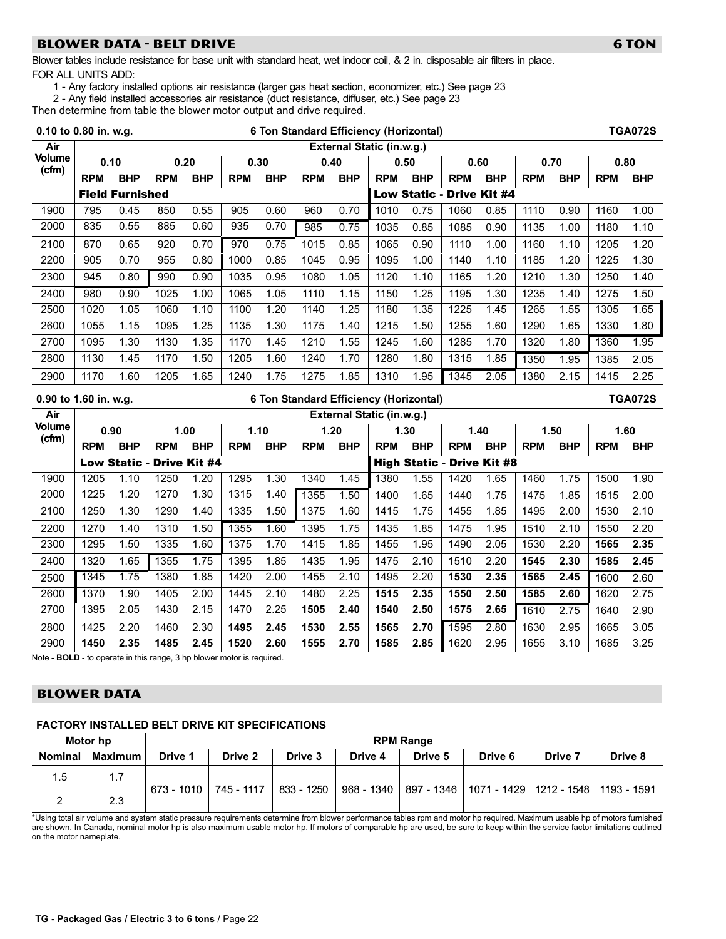# <span id="page-21-0"></span>BLOWER DATA − BELT DRIVE 6 TON 6 TON 6 TON 6 TON 6 TON

Blower tables include resistance for base unit with standard heat, wet indoor coil, & 2 in. disposable air filters in place. FOR ALL UNITS ADD:

1 − Any factory installed options air resistance (larger gas heat section, economizer, etc.) See page [23](#page-22-0)

2 − Any field installed accessories air resistance (duct resistance, diffuser, etc.) See page [23](#page-22-0)

Then determine from table the blower motor output and drive required.

| 0.10 to 0.80 in. w.g.  |            |                        |                                  |            |            |            |            |            | 6 Ton Standard Efficiency (Horizontal) |            |                                   |            |            |            |            | <b>TGA072S</b> |
|------------------------|------------|------------------------|----------------------------------|------------|------------|------------|------------|------------|----------------------------------------|------------|-----------------------------------|------------|------------|------------|------------|----------------|
| Air                    |            |                        |                                  |            |            |            |            |            | External Static (in.w.g.)              |            |                                   |            |            |            |            |                |
| <b>Volume</b><br>(cfm) | 0.10       |                        | 0.20                             |            | 0.30       |            | 0.40       |            | 0.50                                   |            | 0.60                              |            | 0.70       |            | 0.80       |                |
|                        | <b>RPM</b> | <b>BHP</b>             | <b>RPM</b>                       | <b>BHP</b> | <b>RPM</b> | <b>BHP</b> | <b>RPM</b> | <b>BHP</b> | <b>RPM</b>                             | <b>BHP</b> | <b>RPM</b>                        | <b>BHP</b> | <b>RPM</b> | <b>BHP</b> | <b>RPM</b> | <b>BHP</b>     |
|                        |            | <b>Field Furnished</b> |                                  |            |            |            |            |            |                                        |            | Low Static - Drive Kit #4         |            |            |            |            |                |
| 1900                   | 795        | 0.45                   | 850                              | 0.55       | 905        | 0.60       | 960        | 0.70       | 1010                                   | 0.75       | 1060                              | 0.85       | 1110       | 0.90       | 1160       | 1.00           |
| 2000                   | 835        | 0.55                   | 885                              | 0.60       | 935        | 0.70       | 985        | 0.75       | 1035                                   | 0.85       | 1085                              | 0.90       | 1135       | 1.00       | 1180       | 1.10           |
| 2100                   | 870        | 0.65                   | 920                              | 0.70       | 970        | 0.75       | 1015       | 0.85       | 1065                                   | 0.90       | 1110                              | 1.00       | 1160       | 1.10       | 1205       | 1.20           |
| 2200                   | 905        | 0.70                   | 955                              | 0.80       | 1000       | 0.85       | 1045       | 0.95       | 1095                                   | 1.00       | 1140                              | 1.10       | 1185       | 1.20       | 1225       | 1.30           |
| 2300                   | 945        | 0.80                   | 990                              | 0.90       | 1035       | 0.95       | 1080       | 1.05       | 1120                                   | 1.10       | 1165                              | 1.20       | 1210       | 1.30       | 1250       | 1.40           |
| 2400                   | 980        | 0.90                   | 1025                             | 1.00       | 1065       | 1.05       | 1110       | 1.15       | 1150                                   | 1.25       | 1195                              | 1.30       | 1235       | 1.40       | 1275       | 1.50           |
| 2500                   | 1020       | 1.05                   | 1060                             | 1.10       | 1100       | 1.20       | 1140       | 1.25       | 1180                                   | 1.35       | 1225                              | 1.45       | 1265       | 1.55       | 1305       | 1.65           |
| 2600                   | 1055       | 1.15                   | 1095                             | 1.25       | 1135       | 1.30       | 1175       | 1.40       | 1215                                   | 1.50       | 1255                              | 1.60       | 1290       | 1.65       | 1330       | 1.80           |
| 2700                   | 1095       | 1.30                   | 1130                             | 1.35       | 1170       | 1.45       | 1210       | 1.55       | 1245                                   | 1.60       | 1285                              | 1.70       | 1320       | 1.80       | 1360       | 1.95           |
| 2800                   | 1130       | 1.45                   | 1170                             | 1.50       | 1205       | 1.60       | 1240       | 1.70       | 1280                                   | 1.80       | 1315                              | 1.85       | 1350       | 1.95       | 1385       | 2.05           |
| 2900                   | 1170       | 1.60                   | 1205                             | 1.65       | 1240       | 1.75       | 1275       | 1.85       | 1310                                   | 1.95       | 1345                              | 2.05       | 1380       | 2.15       | 1415       | 2.25           |
|                        |            |                        |                                  |            |            |            |            |            |                                        |            |                                   |            |            |            |            |                |
| 0.90 to 1.60 in. w.g.  |            |                        |                                  |            |            |            |            |            | 6 Ton Standard Efficiency (Horizontal) |            |                                   |            |            |            |            | <b>TGA072S</b> |
| Air                    |            |                        |                                  |            |            |            |            |            | External Static (in.w.g.)              |            |                                   |            |            |            |            |                |
| <b>Volume</b>          | 0.90       |                        | 1.00                             |            | 1.10       |            | 1.20       |            | 1.30                                   |            | 1.40                              |            | 1.50       |            | 1.60       |                |
| (cfm)                  | <b>RPM</b> | <b>BHP</b>             | <b>RPM</b>                       | <b>BHP</b> | <b>RPM</b> | <b>BHP</b> | <b>RPM</b> | <b>BHP</b> | <b>RPM</b>                             | <b>BHP</b> | <b>RPM</b>                        | <b>BHP</b> | <b>RPM</b> | <b>BHP</b> | <b>RPM</b> | <b>BHP</b>     |
|                        |            |                        | <b>Low Static - Drive Kit #4</b> |            |            |            |            |            |                                        |            | <b>High Static - Drive Kit #8</b> |            |            |            |            |                |
| 1900                   | 1205       | 1.10                   | 1250                             | 1.20       | 1295       | 1.30       | 1340       | 1.45       | 1380                                   | 1.55       | 1420                              | 1.65       | 1460       | 1.75       | 1500       | 1.90           |
| 2000                   | 1225       | 1.20                   | 1270                             | 1.30       | 1315       | 1.40       | 1355       | 1.50       | 1400                                   | 1.65       | 1440                              | 1.75       | 1475       | 1.85       | 1515       | 2.00           |
| 2100                   | 1250       | 1.30                   | 1290                             | 1.40       | 1335       | 1.50       | 1375       | 1.60       | 1415                                   | 1.75       | 1455                              | 1.85       | 1495       | 2.00       | 1530       | 2.10           |
| 2200                   | 1270       | 1.40                   | 1310                             | 1.50       | 1355       | 1.60       | 1395       | 1.75       | 1435                                   | 1.85       | 1475                              | 1.95       | 1510       | 2.10       | 1550       | 2.20           |
| 2300                   | 1295       | 1.50                   | 1335                             | 1.60       | 1375       | 1.70       | 1415       | 1.85       | 1455                                   | 1.95       | 1490                              | 2.05       | 1530       | 2.20       | 1565       | 2.35           |
| 2400                   | 1320       | 1.65                   | 1355                             | 1.75       | 1395       | 1.85       | 1435       | 1.95       | 1475                                   | 2.10       | 1510                              | 2.20       | 1545       | 2.30       | 1585       | 2.45           |
| 2500                   | 1345       | 1.75                   | 1380                             | 1.85       | 1420       | 2.00       | 1455       | 2.10       | 1495                                   | 2.20       | 1530                              | 2.35       | 1565       | 2.45       | 1600       | 2.60           |
| 2600                   | 1370       | 1.90                   | 1405                             | 2.00       | 1445       | 2.10       | 1480       | 2.25       | 1515                                   | 2.35       | 1550                              | 2.50       | 1585       | 2.60       | 1620       | 2.75           |
| 2700                   | 1395       | 2.05                   | 1430                             | 2.15       | 1470       | 2.25       | 1505       | 2.40       | 1540                                   | 2.50       | 1575                              | 2.65       | 1610       | 2.75       | 1640       | 2.90           |
| 2800                   | 1425       | 2.20                   | 1460                             | 2.30       | 1495       | 2.45       | 1530       | 2.55       | 1565                                   | 2.70       | 1595                              | 2.80       | 1630       | 2.95       | 1665       | 3.05           |

Note − BOLD − to operate in this range, 3 hp blower motor is required.

# BLOWER DATA

#### FACTORY INSTALLED BELT DRIVE KIT SPECIFICATIONS

|                | Motor hp       | <b>RPM Range</b> |            |              |         |         |                                                                   |         |         |  |  |  |
|----------------|----------------|------------------|------------|--------------|---------|---------|-------------------------------------------------------------------|---------|---------|--|--|--|
| <b>Nominal</b> | <b>Maximum</b> | Drive 1          | Drive 2    | Drive 3      | Drive 4 | Drive 5 | Drive 6                                                           | Drive 7 | Drive 8 |  |  |  |
| 1.5            |                | $673 - 1010$     | 745 - 1117 | $833 - 1250$ |         |         | 968 - 1340   897 - 1346   1071 - 1429   1212 - 1548   1193 - 1591 |         |         |  |  |  |
|                | 2.3            |                  |            |              |         |         |                                                                   |         |         |  |  |  |

673 − 745 − 833 − 968 − 897 − 1071 − 1212 − 15481193 − \*Using total air volume and system static pressure requirements determine from blower performance tables rpm and motor hp required. Maximum usable hp of motors furnished are shown. In Canada, nominal motor hp is also maximum usable motor hp. If motors of comparable hp are used, be sure to keep within the service factor limitations outlined on the motor nameplate.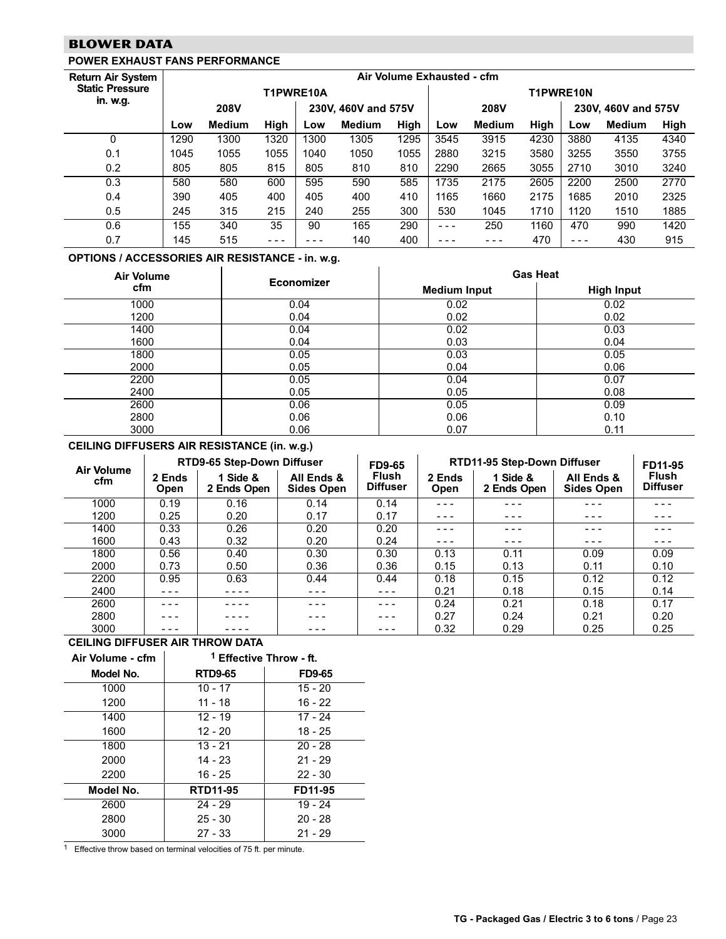# <span id="page-22-0"></span>BLOWER DATA

## POWER EXHAUST FANS PERFORMANCE

#### Return Air System Static Pressure Air Volume Exhausted - cfm in. w.g. T1PWRE10A T1PWRE10N in. w.g. 208V 230V, 460V and 575V 208V 230V, 460V and 575V Low Medium High Low Medium High Low Medium High Low Medium High 0 1290 1300 1320 1300 1305 1295 3545 3915 4230 3880 4135 4340 0.1 1045 1055 1055 1040 1050 1055 2880 3215 3580 3255 3550 3755 0.2 805 805 815 805 810 810 2290 2665 3055 2710 3010 3240 0.3 580 580 600 595 590 585 1735 2175 2605 2200 2500 2770 0.4 390 405 400 405 400 410 1165 1660 2175 1685 2010 2325 0.5 245 315 215 240 255 300 530 1045 1710 1120 1510 1885 0.6 155 340 35 90 165 290 − − − 250 1160 470 990 1420 0.7 145 515 − − − − − − 140 400 − − − − − − 470 − − − 430 915

#### OPTIONS / ACCESSORIES AIR RESISTANCE − in. w.g.

| Air Volume |                   | <b>Gas Heat</b>     |                   |  |  |  |  |  |
|------------|-------------------|---------------------|-------------------|--|--|--|--|--|
| cfm        | <b>Economizer</b> | <b>Medium Input</b> | <b>High Input</b> |  |  |  |  |  |
| 1000       | 0.04              | 0.02                | 0.02              |  |  |  |  |  |
| 1200       | 0.04              | 0.02                | 0.02              |  |  |  |  |  |
| 1400       | 0.04              | 0.02                | 0.03              |  |  |  |  |  |
| 1600       | 0.04              | 0.03                | 0.04              |  |  |  |  |  |
| 1800       | 0.05              | 0.03                | 0.05              |  |  |  |  |  |
| 2000       | 0.05              | 0.04                | 0.06              |  |  |  |  |  |
| 2200       | 0.05              | 0.04                | 0.07              |  |  |  |  |  |
| 2400       | 0.05              | 0.05                | 0.08              |  |  |  |  |  |
| 2600       | 0.06              | 0.05                | 0.09              |  |  |  |  |  |
| 2800       | 0.06              | 0.06                | 0.10              |  |  |  |  |  |
| 3000       | 0.06              | 0.07                | 0.11              |  |  |  |  |  |

#### CEILING DIFFUSERS AIR RESISTANCE (in. w.g.)

| <b>Air Volume</b> |                       | RTD9-65 Step-Down Diffuser |                                 | <b>FD9-65</b>            | RTD11-95 Step-Down Diffuser | FD11-95                 |                                 |                                 |
|-------------------|-----------------------|----------------------------|---------------------------------|--------------------------|-----------------------------|-------------------------|---------------------------------|---------------------------------|
| cfm               | 2 Ends<br><b>Open</b> | 1 Side &<br>2 Ends Open    | All Ends &<br><b>Sides Open</b> | Flush<br><b>Diffuser</b> | 2 Ends<br>Open              | 1 Side &<br>2 Ends Open | All Ends &<br><b>Sides Open</b> | <b>Flush</b><br><b>Diffuser</b> |
| 1000              | 0.19                  | 0.16                       | 0.14                            | 0.14                     | - - -                       |                         | - - -                           |                                 |
| 1200              | 0.25                  | 0.20                       | 0.17                            | 0.17                     | $- - -$                     | ---                     | - - -                           | - - -                           |
| 1400              | 0.33                  | 0.26                       | 0.20                            | 0.20                     | - - -                       |                         | - - -                           | - - -                           |
| 1600              | 0.43                  | 0.32                       | 0.20                            | 0.24                     | $- - -$                     | ---                     | - - -                           | - - -                           |
| 1800              | 0.56                  | 0.40                       | 0.30                            | 0.30                     | 0.13                        | 0.11                    | 0.09                            | 0.09                            |
| 2000              | 0.73                  | 0.50                       | 0.36                            | 0.36                     | 0.15                        | 0.13                    | 0.11                            | 0.10                            |
| 2200              | 0.95                  | 0.63                       | 0.44                            | 0.44                     | 0.18                        | 0.15                    | 0.12                            | 0.12                            |
| 2400              |                       |                            | - - -                           |                          | 0.21                        | 0.18                    | 0.15                            | 0.14                            |
| 2600              |                       |                            | ---                             |                          | 0.24                        | 0.21                    | 0.18                            | 0.17                            |
| 2800              |                       |                            | - - -                           |                          | 0.27                        | 0.24                    | 0.21                            | 0.20                            |
| 3000              |                       |                            |                                 |                          | 0.32                        | 0.29                    | 0.25                            | 0.25                            |

#### CEILING DIFFUSER AIR THROW DATA

| Air Volume - cfm | <sup>1</sup> Effective Throw - ft. |               |  |  |  |  |  |
|------------------|------------------------------------|---------------|--|--|--|--|--|
| Model No.        | <b>RTD9-65</b>                     | <b>FD9-65</b> |  |  |  |  |  |
| 1000             | $10 - 17$                          | $15 - 20$     |  |  |  |  |  |
| 1200             | 11 - 18                            | $16 - 22$     |  |  |  |  |  |
| 1400             | $12 - 19$                          | 17 - 24       |  |  |  |  |  |
| 1600             | $12 - 20$                          | $18 - 25$     |  |  |  |  |  |
| 1800             | $13 - 21$                          | $20 - 28$     |  |  |  |  |  |
| 2000             | 14 - 23                            | $21 - 29$     |  |  |  |  |  |
| 2200             | 16 - 25                            | $22 - 30$     |  |  |  |  |  |
| Model No.        | <b>RTD11-95</b>                    | FD11-95       |  |  |  |  |  |
| 2600             | $24 - 29$                          | $19 - 24$     |  |  |  |  |  |
| 2800             | $25 - 30$                          | $20 - 28$     |  |  |  |  |  |
| 3000             | $27 - 33$                          | $21 - 29$     |  |  |  |  |  |

1 Effective throw based on terminal velocities of 75 ft. per minute.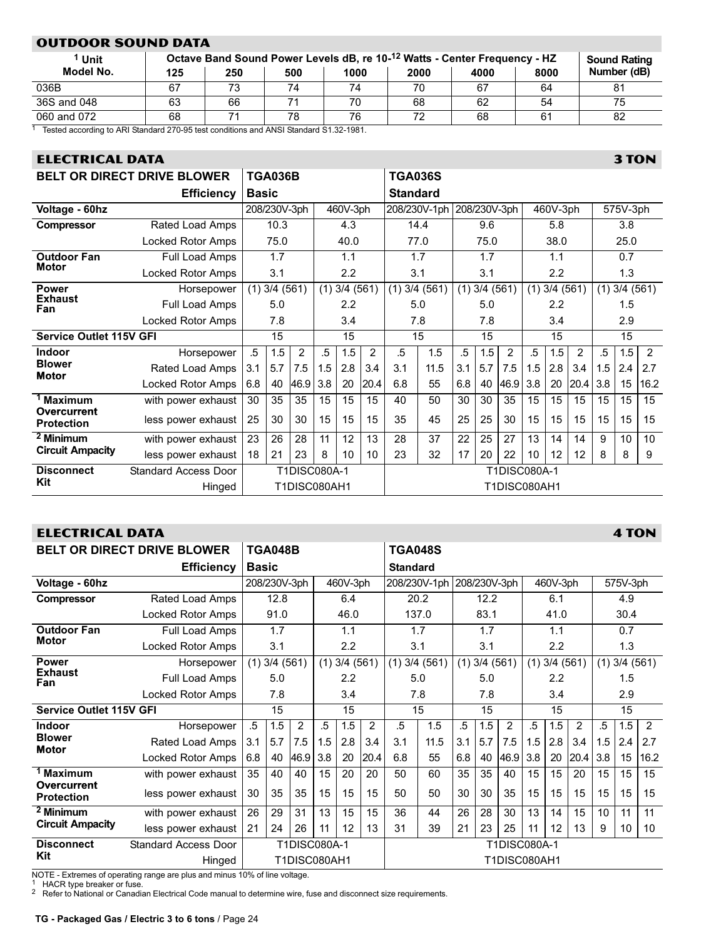# <span id="page-23-0"></span>OUTDOOR SOUND DATA

| <sup>1</sup> Unit |     |     |     |      |      | Octave Band Sound Power Levels dB, re 10- <sup>12</sup> Watts - Center Frequency - HZ |      | <b>Sound Rating</b> |
|-------------------|-----|-----|-----|------|------|---------------------------------------------------------------------------------------|------|---------------------|
| Model No.         | 125 | 250 | 500 | 1000 | 2000 | 4000                                                                                  | 8000 | Number (dB)         |
| 036B              | 67  | 73  | 74  | 74   | 70   | 67                                                                                    | 64   | 81                  |
| 36S and 048       | 63  | 66  |     | 70   | 68   | 62                                                                                    | 54   | 75                  |
| 060 and 072       | 68  |     | 78  | 76   | 72.  | 68                                                                                    | 61   | 82                  |

1 Tested according to ARI Standard 270-95 test conditions and ANSI Standard S1.32-1981.

# ELECTRICAL DATA 3 TON

| <b>BELT OR DIRECT DRIVE BLOWER</b> |                             |                          | <b>TGA036B</b> |                     |              |                   |      |                 | <b>TGA036S</b> |              |                   |                |          |                  |      |          |                   |      |
|------------------------------------|-----------------------------|--------------------------|----------------|---------------------|--------------|-------------------|------|-----------------|----------------|--------------|-------------------|----------------|----------|------------------|------|----------|-------------------|------|
|                                    | <b>Efficiency</b>           | <b>Basic</b>             |                |                     |              |                   |      | <b>Standard</b> |                |              |                   |                |          |                  |      |          |                   |      |
| Voltage - 60hz                     |                             |                          | 208/230V-3ph   |                     |              | 460V-3ph          |      | 208/230V-1ph    |                | 208/230V-3ph |                   |                | 460V-3ph |                  |      | 575V-3ph |                   |      |
| <b>Compressor</b>                  | Rated Load Amps             |                          | 10.3           |                     |              | 4.3               |      | 14.4            |                |              | 9.6               |                |          | 5.8              |      |          | 3.8               |      |
|                                    | Locked Rotor Amps           |                          | 75.0           |                     |              | 40.0              |      |                 | 77.0           |              | 75.0              |                |          | 38.0             |      |          | 25.0              |      |
| <b>Outdoor Fan</b>                 | Full Load Amps              | 1.7<br>1.1<br>3.1<br>2.2 |                |                     |              |                   |      |                 | 1.7            |              | 1.7               |                |          | 1.1              |      |          | 0.7               |      |
| <b>Motor</b>                       | <b>Locked Rotor Amps</b>    |                          |                |                     | 3.1<br>3.1   |                   |      | 2.2             |                |              | 1.3               |                |          |                  |      |          |                   |      |
| <b>Power</b>                       | Horsepower                  | (1)                      | 3/4(561)       |                     |              | $(1)$ 3/4 $(561)$ |      | (1)             | 3/4(561)       |              | $(1)$ 3/4 $(561)$ |                | (1)      | 3/4(561)         |      |          | $(1)$ 3/4 $(561)$ |      |
| <b>Exhaust</b><br>Fan              | Full Load Amps              |                          | 5.0            |                     |              | 2.2               |      |                 | 5.0            |              | 5.0               |                |          | $2.2\phantom{0}$ |      |          | 1.5               |      |
|                                    | Locked Rotor Amps           |                          | 7.8            |                     |              | 3.4               |      |                 | 7.8            |              | 7.8               |                |          | 3.4              |      | 2.9      |                   |      |
| <b>Service Outlet 115V GFI</b>     |                             | 15                       |                |                     |              | 15                |      |                 | 15             |              | 15                |                | 15       |                  |      | 15       |                   |      |
| <b>Indoor</b>                      | Horsepower                  | .5                       | 1.5            | 2                   | .5           | 1.5               | 2    | $\overline{5}$  | 1.5            | .5           | 1.5               | $\overline{2}$ | .5       | 1.5              | 2    | $.5\,$   | 1.5               | 2    |
| <b>Blower</b><br><b>Motor</b>      | Rated Load Amps             | 3.1                      | 5.7            | 7.5                 | 1.5          | 2.8               | 3.4  | 3.1             | 11.5           | 3.1          | 5.7               | 7.5            | 1.5      | 2.8              | 3.4  | 1.5      | 2.4               | 2.7  |
|                                    | Locked Rotor Amps           | 6.8                      | 40             | 46.9                | 3.8          | 20                | 20.4 | 6.8             | 55             | 6.8          | 40                | 46.9           | 3.8      | 20               | 20.4 | 3.8      | 15                | 16.2 |
| <sup>1</sup> Maximum               | with power exhaust          | 30                       | 35             | 35                  | 15           | 15                | 15   | 40              | 50             | 30           | 30                | 35             | 15       | 15               | 15   | 15       | 15                | 15   |
| Overcurrent<br><b>Protection</b>   | less power exhaust          | 25                       | 30             | 30                  | 15           | 15                | 15   | 35              | 45             | 25           | 25                | 30             | 15       | 15               | 15   | 15       | 15                | 15   |
| <sup>2</sup> Minimum               | with power exhaust          | 23                       | 26             | 28                  | 11           | 12                | 13   | 28              | 37             | 22           | 25                | 27             | 13       | 14               | 14   | 9        | 10                | 10   |
| <b>Circuit Ampacity</b>            | less power exhaust          | 18                       | 21             | 23                  | 8            | 10                | 10   | 23              | 32             | 17           | 20                | 22             | 10       | 12               | 12   | 8        | 8                 | 9    |
| <b>Disconnect</b>                  | <b>Standard Access Door</b> |                          |                |                     | T1DISC080A-1 |                   |      |                 |                |              |                   | T1DISC080A-1   |          |                  |      |          |                   |      |
| Kit                                | Hinged                      |                          |                | <b>T1DISC080AH1</b> |              |                   |      |                 |                |              |                   | T1DISC080AH1   |          |                  |      |          |                   |      |

# ELECTRICAL DATA 4 TON

| <b>BELT OR DIRECT DRIVE BLOWER</b> |                             |              | <b>TGA048B</b>    |                |              |                  |       | <b>TGA048S</b>  |              |              |              |                |          |                   |      |          |          |      |
|------------------------------------|-----------------------------|--------------|-------------------|----------------|--------------|------------------|-------|-----------------|--------------|--------------|--------------|----------------|----------|-------------------|------|----------|----------|------|
|                                    | Efficiency                  | <b>Basic</b> |                   |                |              |                  |       | <b>Standard</b> |              |              |              |                |          |                   |      |          |          |      |
| Voltage - 60hz                     |                             |              | 208/230V-3ph      |                |              | 460V-3ph         |       | 208/230V-1ph    |              | 208/230V-3ph |              |                | 460V-3ph |                   |      | 575V-3ph |          |      |
| <b>Compressor</b>                  | Rated Load Amps             |              | 12.8              |                | 6.4          |                  | 20.2  |                 | 12.2         |              |              | 6.1            |          |                   |      | 4.9      |          |      |
|                                    | Locked Rotor Amps           |              | 91.0              |                | 46.0         |                  | 137.0 |                 |              | 83.1         |              |                | 41.0     |                   |      | 30.4     |          |      |
| <b>Outdoor Fan</b>                 | Full Load Amps              |              | 1.7               |                |              | 1.1              |       |                 | 1.7          |              | 1.7          |                |          | 1.1               |      |          | 0.7      |      |
| <b>Motor</b>                       | Locked Rotor Amps           |              | 3.1               |                |              | $2.2\phantom{0}$ |       |                 | 3.1          |              | 3.1          |                |          | 2.2               |      |          | 1.3      |      |
| <b>Power</b>                       | Horsepower                  |              | $(1)$ 3/4 $(561)$ |                | (1)          | 3/4(561)         |       | (1)             | 3/4(561)     | (1)          | 3/4(561)     |                |          | $(1)$ 3/4 $(561)$ |      | (1)      | 3/4(561) |      |
| <b>Exhaust</b><br>Fan              | Full Load Amps              |              | 5.0               |                |              | $2.2\phantom{0}$ |       |                 | 5.0          |              | 5.0          |                |          | 2.2               |      |          | 1.5      |      |
|                                    | Locked Rotor Amps           |              | 7.8               |                |              | 3.4              |       |                 | 7.8          |              | 7.8          |                |          | 3.4               |      | 2.9      |          |      |
| <b>Service Outlet 115V GFI</b>     |                             | 15           |                   |                | 15           |                  | 15    |                 | 15           |              |              | 15             |          | 15                |      |          |          |      |
| <b>Indoor</b>                      | Horsepower                  | .5           | 1.5               | $\overline{2}$ | .5           | 1.5              | 2     | .5              | 1.5          | .5           | 1.5          | $\overline{2}$ | .5       | 1.5               | 2    | .5       | 1.5      | 2    |
| <b>Blower</b><br><b>Motor</b>      | Rated Load Amps             | 3.1          | 5.7               | 7.5            | 1.5          | 2.8              | 3.4   | 3.1             | 11.5         | 3.1          | 5.7          | 7.5            | 1.5      | 2.8               | 3.4  | 1.5      | 2.4      | 2.7  |
|                                    | Locked Rotor Amps           | 6.8          | 40                | 46.9           | 3.8          | 20               | 20.4  | 6.8             | 55           | 6.8          | 40           | 46.9           | 3.8      | 20                | 20.4 | 3.8      | 15       | 16.2 |
| <sup>1</sup> Maximum               | with power exhaust          | 35           | 40                | 40             | 15           | 20               | 20    | 50              | 60           | 35           | 35           | 40             | 15       | $15\,$            | 20   | 15       | 15       | 15   |
| Overcurrent<br><b>Protection</b>   | less power exhaust          | 30           | 35                | 35             | 15           | 15               | 15    | 50              | 50           | 30           | 30           | 35             | 15       | 15                | 15   | 15       | 15       | 15   |
| <sup>2</sup> Minimum               | with power exhaust          | 26           | 29                | 31             | 13           | 15               | 15    | 36              | 44           | 26           | 28           | 30             | 13       | 14                | 15   | 10       | 11       | 11   |
| <b>Circuit Ampacity</b>            | less power exhaust          | 21           | 24                | 26             | 11           | 12               | 13    | 31              | 39           | 21           | 23           | 25             | 11       | 12                | 13   | 9        | 10       | 10   |
| <b>Disconnect</b>                  | <b>Standard Access Door</b> |              |                   |                | T1DISC080A-1 |                  |       |                 |              |              | T1DISC080A-1 |                |          |                   |      |          |          |      |
| Kit                                | Hinged                      |              |                   | T1DISC080AH1   |              |                  |       |                 | T1DISC080AH1 |              |              |                |          |                   |      |          |          |      |

NOTE - Extremes of operating range are plus and minus 10% of line voltage.<br><sup>1</sup> HACR type breaker or fuse.

 $2$  Refer to National or Canadian Electrical Code manual to determine wire, fuse and disconnect size requirements.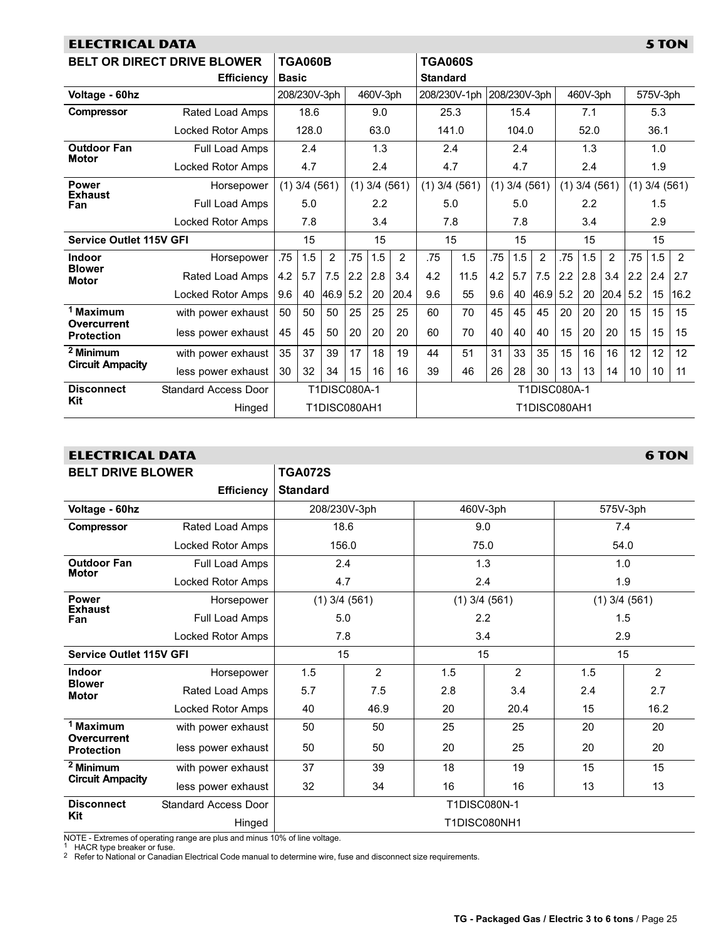<span id="page-24-0"></span>

| 5 TON<br><b>ELECTRICAL DATA</b>  |                                    |              |                                                      |                     |              |            |      |                   |              |     |          |              |          |                   |                |          |                   |      |
|----------------------------------|------------------------------------|--------------|------------------------------------------------------|---------------------|--------------|------------|------|-------------------|--------------|-----|----------|--------------|----------|-------------------|----------------|----------|-------------------|------|
|                                  | <b>BELT OR DIRECT DRIVE BLOWER</b> |              | <b>TGA060B</b>                                       |                     |              |            |      | <b>TGA060S</b>    |              |     |          |              |          |                   |                |          |                   |      |
|                                  | <b>Efficiency</b>                  | <b>Basic</b> |                                                      |                     |              |            |      | <b>Standard</b>   |              |     |          |              |          |                   |                |          |                   |      |
| Voltage - 60hz                   |                                    |              | 208/230V-3ph                                         |                     |              | 460V-3ph   |      |                   | 208/230V-1ph |     |          | 208/230V-3ph | 460V-3ph |                   |                | 575V-3ph |                   |      |
| <b>Compressor</b>                | Rated Load Amps                    |              | 18.6                                                 |                     |              | 9.0        |      | 25.3              |              |     | 15.4     |              |          | 7.1               |                |          | 5.3               |      |
|                                  | Locked Rotor Amps                  |              | 128.0                                                |                     |              | 63.0       |      | 141.0             |              |     | 104.0    |              |          | 52.0              |                |          | 36.1              |      |
| <b>Outdoor Fan</b>               | Full Load Amps                     |              | 2.4                                                  |                     |              | 1.3        |      | 2.4               |              |     | 2.4      |              |          | 1.3               |                |          | 1.0               |      |
| <b>Motor</b>                     | Locked Rotor Amps                  |              | 4.7                                                  |                     |              | 2.4        |      | 4.7               |              |     | 4.7      |              |          | 2.4               |                |          | 1.9               |      |
| <b>Power</b>                     | Horsepower                         |              | $(1)$ 3/4 $(561)$<br>$(1)$ 3/4 $(561)$<br>5.0<br>2.2 |                     |              |            |      | $(1)$ 3/4 $(561)$ |              | (1) | 3/4(561) |              |          | $(1)$ 3/4 $(561)$ |                |          | $(1)$ 3/4 $(561)$ |      |
| <b>Exhaust</b><br>Fan            | Full Load Amps                     |              |                                                      |                     |              | 5.0<br>5.0 |      |                   |              | 2.2 |          | 1.5          |          |                   |                |          |                   |      |
|                                  | Locked Rotor Amps                  |              | 7.8                                                  |                     |              | 3.4        |      | 7.8               |              | 7.8 |          |              | 3.4      |                   |                |          | 2.9               |      |
| <b>Service Outlet 115V GFI</b>   |                                    | 15           |                                                      |                     |              | 15         |      | 15                |              |     | 15       |              |          | 15                |                |          | 15                |      |
| <b>Indoor</b>                    | Horsepower                         | .75          | 1.5                                                  | 2                   | .75          | 1.5        | 2    | .75               | 1.5          | .75 | 1.5      | 2            | .75      | 1.5               | $\overline{2}$ | .75      | 1.5               | 2    |
| <b>Blower</b><br><b>Motor</b>    | Rated Load Amps                    | 4.2          | 5.7                                                  | 7.5                 | 2.2          | 2.8        | 3.4  | 4.2               | 11.5         | 4.2 | 5.7      | 7.5          | 2.2      | 2.8               | 3.4            | 2.2      | 2.4               | 2.7  |
|                                  | <b>Locked Rotor Amps</b>           | 9.6          | 40                                                   | 46.9                | 5.2          | 20         | 20.4 | 9.6               | 55           | 9.6 | 40       | 46.9 5.2     |          | 20                | 20.4           | 5.2      | 15                | 16.2 |
| <sup>1</sup> Maximum             | with power exhaust                 | 50           | 50                                                   | 50                  | 25           | 25         | 25   | 60                | 70           | 45  | 45       | 45           | 20       | 20                | 20             | 15       | 15                | 15   |
| Overcurrent<br><b>Protection</b> | less power exhaust                 | 45           | 45                                                   | 50                  | 20           | 20         | 20   | 60                | 70           | 40  | 40       | 40           | 15       | 20                | 20             | 15       | 15                | 15   |
| <sup>2</sup> Minimum             | with power exhaust                 | 35           | 37                                                   | 39                  | 17           | 18         | 19   | 44                | 51           | 31  | 33       | 35           | 15       | 16                | 16             | 12       | 12                | 12   |
| <b>Circuit Ampacity</b>          | less power exhaust                 | 30           | 32                                                   | 34                  | 15           | 16         | 16   | 39                | 46           | 26  | 28       | 30           | 13       | 13                | 14             | 10       | 10                | 11   |
| <b>Disconnect</b>                | <b>Standard Access Door</b>        |              |                                                      |                     | T1DISC080A-1 |            |      | T1DISC080A-1      |              |     |          |              |          |                   |                |          |                   |      |
| Kit                              | Hinged                             |              |                                                      | <b>T1DISC080AH1</b> |              |            |      |                   |              |     |          | T1DISC080AH1 |          |                   |                |          |                   |      |

| <b>6 TON</b><br><b>ELECTRICAL DATA</b> |                             |                 |                   |              |                   |                   |      |  |  |  |  |
|----------------------------------------|-----------------------------|-----------------|-------------------|--------------|-------------------|-------------------|------|--|--|--|--|
| <b>BELT DRIVE BLOWER</b>               |                             | <b>TGA072S</b>  |                   |              |                   |                   |      |  |  |  |  |
|                                        | <b>Efficiency</b>           | <b>Standard</b> |                   |              |                   |                   |      |  |  |  |  |
| Voltage - 60hz                         |                             |                 | 208/230V-3ph      |              | 460V-3ph          | 575V-3ph          |      |  |  |  |  |
| <b>Compressor</b>                      | Rated Load Amps             | 18.6            |                   |              | 9.0               | 7.4               |      |  |  |  |  |
|                                        | Locked Rotor Amps           | 156.0           |                   |              | 75.0              | 54.0              |      |  |  |  |  |
| <b>Outdoor Fan</b><br><b>Motor</b>     | Full Load Amps              | 2.4             |                   |              | 1.3               | 1.0               |      |  |  |  |  |
|                                        | <b>Locked Rotor Amps</b>    | 4.7             |                   |              | 2.4               | 1.9               |      |  |  |  |  |
| <b>Power</b><br><b>Exhaust</b>         | Horsepower                  |                 | $(1)$ 3/4 $(561)$ |              | $(1)$ 3/4 $(561)$ | $(1)$ 3/4 $(561)$ |      |  |  |  |  |
| Fan                                    | Full Load Amps              | 5.0             |                   |              | 2.2               | 1.5               |      |  |  |  |  |
|                                        | Locked Rotor Amps           | 7.8             |                   |              | 3.4               | 2.9               |      |  |  |  |  |
| <b>Service Outlet 115V GFI</b>         |                             | 15              |                   |              | 15                | 15                |      |  |  |  |  |
| <b>Indoor</b><br><b>Blower</b>         | Horsepower                  | 1.5             | $\overline{2}$    | 1.5          | $\overline{2}$    | 1.5               | 2    |  |  |  |  |
| <b>Motor</b>                           | Rated Load Amps             | 5.7             | 7.5               | 2.8          | 3.4               | 2.4               | 2.7  |  |  |  |  |
|                                        | Locked Rotor Amps           | 40              | 46.9              | 20           | 20.4              | 15                | 16.2 |  |  |  |  |
| $1$ Maximum<br>Overcurrent             | with power exhaust          | 50              | 50                | 25           | 25                | 20                | 20   |  |  |  |  |
| <b>Protection</b>                      | less power exhaust          | 50              | 50                | 20           | 25                | 20                | 20   |  |  |  |  |
| $\sqrt{2}$ Minimum                     | with power exhaust          | 37              | 39                | 18           | 19                | 15                | 15   |  |  |  |  |
| <b>Circuit Ampacity</b>                | less power exhaust          | 32              | 34                | 16           | 16                | 13                | 13   |  |  |  |  |
| <b>Disconnect</b>                      | <b>Standard Access Door</b> |                 |                   | T1DISC080N-1 |                   |                   |      |  |  |  |  |
| Kit                                    | Hinged                      |                 |                   |              | T1DISC080NH1      |                   |      |  |  |  |  |

NOTE - Extremes of operating range are plus and minus 10% of line voltage.<br><sup>1</sup> HACR type breaker or fuse.

 $2$  Refer to National or Canadian Electrical Code manual to determine wire, fuse and disconnect size requirements.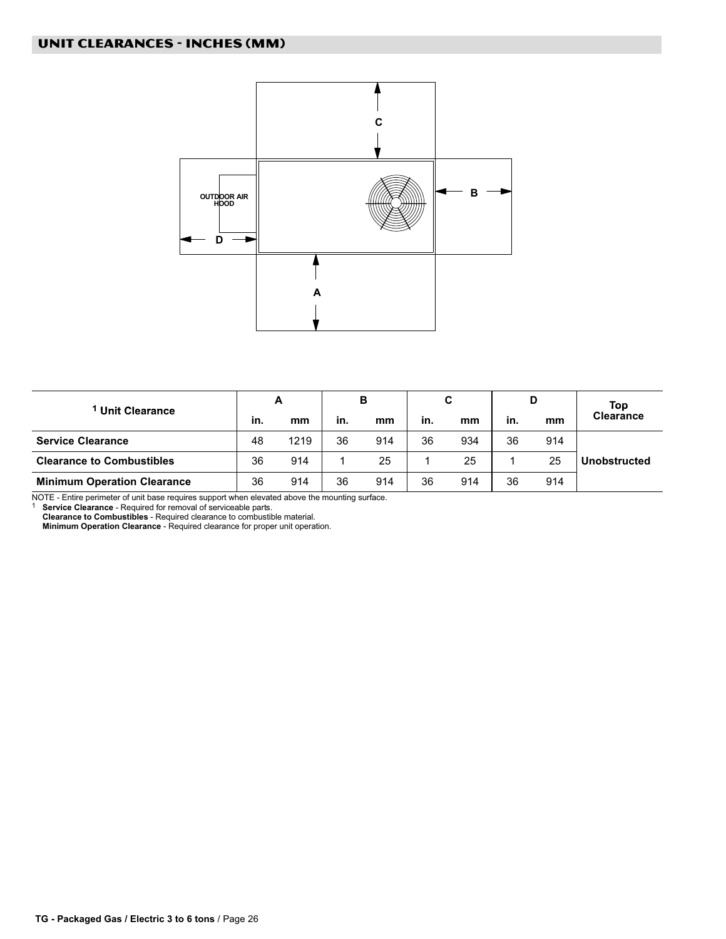<span id="page-25-0"></span>

| <b>Unit Clearance</b>              |    | A    |     | B   |     | С   |     | D   | Top              |  |
|------------------------------------|----|------|-----|-----|-----|-----|-----|-----|------------------|--|
|                                    |    | mm   | in. | mm  | in. | mm  | in. | mm  | <b>Clearance</b> |  |
| <b>Service Clearance</b>           | 48 | 1219 | 36  | 914 | 36  | 934 | 36  | 914 |                  |  |
| <b>Clearance to Combustibles</b>   | 36 | 914  |     | 25  |     | 25  |     | 25  | Unobstructed     |  |
| <b>Minimum Operation Clearance</b> | 36 | 914  | 36  | 914 | 36  | 914 | 36  | 914 |                  |  |

NOTE - Entire perimeter of unit base requires support when elevated above the mounting surface.<br><sup>1</sup> **Service Clearance** - Required for removal of serviceable parts.

Clearance to Combustibles − Required clearance to combustible material.

Minimum Operation Clearance - Required clearance for proper unit operation.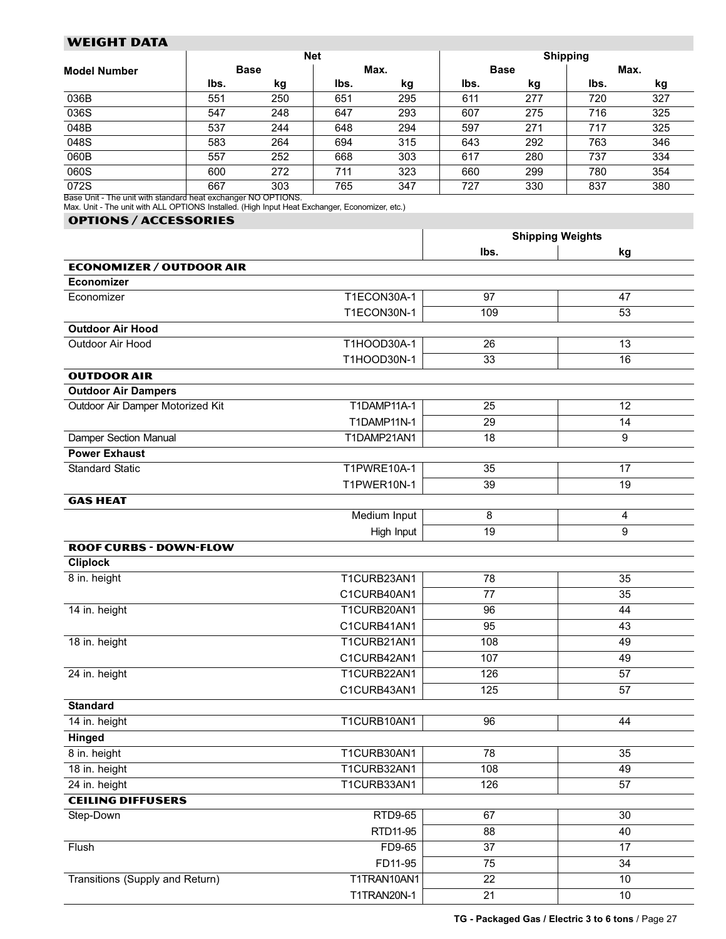# <span id="page-26-0"></span>WEIGHT DATA

|                                                             |      |             | <b>Net</b> |      | <b>Shipping</b> |             |      |     |  |  |  |
|-------------------------------------------------------------|------|-------------|------------|------|-----------------|-------------|------|-----|--|--|--|
| <b>Model Number</b>                                         |      | <b>Base</b> |            | Max. |                 | <b>Base</b> | Max. |     |  |  |  |
|                                                             | lbs. | kg          | lbs.       | kg   | lbs.            | kg          | lbs. | kg  |  |  |  |
| 036B                                                        | 551  | 250         | 651        | 295  | 611             | 277         | 720  | 327 |  |  |  |
| 036S                                                        | 547  | 248         | 647        | 293  | 607             | 275         | 716  | 325 |  |  |  |
| 048B                                                        | 537  | 244         | 648        | 294  | 597             | 271         | 717  | 325 |  |  |  |
| 048S                                                        | 583  | 264         | 694        | 315  | 643             | 292         | 763  | 346 |  |  |  |
| 060B                                                        | 557  | 252         | 668        | 303  | 617             | 280         | 737  | 334 |  |  |  |
| 060S                                                        | 600  | 272         | 711        | 323  | 660             | 299         | 780  | 354 |  |  |  |
| 072S                                                        | 667  | 303         | 765        | 347  | 727             | 330         | 837  | 380 |  |  |  |
| Boss Unit The unit with standard boot systems as NO ODTIONS |      |             |            |      |                 |             |      |     |  |  |  |

Base Unit − The unit with standard heat exchanger NO OPTIONS. Max. Unit − The unit with ALL OPTIONS Installed. (High Input Heat Exchanger, Economizer, etc.)

#### OPTIONs / ACCESSORIES

|                                  |              | <b>Shipping Weights</b> |                |  |  |
|----------------------------------|--------------|-------------------------|----------------|--|--|
|                                  |              | lbs.                    | kg             |  |  |
| <b>ECONOMIZER / OUTDOOR AIR</b>  |              |                         |                |  |  |
| <b>Economizer</b>                |              |                         |                |  |  |
| Economizer                       | T1ECON30A-1  | 97                      | 47             |  |  |
|                                  | T1ECON30N-1  | 109                     | 53             |  |  |
| <b>Outdoor Air Hood</b>          |              |                         |                |  |  |
| Outdoor Air Hood                 | T1HOOD30A-1  | 26                      | 13             |  |  |
|                                  | T1HOOD30N-1  | 33                      | 16             |  |  |
| <b>OUTDOOR AIR</b>               |              |                         |                |  |  |
| <b>Outdoor Air Dampers</b>       |              |                         |                |  |  |
| Outdoor Air Damper Motorized Kit | T1DAMP11A-1  | 25                      | 12             |  |  |
|                                  | T1DAMP11N-1  | 29                      | 14             |  |  |
| Damper Section Manual            | T1DAMP21AN1  | 18                      | 9              |  |  |
| <b>Power Exhaust</b>             |              |                         |                |  |  |
| <b>Standard Static</b>           | T1PWRE10A-1  | 35                      | 17             |  |  |
|                                  | T1PWER10N-1  | 39                      | 19             |  |  |
| <b>GAS HEAT</b>                  |              |                         |                |  |  |
|                                  | Medium Input | 8                       | $\overline{4}$ |  |  |
|                                  | High Input   | 19                      | 9              |  |  |
| <b>ROOF CURBS - DOWN-FLOW</b>    |              |                         |                |  |  |
| <b>Cliplock</b>                  |              |                         |                |  |  |
| 8 in. height                     | T1CURB23AN1  | 78                      | 35             |  |  |
|                                  | C1CURB40AN1  | 77                      | 35             |  |  |
| 14 in. height                    | T1CURB20AN1  | 96                      | 44             |  |  |
|                                  | C1CURB41AN1  | 95                      | 43             |  |  |
| 18 in. height                    | T1CURB21AN1  | 108                     | 49             |  |  |
|                                  | C1CURB42AN1  | 107                     | 49             |  |  |
| 24 in. height                    | T1CURB22AN1  | 126                     | 57             |  |  |
|                                  | C1CURB43AN1  | 125                     | 57             |  |  |
| <b>Standard</b>                  |              |                         |                |  |  |
| 14 in. height                    | T1CURB10AN1  | 96                      | 44             |  |  |
| Hinged                           |              |                         |                |  |  |
| 8 in. height                     | T1CURB30AN1  | 78                      | 35             |  |  |
| 18 in. height                    | T1CURB32AN1  | 108                     | 49             |  |  |
| 24 in. height                    | T1CURB33AN1  | 126                     | 57             |  |  |
| <b>CEILING DIFFUSERS</b>         |              |                         |                |  |  |
| Step-Down                        | RTD9-65      | 67                      | 30             |  |  |
|                                  | RTD11-95     | 88                      | 40             |  |  |
| Flush                            | FD9-65       | 37                      | 17             |  |  |
|                                  | FD11-95      | 75                      | 34             |  |  |
| Transitions (Supply and Return)  | T1TRAN10AN1  | 22                      | $10$           |  |  |
|                                  | T1TRAN20N-1  | 21                      | $10$           |  |  |
|                                  |              |                         |                |  |  |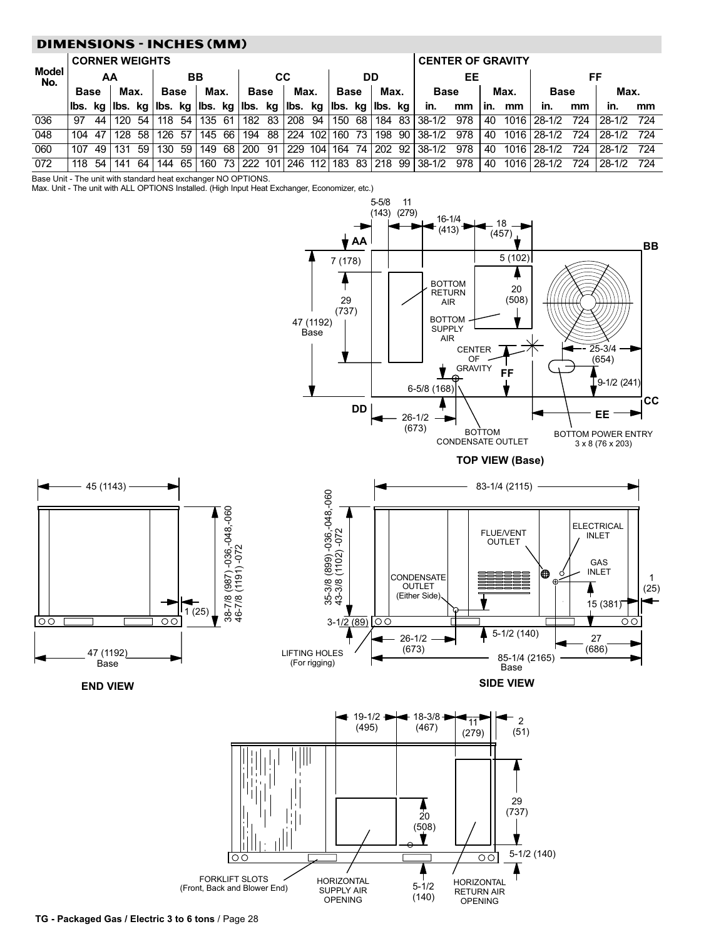# <span id="page-27-0"></span>DIMENSIONS − INCHES (MM)

|              | <b>CORNER WEIGHTS</b> |    |      |       |             |    |        |  |                                                                         |    |          | <b>CENTER OF GRAVITY</b> |             |    |      |  |                                  |     |     |      |             |     |          |     |
|--------------|-----------------------|----|------|-------|-------------|----|--------|--|-------------------------------------------------------------------------|----|----------|--------------------------|-------------|----|------|--|----------------------------------|-----|-----|------|-------------|-----|----------|-----|
| Model<br>No. | ΑA                    |    |      | BB    |             |    | СC     |  |                                                                         | DD |          | EЕ                       |             | FF |      |  |                                  |     |     |      |             |     |          |     |
|              | <b>Base</b>           |    | Max. |       | <b>Base</b> |    | Max.   |  | <b>Base</b>                                                             |    | Max.     |                          | <b>Base</b> |    | Max. |  | <b>Base</b>                      |     |     | Max. | <b>Base</b> |     | Max.     |     |
|              |                       |    |      |       |             |    |        |  | lbs. kg lbs. kg lbs. kg lbs. kg lbs. kg lbs. kg lbs. kg lbs. kg lbs. kg |    |          |                          |             |    |      |  | in.                              | mm  | in. | mm   | in.         | mm  | in.      | mm  |
| 036          | 97                    | 44 | 120  | .54 I | 118         | 54 | 135 61 |  | 182                                                                     |    | 83   208 | 94                       |             |    |      |  | 150 68 184 83 38-1/2             | 978 | 40  |      | 1016 28-1/2 | 724 | $28-1/2$ | 724 |
| 048          | 104.                  | 47 | 128  | .58 I | 126         | 57 | 145    |  | 66   194                                                                | 88 | 224 102  |                          | 160 73      |    |      |  | 198 90 38-1/2                    | 978 | 40  |      | 1016 28-1/2 | 724 | 28-1/2   | 724 |
| 060          | 107                   | 49 | 131  | 59 I  | 130         | 59 | 149    |  | 68   200                                                                | 91 |          |                          |             |    |      |  | 229 104 164 74 202 92 38-1/2     | 978 | 40  |      | 1016 28-1/2 | 724 | 28-1/2   | 724 |
| 072          | 118                   | 54 | 141  | 64 I  | 144         | 65 | 160    |  | 73   222                                                                |    |          |                          |             |    |      |  | 101 246 112 183 83 218 99 38-1/2 | 978 | 40  |      | 1016 28-1/2 | 724 | $28-1/2$ | 724 |

Base Unit − The unit with standard heat exchanger NO OPTIONS.

Max. Unit − The unit with ALL OPTIONS Installed. (High Input Heat Exchanger, Economizer, etc.)

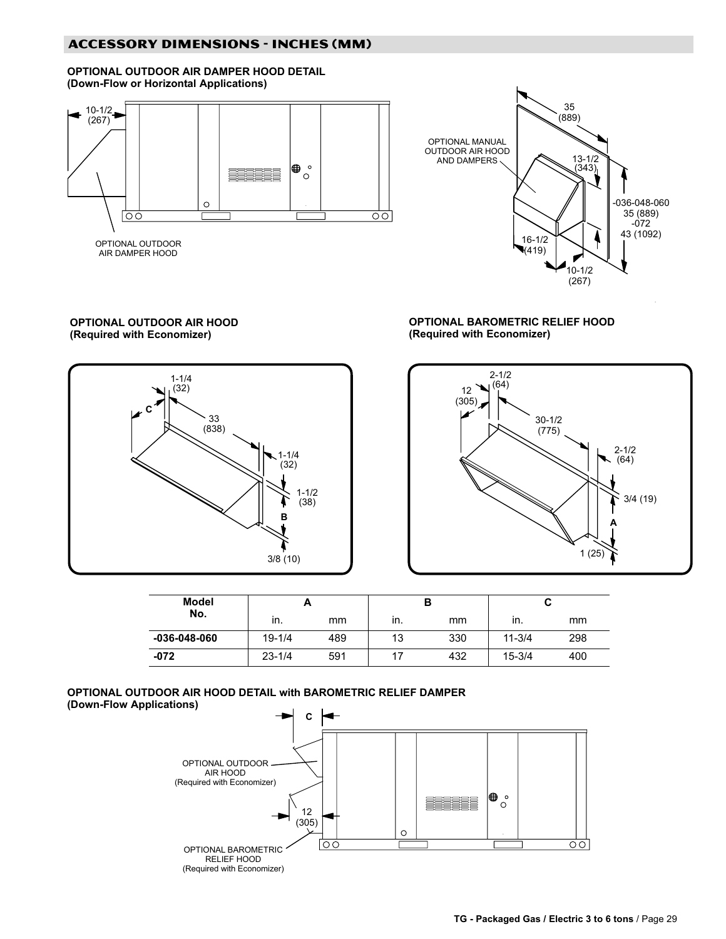# ACCESSORY DIMENSIONS − INCHES (MM)

OPTIONAL OUTDOOR AIR DAMPER HOOD DETAIL (Down−Flow or Horizontal Applications)





### OPTIONAL OUTDOOR AIR HOOD (Required with Economizer)



#### OPTIONAL BAROMETRIC RELIEF HOOD (Required with Economizer)



| <b>Model</b>       |            |     |     | в   |            |     |
|--------------------|------------|-----|-----|-----|------------|-----|
| No.                | ın.        | mm  | in. | mm  | ın.        | mm  |
| $-036 - 048 - 060$ | $19 - 1/4$ | 489 | 13  | 330 | $11 - 3/4$ | 298 |
| $-072$             | $23 - 1/4$ | 591 |     | 432 | $15 - 3/4$ | 400 |

#### OPTIONAL OUTDOOR AIR HOOD DETAIL with BAROMETRIC RELIEF DAMPER (Down−Flow Applications)

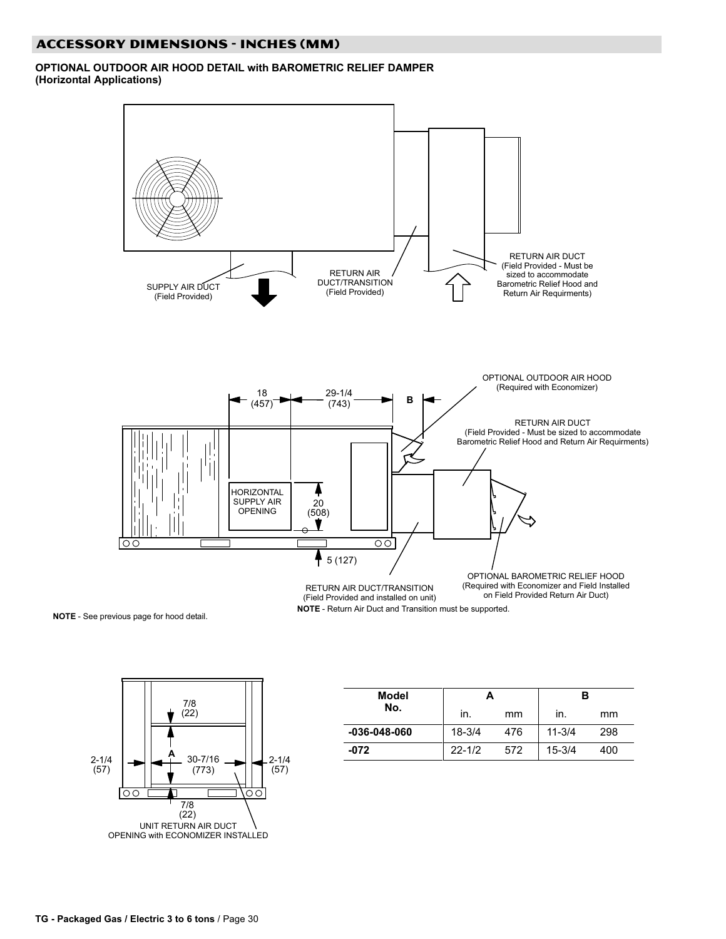# ACCESSORY DIMENSIONS − INCHES (MM)

#### OPTIONAL OUTDOOR AIR HOOD DETAIL with BAROMETRIC RELIEF DAMPER (Horizontal Applications)



l.

NOTE − See previous page for hood detail.



| Model              |            |     | в          |     |  |
|--------------------|------------|-----|------------|-----|--|
| No.                | in.        | mm  | in.        | mm  |  |
| $-036 - 048 - 060$ | $18 - 3/4$ | 476 | $11 - 3/4$ | 298 |  |
| $-072$             | $22 - 1/2$ | 572 | $15 - 3/4$ | 400 |  |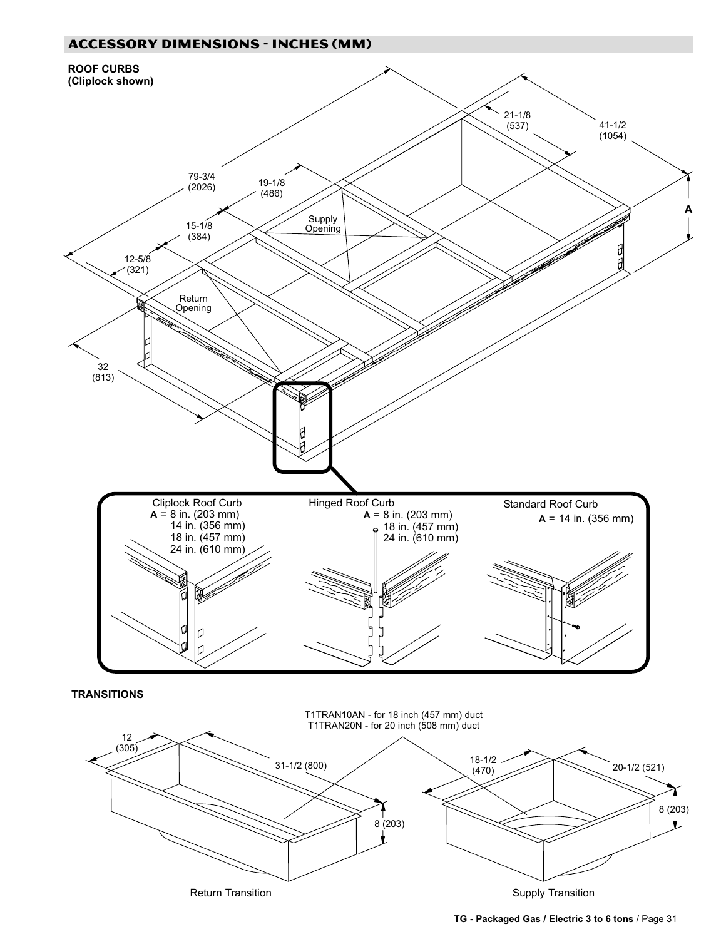



Return Transition **Supply Transition** Supply Transition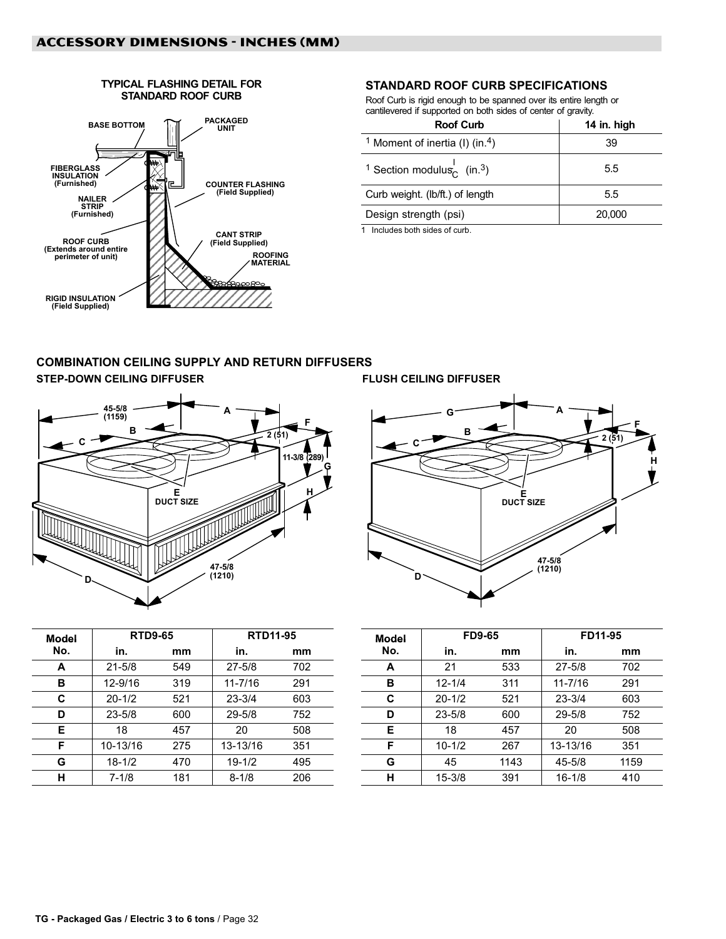#### TYPICAL FLASHING DETAIL FOR STANDARD ROOF CURB

<span id="page-31-0"></span>

# STANDARD ROOF CURB SPECIFICATIONS

Roof Curb is rigid enough to be spanned over its entire length or cantilevered if supported on both sides of center of gravity.

| <b>Roof Curb</b>                                              | 14 in. high |
|---------------------------------------------------------------|-------------|
| <sup>1</sup> Moment of inertia (I) (in. <sup>4</sup> )        | 39          |
| <sup>1</sup> Section modulus <sub>c</sub> (in. <sup>3</sup> ) | 5.5         |
| Curb weight. (lb/ft.) of length                               | 5.5         |
| Design strength (psi)                                         | 20,000      |

1 Includes both sides of curb.

# COMBINATION CEILING SUPPLY AND RETURN DIFFUSERS STEP-DOWN CEILING DIFFUSER FLUSH CEILING DIFFUSER





| <b>Model</b> | <b>RTD9-65</b> |     | <b>RTD11-95</b> |     |  |
|--------------|----------------|-----|-----------------|-----|--|
| No.          | in.            | mm  | in.             | mm  |  |
| A            | $21 - 5/8$     | 549 | $27 - 5/8$      | 702 |  |
| в            | 12-9/16        | 319 | $11 - 7/16$     | 291 |  |
| C            | $20 - 1/2$     | 521 | $23 - 3/4$      | 603 |  |
| D            | $23 - 5/8$     | 600 | $29 - 5/8$      | 752 |  |
| Е            | 18             | 457 | 20              | 508 |  |
| F            | 10-13/16       | 275 | 13-13/16        | 351 |  |
| G            | $18 - 1/2$     | 470 | $19 - 1/2$      | 495 |  |
| н            | $7 - 1/8$      | 181 | $8 - 1/8$       | 206 |  |

| Model | <b>FD9-65</b> |      | FD11-95     |      |  |  |
|-------|---------------|------|-------------|------|--|--|
| No.   | in.           | mm   | in.         | mm   |  |  |
| A     | 21            | 533  | $27 - 5/8$  | 702  |  |  |
| в     | $12 - 1/4$    | 311  | $11 - 7/16$ | 291  |  |  |
| C     | $20 - 1/2$    | 521  | $23 - 3/4$  | 603  |  |  |
| D     | $23 - 5/8$    | 600  | $29 - 5/8$  | 752  |  |  |
| Е     | 18            | 457  | 20          | 508  |  |  |
| F     | $10 - 1/2$    | 267  | 13-13/16    | 351  |  |  |
| G     | 45            | 1143 | 45-5/8      | 1159 |  |  |
| н     | $15 - 3/8$    | 391  | $16 - 1/8$  | 410  |  |  |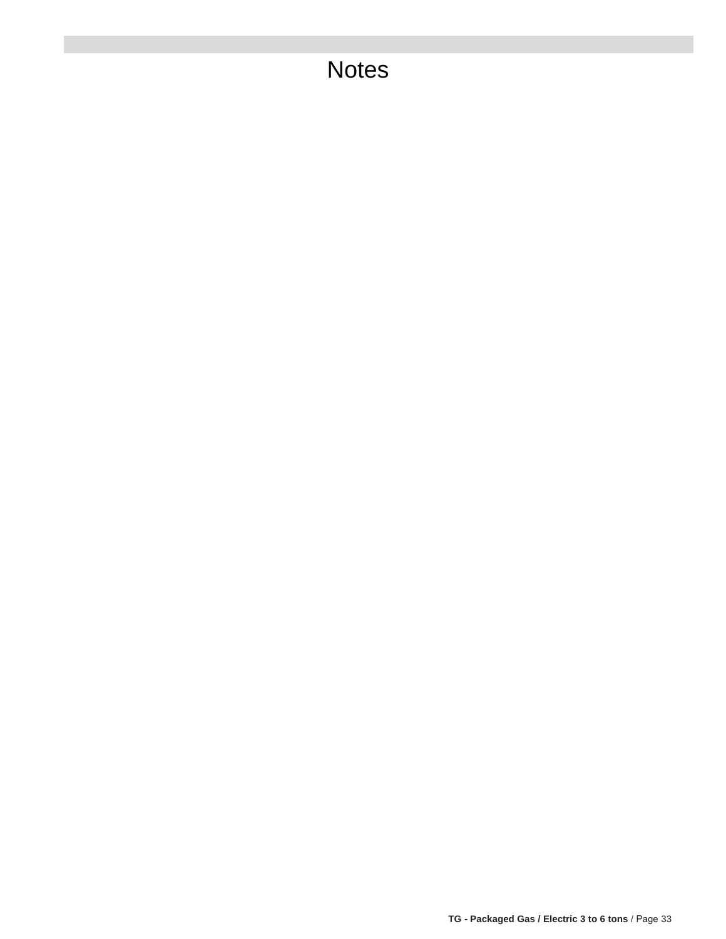# **Notes**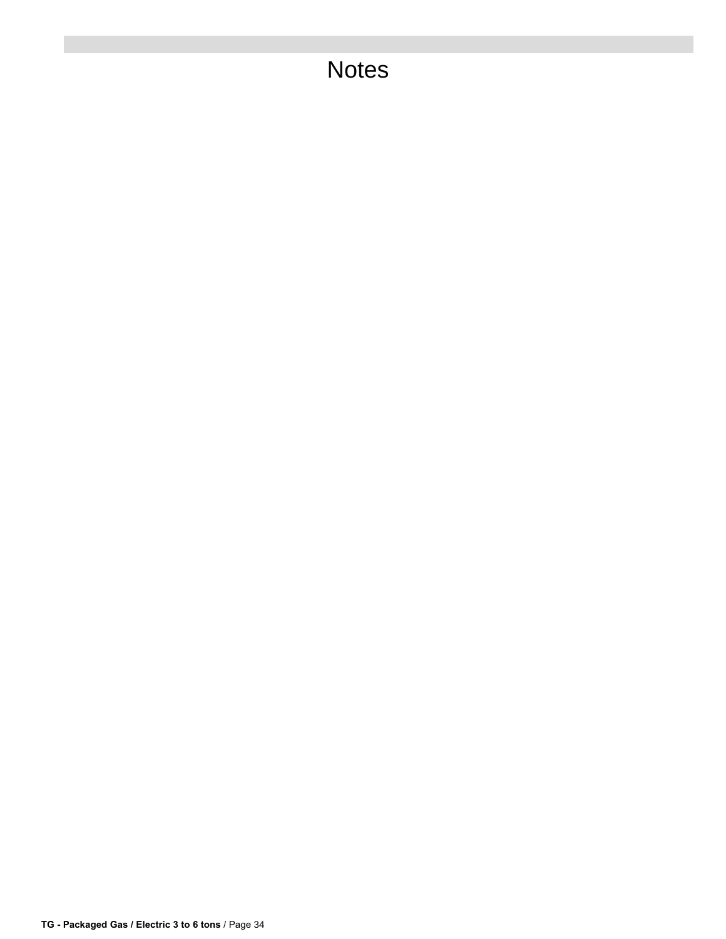# **Notes**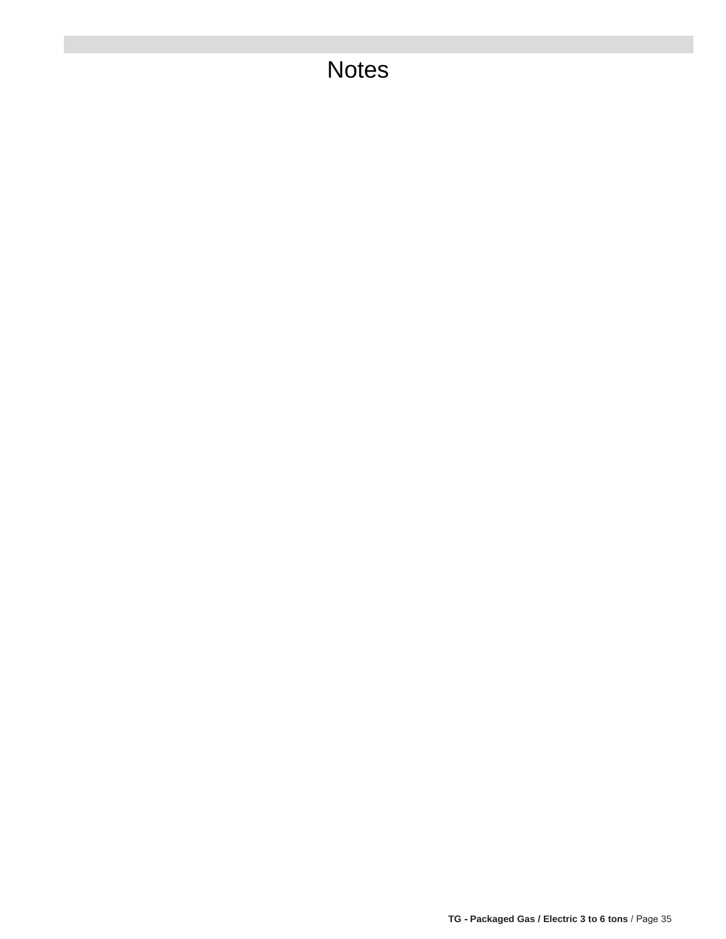# **Notes**